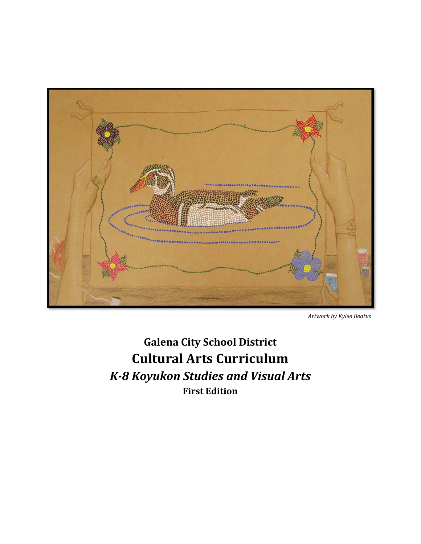

*Artwork by Kylee Beatus*

**Galena City School District Cultural Arts Curriculum** *K‐8 Koyukon Studies and Visual Arts* **First Edition**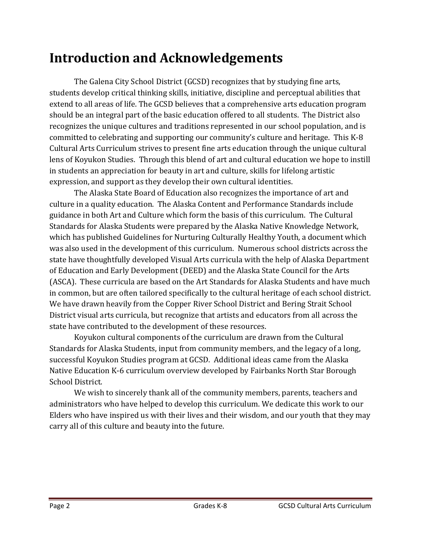#### **Introduction and Acknowledgements**

The Galena City School District (GCSD) recognizes that by studying fine arts, students develop critical thinking skills, initiative, discipline and perceptual abilities that extend to all areas of life. The GCSD believes that a comprehensive arts education program should be an integral part of the basic education offered to all students. The District also recognizes the unique cultures and traditions represented in our school population, and is committed to celebrating and supporting our community's culture and heritage. This K-8 Cultural Arts Curriculum strives to present fine arts education through the unique cultural lens of Koyukon Studies. Through this blend of art and cultural education we hope to instill in students an appreciation for beauty in art and culture, skills for lifelong artistic expression, and support as they develop their own cultural identities.

The Alaska State Board of Education also recognizes the importance of art and culture in a quality education. The Alaska Content and Performance Standards include guidance in both Art and Culture which form the basis of this curriculum. The Cultural Standards for Alaska Students were prepared by the Alaska Native Knowledge Network, which has published Guidelines for Nurturing Culturally Healthy Youth, a document which was also used in the development of this curriculum. Numerous school districts across the state have thoughtfully developed Visual Arts curricula with the help of Alaska Department of Education and Early Development (DEED) and the Alaska State Council for the Arts (ASCA). These curricula are based on the Art Standards for Alaska Students and have much in common, but are often tailored specifically to the cultural heritage of each school district. We have drawn heavily from the Copper River School District and Bering Strait School District visual arts curricula, but recognize that artists and educators from all across the state have contributed to the development of these resources.

Koyukon cultural components of the curriculum are drawn from the Cultural Standards for Alaska Students, input from community members, and the legacy of a long, successful Koyukon Studies program at GCSD. Additional ideas came from the Alaska Native Education K-6 curriculum overview developed by Fairbanks North Star Borough School District.

We wish to sincerely thank all of the community members, parents, teachers and administrators who have helped to develop this curriculum. We dedicate this work to our Elders who have inspired us with their lives and their wisdom, and our youth that they may carry all of this culture and beauty into the future.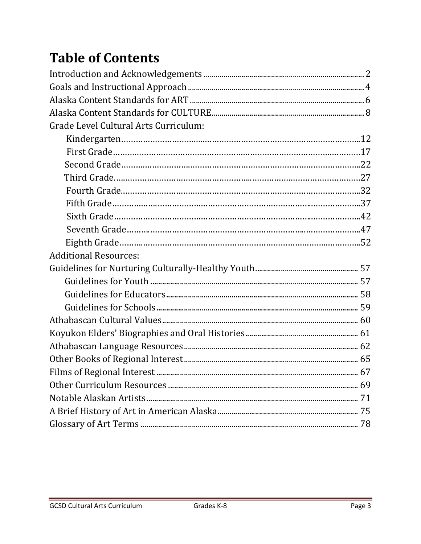# **Table of Contents**

| Grade Level Cultural Arts Curriculum: |  |
|---------------------------------------|--|
|                                       |  |
|                                       |  |
|                                       |  |
|                                       |  |
|                                       |  |
|                                       |  |
|                                       |  |
|                                       |  |
|                                       |  |
| <b>Additional Resources:</b>          |  |
|                                       |  |
|                                       |  |
|                                       |  |
|                                       |  |
|                                       |  |
|                                       |  |
|                                       |  |
|                                       |  |
| 67                                    |  |
|                                       |  |
|                                       |  |
|                                       |  |
|                                       |  |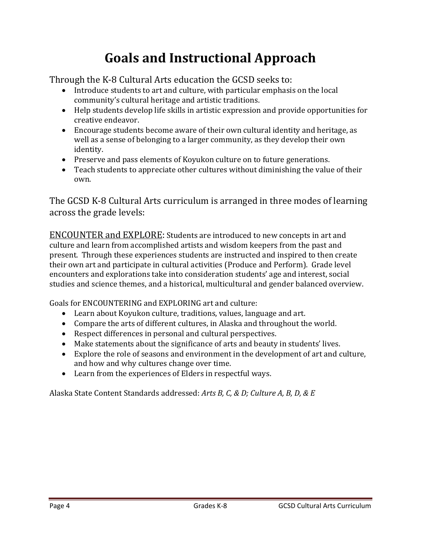## **Goals and Instructional Approach**

Through the K-8 Cultural Arts education the GCSD seeks to:

- Introduce students to art and culture, with particular emphasis on the local community's cultural heritage and artistic traditions.
- Help students develop life skills in artistic expression and provide opportunities for creative endeavor.
- Encourage students become aware of their own cultural identity and heritage, as well as a sense of belonging to a larger community, as they develop their own identity.
- Preserve and pass elements of Koyukon culture on to future generations.
- Teach students to appreciate other cultures without diminishing the value of their own.

The GCSD K-8 Cultural Arts curriculum is arranged in three modes of learning across the grade levels:

ENCOUNTER and EXPLORE: Students are introduced to new concepts in art and culture and learn from accomplished artists and wisdom keepers from the past and present. Through these experiences students are instructed and inspired to then create their own art and participate in cultural activities (Produce and Perform). Grade level encounters and explorations take into consideration students' age and interest, social studies and science themes, and a historical, multicultural and gender balanced overview.

Goals for ENCOUNTERING and EXPLORING art and culture:

- Learn about Koyukon culture, traditions, values, language and art.
- Compare the arts of different cultures, in Alaska and throughout the world.
- Respect differences in personal and cultural perspectives.
- Make statements about the significance of arts and beauty in students' lives.
- Explore the role of seasons and environment in the development of art and culture, and how and why cultures change over time.
- Learn from the experiences of Elders in respectful ways.

Alaska State Content Standards addressed: *Arts B, C, & D; Culture A, B, D, & E*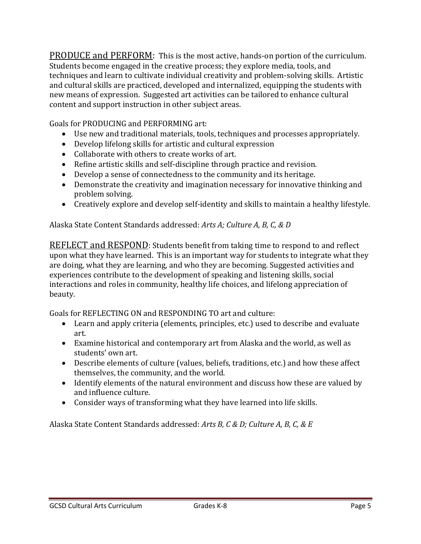**PRODUCE** and PERFORM: This is the most active, hands-on portion of the curriculum. Students become engaged in the creative process; they explore media, tools, and techniques and learn to cultivate individual creativity and problem-solving skills. Artistic and cultural skills are practiced, developed and internalized, equipping the students with new means of expression. Suggested art activities can be tailored to enhance cultural content and support instruction in other subject areas.

Goals for PRODUCING and PERFORMING art:

- Use new and traditional materials, tools, techniques and processes appropriately.
- Develop lifelong skills for artistic and cultural expression
- Collaborate with others to create works of art.
- Refine artistic skills and self-discipline through practice and revision.
- $\bullet$  Develop a sense of connectedness to the community and its heritage.
- Demonstrate the creativity and imagination necessary for innovative thinking and problem solving.
- Creatively explore and develop self-identity and skills to maintain a healthy lifestyle.

Alaska State Content Standards addressed: *Arts A; Culture A, B, C, & D*

**REFLECT** and RESPOND: Students benefit from taking time to respond to and reflect upon what they have learned. This is an important way for students to integrate what they are doing, what they are learning, and who they are becoming. Suggested activities and experiences contribute to the development of speaking and listening skills, social interactions and roles in community, healthy life choices, and lifelong appreciation of beauty. 

Goals for REFLECTING ON and RESPONDING TO art and culture:

- Learn and apply criteria (elements, principles, etc.) used to describe and evaluate art.
- Examine historical and contemporary art from Alaska and the world, as well as students' own art.
- Describe elements of culture (values, beliefs, traditions, etc.) and how these affect themselves, the community, and the world.
- Identify elements of the natural environment and discuss how these are valued by and influence culture.
- Consider ways of transforming what they have learned into life skills.

Alaska State Content Standards addressed: *Arts B, C & D; Culture A, B, C, & E*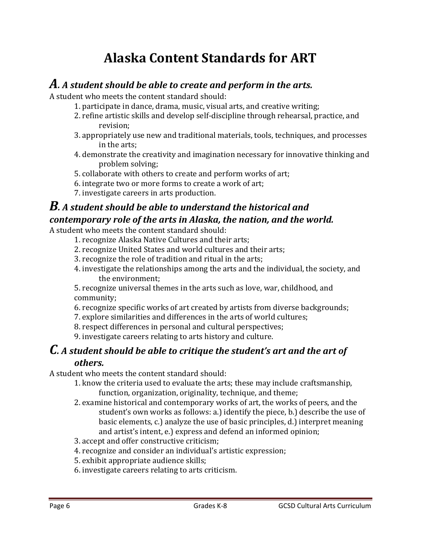### **Alaska Content Standards for ART**

#### *A. <sup>A</sup> student should be able to create and perform in the arts.*

A student who meets the content standard should:

- 1. participate in dance, drama, music, visual arts, and creative writing;
- 2. refine artistic skills and develop self-discipline through rehearsal, practice, and revision;
- 3. appropriately use new and traditional materials, tools, techniques, and processes in the arts:
- 4. demonstrate the creativity and imagination necessary for innovative thinking and problem solving;
- 5. collaborate with others to create and perform works of art;
- 6. integrate two or more forms to create a work of art;
- 7. investigate careers in arts production.

#### *B. <sup>A</sup> student should be able to understand the historical and contemporary role of the arts in Alaska, the nation, and the world.*

A student who meets the content standard should:

- 1. recognize Alaska Native Cultures and their arts;
- 2. recognize United States and world cultures and their arts;
- 3. recognize the role of tradition and ritual in the arts;
- 4. investigate the relationships among the arts and the individual, the society, and the environment:

5. recognize universal themes in the arts such as love, war, childhood, and community; 

- 6. recognize specific works of art created by artists from diverse backgrounds;
- 7. explore similarities and differences in the arts of world cultures;
- 8. respect differences in personal and cultural perspectives;
- 9. investigate careers relating to arts history and culture.

# *C. <sup>A</sup> student should be able to critique the student's art and the art of*

#### *others.*

A student who meets the content standard should:

- 1. know the criteria used to evaluate the arts; these may include craftsmanship, function, organization, originality, technique, and theme;
- 2. examine historical and contemporary works of art, the works of peers, and the student's own works as follows: a.) identify the piece, b.) describe the use of basic elements, c.) analyze the use of basic principles, d.) interpret meaning and artist's intent, e.) express and defend an informed opinion;
- 3. accept and offer constructive criticism;
- 4. recognize and consider an individual's artistic expression;
- 5. exhibit appropriate audience skills;
- 6. investigate careers relating to arts criticism.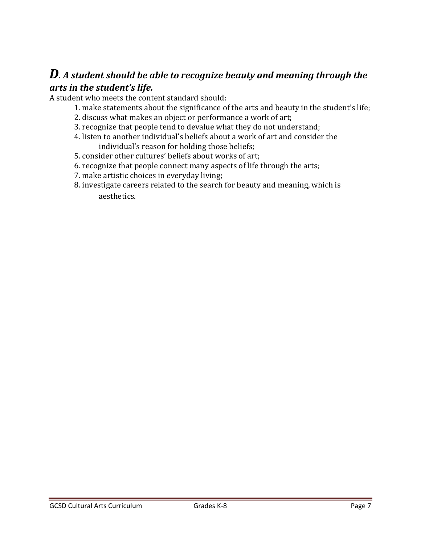#### *D. <sup>A</sup> student should be able to recognize beauty and meaning through the arts in the student's life.*

A student who meets the content standard should:

- 1. make statements about the significance of the arts and beauty in the student's life;
- 2. discuss what makes an object or performance a work of art;
- 3. recognize that people tend to devalue what they do not understand;
- 4. listen to another individual's beliefs about a work of art and consider the individual's reason for holding those beliefs;
- 5. consider other cultures' beliefs about works of art;
- 6. recognize that people connect many aspects of life through the arts;
- 7. make artistic choices in everyday living;
- 8. investigate careers related to the search for beauty and meaning, which is aesthetics.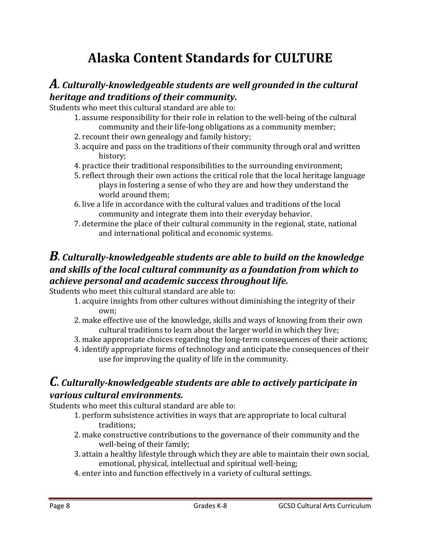## **Alaska Content Standards for CULTURE**

#### *A. Culturally‐knowledgeable students are well grounded in the cultural heritage and traditions of their community.*

Students who meet this cultural standard are able to:

- 1. assume responsibility for their role in relation to the well-being of the cultural community and their life-long obligations as a community member;
- 2. recount their own genealogy and family history;
- 3. acquire and pass on the traditions of their community through oral and written history;
- 4. practice their traditional responsibilities to the surrounding environment;
- 5. reflect through their own actions the critical role that the local heritage language plays in fostering a sense of who they are and how they understand the world around them:
- 6. live a life in accordance with the cultural values and traditions of the local community and integrate them into their everyday behavior.
- 7. determine the place of their cultural community in the regional, state, national and international political and economic systems.

#### *B. Culturally‐knowledgeable students are able to build on the knowledge and skills of the local cultural community as a foundation from which to achieve personal and academic success throughout life.*

Students who meet this cultural standard are able to:

- 1. acquire insights from other cultures without diminishing the integrity of their own;
- 2. make effective use of the knowledge, skills and ways of knowing from their own cultural traditions to learn about the larger world in which they live;
- 3. make appropriate choices regarding the long-term consequences of their actions;
- 4. identify appropriate forms of technology and anticipate the consequences of their use for improving the quality of life in the community.

#### *C. Culturally‐knowledgeable students are able to actively participate in various cultural environments.*

Students who meet this cultural standard are able to:

- 1. perform subsistence activities in ways that are appropriate to local cultural traditions;
- 2. make constructive contributions to the governance of their community and the well-being of their family;
- 3. attain a healthy lifestyle through which they are able to maintain their own social, emotional, physical, intellectual and spiritual well-being;
- 4. enter into and function effectively in a variety of cultural settings.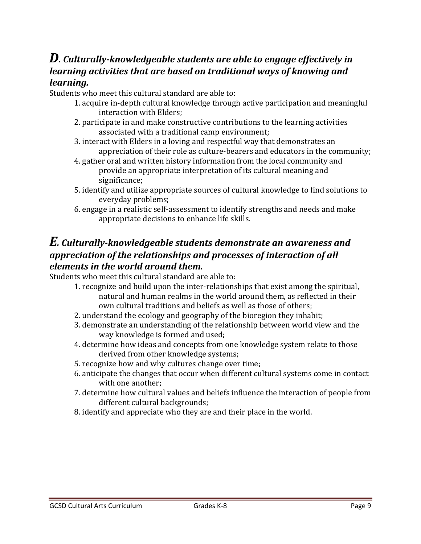#### *D. Culturally‐knowledgeable students are able to engage effectively in learning activities that are based on traditional ways of knowing and learning.*

Students who meet this cultural standard are able to:

- 1. acquire in-depth cultural knowledge through active participation and meaningful interaction with Elders:
- 2. participate in and make constructive contributions to the learning activities associated with a traditional camp environment;
- 3. interact with Elders in a loving and respectful way that demonstrates an appreciation of their role as culture-bearers and educators in the community;
- 4. gather oral and written history information from the local community and provide an appropriate interpretation of its cultural meaning and significance;
- 5. identify and utilize appropriate sources of cultural knowledge to find solutions to everyday problems;
- 6. engage in a realistic self-assessment to identify strengths and needs and make appropriate decisions to enhance life skills.

#### *E. Culturally‐knowledgeable students demonstrate an awareness and appreciation of the relationships and processes of interaction of all elements in the world around them.*

Students who meet this cultural standard are able to:

- 1. recognize and build upon the inter-relationships that exist among the spiritual, natural and human realms in the world around them, as reflected in their own cultural traditions and beliefs as well as those of others;
- 2. understand the ecology and geography of the bioregion they inhabit;
- 3. demonstrate an understanding of the relationship between world view and the way knowledge is formed and used;
- 4. determine how ideas and concepts from one knowledge system relate to those derived from other knowledge systems;
- 5. recognize how and why cultures change over time;
- 6. anticipate the changes that occur when different cultural systems come in contact with one another;
- 7. determine how cultural values and beliefs influence the interaction of people from different cultural backgrounds;
- 8. identify and appreciate who they are and their place in the world.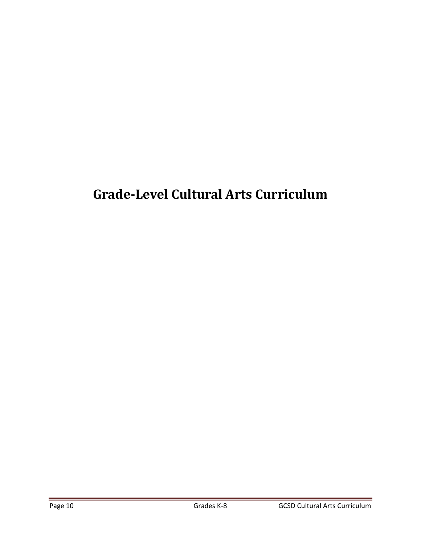# **Grade‐Level Cultural Arts Curriculum**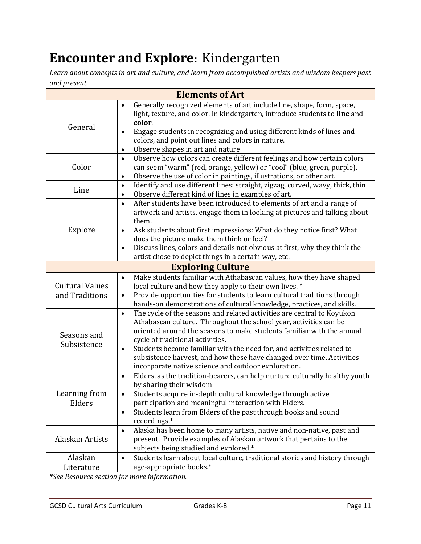#### **Encounter and Explore:** Kindergarten

*Learn about concepts in art and culture, and learn from accomplished artists and wisdom keepers past and present.*

| <b>Elements of Art</b>                   |                                                                                                                                                                                                                                                                                                                                                                                                                                                                                             |  |  |  |
|------------------------------------------|---------------------------------------------------------------------------------------------------------------------------------------------------------------------------------------------------------------------------------------------------------------------------------------------------------------------------------------------------------------------------------------------------------------------------------------------------------------------------------------------|--|--|--|
| General                                  | Generally recognized elements of art include line, shape, form, space,<br>$\bullet$<br>light, texture, and color. In kindergarten, introduce students to line and<br>color.<br>Engage students in recognizing and using different kinds of lines and<br>$\bullet$<br>colors, and point out lines and colors in nature.<br>Observe shapes in art and nature<br>$\bullet$                                                                                                                     |  |  |  |
| Color                                    | Observe how colors can create different feelings and how certain colors<br>$\bullet$<br>can seem "warm" (red, orange, yellow) or "cool" (blue, green, purple).<br>Observe the use of color in paintings, illustrations, or other art.<br>$\bullet$                                                                                                                                                                                                                                          |  |  |  |
| Line                                     | Identify and use different lines: straight, zigzag, curved, wavy, thick, thin<br>$\bullet$<br>Observe different kind of lines in examples of art.<br>$\bullet$                                                                                                                                                                                                                                                                                                                              |  |  |  |
| Explore                                  | After students have been introduced to elements of art and a range of<br>$\bullet$<br>artwork and artists, engage them in looking at pictures and talking about<br>them.<br>Ask students about first impressions: What do they notice first? What<br>$\bullet$<br>does the picture make them think or feel?<br>Discuss lines, colors and details not obvious at first, why they think the<br>$\bullet$<br>artist chose to depict things in a certain way, etc.                              |  |  |  |
|                                          | <b>Exploring Culture</b>                                                                                                                                                                                                                                                                                                                                                                                                                                                                    |  |  |  |
| <b>Cultural Values</b><br>and Traditions | Make students familiar with Athabascan values, how they have shaped<br>$\bullet$<br>local culture and how they apply to their own lives. *<br>Provide opportunities for students to learn cultural traditions through<br>$\bullet$<br>hands-on demonstrations of cultural knowledge, practices, and skills.                                                                                                                                                                                 |  |  |  |
| Seasons and<br>Subsistence               | The cycle of the seasons and related activities are central to Koyukon<br>$\bullet$<br>Athabascan culture. Throughout the school year, activities can be<br>oriented around the seasons to make students familiar with the annual<br>cycle of traditional activities.<br>Students become familiar with the need for, and activities related to<br>$\bullet$<br>subsistence harvest, and how these have changed over time. Activities<br>incorporate native science and outdoor exploration. |  |  |  |
| Learning from<br>Elders                  | Elders, as the tradition-bearers, can help nurture culturally healthy youth<br>$\bullet$<br>by sharing their wisdom<br>Students acquire in-depth cultural knowledge through active<br>participation and meaningful interaction with Elders.<br>Students learn from Elders of the past through books and sound<br>$\bullet$<br>recordings.*                                                                                                                                                  |  |  |  |
| Alaskan Artists                          | Alaska has been home to many artists, native and non-native, past and<br>$\bullet$<br>present. Provide examples of Alaskan artwork that pertains to the<br>subjects being studied and explored.*                                                                                                                                                                                                                                                                                            |  |  |  |
| Alaskan<br>Literature                    | Students learn about local culture, traditional stories and history through<br>$\bullet$<br>age-appropriate books.*                                                                                                                                                                                                                                                                                                                                                                         |  |  |  |

*\*See Resource section for more information.*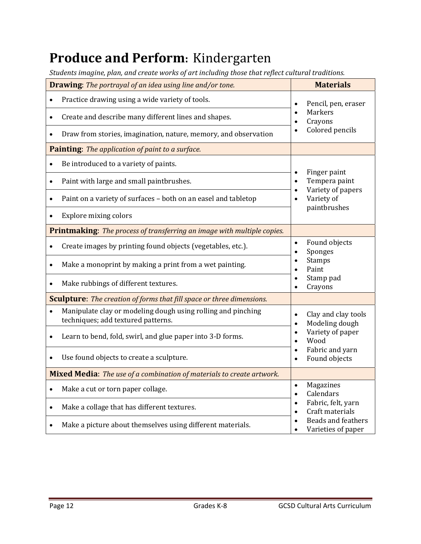# **Produce and Perform:** Kindergarten

|  |  | Students imagine, plan, and create works of art including those that reflect cultural traditions. |
|--|--|---------------------------------------------------------------------------------------------------|
|  |  |                                                                                                   |
|  |  |                                                                                                   |
|  |  |                                                                                                   |

|           | <b>Drawing:</b> The portrayal of an idea using line and/or tone.                                   |                                                                                                                     | <b>Materials</b>                                |  |
|-----------|----------------------------------------------------------------------------------------------------|---------------------------------------------------------------------------------------------------------------------|-------------------------------------------------|--|
| $\bullet$ | Practice drawing using a wide variety of tools.                                                    | Pencil, pen, eraser<br>$\bullet$                                                                                    |                                                 |  |
| $\bullet$ | Create and describe many different lines and shapes.                                               | $\bullet$<br>$\bullet$                                                                                              | Markers<br>Crayons                              |  |
|           | Draw from stories, imagination, nature, memory, and observation                                    | $\bullet$                                                                                                           | Colored pencils                                 |  |
|           | Painting: The application of paint to a surface.                                                   |                                                                                                                     |                                                 |  |
| $\bullet$ | Be introduced to a variety of paints.                                                              |                                                                                                                     |                                                 |  |
| $\bullet$ | Paint with large and small paintbrushes.                                                           | $\bullet$                                                                                                           | Finger paint<br>Tempera paint                   |  |
| $\bullet$ | Paint on a variety of surfaces - both on an easel and tabletop                                     | $\bullet$<br>$\bullet$                                                                                              | Variety of papers<br>Variety of                 |  |
| $\bullet$ | <b>Explore mixing colors</b>                                                                       |                                                                                                                     | paintbrushes                                    |  |
|           | <b>Printmaking:</b> The process of transferring an image with multiple copies.                     |                                                                                                                     |                                                 |  |
| $\bullet$ | Create images by printing found objects (vegetables, etc.).                                        | $\bullet$<br>$\bullet$                                                                                              | Found objects<br>Sponges                        |  |
| $\bullet$ | Make a monoprint by making a print from a wet painting.                                            | $\bullet$<br>$\bullet$                                                                                              | <b>Stamps</b><br>Paint                          |  |
| $\bullet$ | Make rubbings of different textures.                                                               | Stamp pad<br>Crayons                                                                                                |                                                 |  |
|           | <b>Sculpture:</b> The creation of forms that fill space or three dimensions.                       |                                                                                                                     |                                                 |  |
|           | Manipulate clay or modeling dough using rolling and pinching<br>techniques; add textured patterns. | $\bullet$                                                                                                           | Clay and clay tools<br>Modeling dough           |  |
| $\bullet$ | Learn to bend, fold, swirl, and glue paper into 3-D forms.                                         | $\bullet$<br>$\bullet$                                                                                              | Variety of paper<br>Wood                        |  |
|           | Use found objects to create a sculpture.                                                           | $\bullet$<br>$\bullet$                                                                                              | Fabric and yarn<br>Found objects                |  |
|           | Mixed Media: The use of a combination of materials to create artwork.                              |                                                                                                                     |                                                 |  |
| $\bullet$ | Make a cut or torn paper collage.                                                                  | Magazines<br>$\bullet$<br>Calendars<br>$\bullet$<br>Fabric, felt, yarn<br>$\bullet$<br>Craft materials<br>$\bullet$ |                                                 |  |
| $\bullet$ | Make a collage that has different textures.                                                        |                                                                                                                     |                                                 |  |
|           | Make a picture about themselves using different materials.                                         |                                                                                                                     | <b>Beads and feathers</b><br>Varieties of paper |  |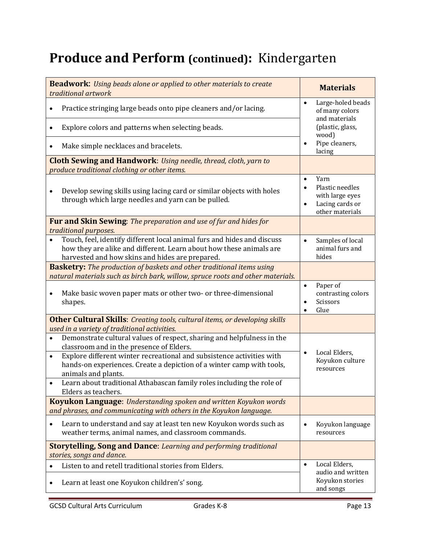# **Produce and Perform (continued):** Kindergarten

| <b>Beadwork:</b> Using beads alone or applied to other materials to create<br>traditional artwork                                                                                                 | <b>Materials</b>                                                                              |
|---------------------------------------------------------------------------------------------------------------------------------------------------------------------------------------------------|-----------------------------------------------------------------------------------------------|
| Practice stringing large beads onto pipe cleaners and/or lacing.                                                                                                                                  | Large-holed beads<br>$\bullet$<br>of many colors<br>and materials                             |
| Explore colors and patterns when selecting beads.                                                                                                                                                 | (plastic, glass,<br>wood)                                                                     |
| Make simple necklaces and bracelets.                                                                                                                                                              | Pipe cleaners,<br>lacing                                                                      |
| Cloth Sewing and Handwork: Using needle, thread, cloth, yarn to                                                                                                                                   |                                                                                               |
| produce traditional clothing or other items.                                                                                                                                                      |                                                                                               |
| Develop sewing skills using lacing card or similar objects with holes<br>$\bullet$<br>through which large needles and yarn can be pulled.                                                         | Yarn<br>$\bullet$<br>Plastic needles<br>with large eyes<br>Lacing cards or<br>other materials |
| Fur and Skin Sewing: The preparation and use of fur and hides for<br>traditional purposes.                                                                                                        |                                                                                               |
| Touch, feel, identify different local animal furs and hides and discuss<br>how they are alike and different. Learn about how these animals are<br>harvested and how skins and hides are prepared. | Samples of local<br>$\bullet$<br>animal furs and<br>hides                                     |
| <b>Basketry:</b> The production of baskets and other traditional items using<br>natural materials such as birch bark, willow, spruce roots and other materials.                                   |                                                                                               |
| Make basic woven paper mats or other two- or three-dimensional<br>$\bullet$<br>shapes.                                                                                                            | Paper of<br>$\bullet$<br>contrasting colors<br>Scissors<br>Glue<br>$\bullet$                  |
| <b>Other Cultural Skills:</b> Creating tools, cultural items, or developing skills                                                                                                                |                                                                                               |
| used in a variety of traditional activities.                                                                                                                                                      |                                                                                               |
| Demonstrate cultural values of respect, sharing and helpfulness in the<br>$\bullet$<br>classroom and in the presence of Elders.                                                                   | Local Elders,                                                                                 |
| Explore different winter recreational and subsistence activities with<br>$\bullet$<br>hands-on experiences. Create a depiction of a winter camp with tools,<br>animals and plants.                | Koyukon culture<br>resources                                                                  |
| Learn about traditional Athabascan family roles including the role of<br>Elders as teachers.                                                                                                      |                                                                                               |
| <b>Koyukon Language:</b> Understanding spoken and written Koyukon words<br>and phrases, and communicating with others in the Koyukon language.                                                    |                                                                                               |
| Learn to understand and say at least ten new Koyukon words such as<br>weather terms, animal names, and classroom commands.                                                                        | Koyukon language<br>resources                                                                 |
| <b>Storytelling, Song and Dance: Learning and performing traditional</b><br>stories, songs and dance.                                                                                             |                                                                                               |
| Listen to and retell traditional stories from Elders.                                                                                                                                             | Local Elders,<br>$\bullet$                                                                    |
| Learn at least one Koyukon children's' song.                                                                                                                                                      | audio and written<br>Koyukon stories<br>and songs                                             |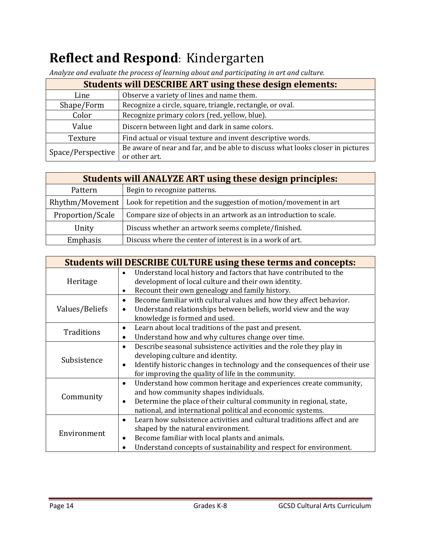# **Reflect and Respond**: Kindergarten

| <b>Students will DESCRIBE ART using these design elements:</b> |                                                                                |  |  |
|----------------------------------------------------------------|--------------------------------------------------------------------------------|--|--|
| Line                                                           | Observe a variety of lines and name them.                                      |  |  |
| Shape/Form                                                     | Recognize a circle, square, triangle, rectangle, or oval.                      |  |  |
| Recognize primary colors (red, yellow, blue).<br>Color         |                                                                                |  |  |
| Value                                                          | Discern between light and dark in same colors.                                 |  |  |
| Texture                                                        | Find actual or visual texture and invent descriptive words.                    |  |  |
| Space/Perspective                                              | Be aware of near and far, and be able to discuss what looks closer in pictures |  |  |
|                                                                | or other art.                                                                  |  |  |

*Analyze and evaluate the process of learning about and participating in art and culture.*

| <b>Students will ANALYZE ART using these design principles:</b> |                                                                    |  |  |
|-----------------------------------------------------------------|--------------------------------------------------------------------|--|--|
| Pattern                                                         | Begin to recognize patterns.                                       |  |  |
| Rhythm/Movement                                                 | Look for repetition and the suggestion of motion/movement in art   |  |  |
| Proportion/Scale                                                | Compare size of objects in an artwork as an introduction to scale. |  |  |
| Unity                                                           | Discuss whether an artwork seems complete/finished.                |  |  |
| Emphasis                                                        | Discuss where the center of interest is in a work of art.          |  |  |

| <b>Students will DESCRIBE CULTURE using these terms and concepts:</b> |                                                                                                                                               |  |  |  |
|-----------------------------------------------------------------------|-----------------------------------------------------------------------------------------------------------------------------------------------|--|--|--|
| Heritage                                                              | Understand local history and factors that have contributed to the<br>development of local culture and their own identity.                     |  |  |  |
|                                                                       | Recount their own genealogy and family history.                                                                                               |  |  |  |
|                                                                       | Become familiar with cultural values and how they affect behavior.<br>$\bullet$                                                               |  |  |  |
| Values/Beliefs                                                        | Understand relationships between beliefs, world view and the way<br>$\bullet$<br>knowledge is formed and used.                                |  |  |  |
| Traditions                                                            | Learn about local traditions of the past and present.<br>$\bullet$                                                                            |  |  |  |
|                                                                       | Understand how and why cultures change over time.                                                                                             |  |  |  |
|                                                                       | Describe seasonal subsistence activities and the role they play in<br>$\bullet$                                                               |  |  |  |
| Subsistence                                                           | developing culture and identity.                                                                                                              |  |  |  |
|                                                                       | Identify historic changes in technology and the consequences of their use<br>$\bullet$<br>for improving the quality of life in the community. |  |  |  |
|                                                                       | Understand how common heritage and experiences create community,<br>$\bullet$                                                                 |  |  |  |
| Community                                                             | and how community shapes individuals.                                                                                                         |  |  |  |
|                                                                       | Determine the place of their cultural community in regional, state,<br>$\bullet$                                                              |  |  |  |
|                                                                       | national, and international political and economic systems.                                                                                   |  |  |  |
|                                                                       | Learn how subsistence activities and cultural traditions affect and are<br>$\bullet$                                                          |  |  |  |
| Environment                                                           | shaped by the natural environment.                                                                                                            |  |  |  |
|                                                                       | Become familiar with local plants and animals.<br>$\bullet$                                                                                   |  |  |  |
|                                                                       | Understand concepts of sustainability and respect for environment.                                                                            |  |  |  |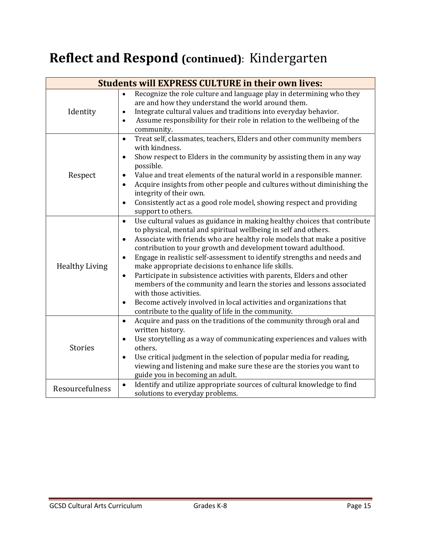## **Reflect and Respond (continued)**: Kindergarten

| <b>Students will EXPRESS CULTURE in their own lives:</b> |                                                                                                                                                                                                                                                                                                                                                                                                                                                                                                                                                                                                                                                                                                                                                                                             |  |  |  |
|----------------------------------------------------------|---------------------------------------------------------------------------------------------------------------------------------------------------------------------------------------------------------------------------------------------------------------------------------------------------------------------------------------------------------------------------------------------------------------------------------------------------------------------------------------------------------------------------------------------------------------------------------------------------------------------------------------------------------------------------------------------------------------------------------------------------------------------------------------------|--|--|--|
| Identity                                                 | Recognize the role culture and language play in determining who they<br>$\bullet$<br>are and how they understand the world around them.<br>Integrate cultural values and traditions into everyday behavior.<br>$\bullet$<br>Assume responsibility for their role in relation to the wellbeing of the<br>$\bullet$<br>community.                                                                                                                                                                                                                                                                                                                                                                                                                                                             |  |  |  |
| Respect                                                  | Treat self, classmates, teachers, Elders and other community members<br>$\bullet$<br>with kindness.<br>Show respect to Elders in the community by assisting them in any way<br>$\bullet$<br>possible.<br>Value and treat elements of the natural world in a responsible manner.<br>Acquire insights from other people and cultures without diminishing the<br>integrity of their own.<br>Consistently act as a good role model, showing respect and providing<br>$\bullet$<br>support to others.                                                                                                                                                                                                                                                                                            |  |  |  |
| <b>Healthy Living</b>                                    | Use cultural values as guidance in making healthy choices that contribute<br>$\bullet$<br>to physical, mental and spiritual wellbeing in self and others.<br>Associate with friends who are healthy role models that make a positive<br>٠<br>contribution to your growth and development toward adulthood.<br>Engage in realistic self-assessment to identify strengths and needs and<br>$\bullet$<br>make appropriate decisions to enhance life skills.<br>Participate in subsistence activities with parents, Elders and other<br>$\bullet$<br>members of the community and learn the stories and lessons associated<br>with those activities.<br>Become actively involved in local activities and organizations that<br>$\bullet$<br>contribute to the quality of life in the community. |  |  |  |
| <b>Stories</b>                                           | Acquire and pass on the traditions of the community through oral and<br>$\bullet$<br>written history.<br>Use storytelling as a way of communicating experiences and values with<br>$\bullet$<br>others.<br>Use critical judgment in the selection of popular media for reading,<br>$\bullet$<br>viewing and listening and make sure these are the stories you want to<br>guide you in becoming an adult.                                                                                                                                                                                                                                                                                                                                                                                    |  |  |  |
| Resourcefulness                                          | Identify and utilize appropriate sources of cultural knowledge to find<br>$\bullet$<br>solutions to everyday problems.                                                                                                                                                                                                                                                                                                                                                                                                                                                                                                                                                                                                                                                                      |  |  |  |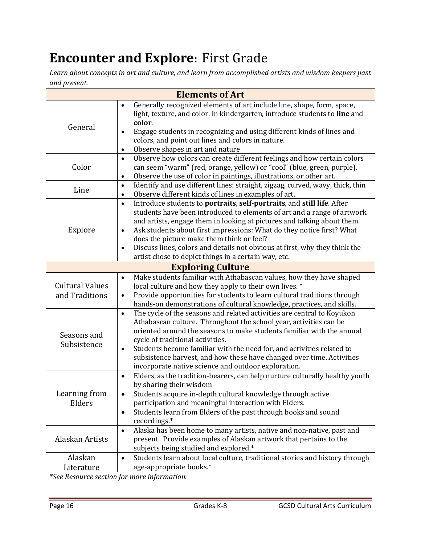## **Encounter and Explore:** First Grade

*Learn about concepts in art and culture, and learn from accomplished artists and wisdom keepers past and present.*

| <b>Elements of Art</b>                   |                                                                                                                                                                                                                                                                                                                                                                                                                                                                                                                                 |  |  |  |
|------------------------------------------|---------------------------------------------------------------------------------------------------------------------------------------------------------------------------------------------------------------------------------------------------------------------------------------------------------------------------------------------------------------------------------------------------------------------------------------------------------------------------------------------------------------------------------|--|--|--|
| General                                  | Generally recognized elements of art include line, shape, form, space,<br>$\bullet$<br>light, texture, and color. In kindergarten, introduce students to line and<br>color.<br>Engage students in recognizing and using different kinds of lines and<br>$\bullet$<br>colors, and point out lines and colors in nature.<br>Observe shapes in art and nature<br>$\bullet$                                                                                                                                                         |  |  |  |
| Color                                    | Observe how colors can create different feelings and how certain colors<br>$\bullet$<br>can seem "warm" (red, orange, yellow) or "cool" (blue, green, purple).<br>Observe the use of color in paintings, illustrations, or other art.<br>$\bullet$                                                                                                                                                                                                                                                                              |  |  |  |
| Line                                     | Identify and use different lines: straight, zigzag, curved, wavy, thick, thin<br>$\bullet$<br>Observe different kinds of lines in examples of art.<br>$\bullet$                                                                                                                                                                                                                                                                                                                                                                 |  |  |  |
| Explore                                  | Introduce students to portraits, self-portraits, and still life. After<br>$\bullet$<br>students have been introduced to elements of art and a range of artwork<br>and artists, engage them in looking at pictures and talking about them.<br>Ask students about first impressions: What do they notice first? What<br>$\bullet$<br>does the picture make them think or feel?<br>Discuss lines, colors and details not obvious at first, why they think the<br>$\bullet$<br>artist chose to depict things in a certain way, etc. |  |  |  |
|                                          | <b>Exploring Culture</b>                                                                                                                                                                                                                                                                                                                                                                                                                                                                                                        |  |  |  |
| <b>Cultural Values</b><br>and Traditions | Make students familiar with Athabascan values, how they have shaped<br>$\bullet$<br>local culture and how they apply to their own lives. *<br>Provide opportunities for students to learn cultural traditions through<br>$\bullet$<br>hands-on demonstrations of cultural knowledge, practices, and skills.                                                                                                                                                                                                                     |  |  |  |
| Seasons and<br>Subsistence               | The cycle of the seasons and related activities are central to Koyukon<br>$\bullet$<br>Athabascan culture. Throughout the school year, activities can be<br>oriented around the seasons to make students familiar with the annual<br>cycle of traditional activities.<br>Students become familiar with the need for, and activities related to<br>$\bullet$<br>subsistence harvest, and how these have changed over time. Activities<br>incorporate native science and outdoor exploration.                                     |  |  |  |
| Learning from<br>Elders                  | Elders, as the tradition-bearers, can help nurture culturally healthy youth<br>$\bullet$<br>by sharing their wisdom<br>Students acquire in-depth cultural knowledge through active<br>participation and meaningful interaction with Elders.<br>Students learn from Elders of the past through books and sound<br>$\bullet$<br>recordings.*                                                                                                                                                                                      |  |  |  |
| Alaskan Artists                          | Alaska has been home to many artists, native and non-native, past and<br>$\bullet$<br>present. Provide examples of Alaskan artwork that pertains to the<br>subjects being studied and explored.*                                                                                                                                                                                                                                                                                                                                |  |  |  |
| Alaskan<br>Literature                    | Students learn about local culture, traditional stories and history through<br>$\bullet$<br>age-appropriate books.*                                                                                                                                                                                                                                                                                                                                                                                                             |  |  |  |

*\*See Resource section for more information.*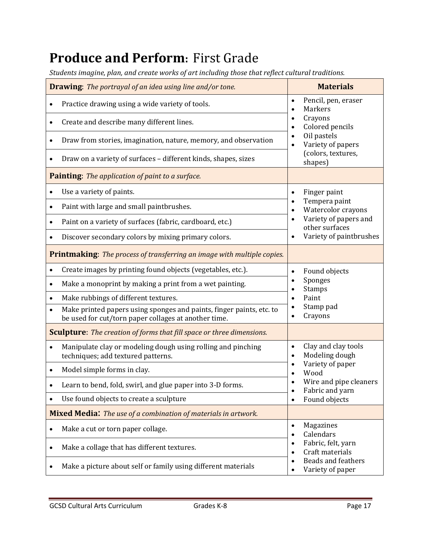#### **Produce and Perform:** First Grade

*Students imagine, plan, and create works of art including those that reflect cultural traditions.*

|           | <b>Drawing:</b> The portrayal of an idea using line and/or tone.                                                             | <b>Materials</b>                                                                    |  |  |
|-----------|------------------------------------------------------------------------------------------------------------------------------|-------------------------------------------------------------------------------------|--|--|
| $\bullet$ | Practice drawing using a wide variety of tools.                                                                              | Pencil, pen, eraser<br>$\bullet$                                                    |  |  |
|           | Create and describe many different lines.                                                                                    | <b>Markers</b><br>$\bullet$<br>Crayons<br>$\bullet$<br>Colored pencils<br>$\bullet$ |  |  |
| $\bullet$ | Draw from stories, imagination, nature, memory, and observation                                                              | Oil pastels<br>$\bullet$<br>Variety of papers<br>$\bullet$                          |  |  |
|           | Draw on a variety of surfaces - different kinds, shapes, sizes                                                               | (colors, textures,<br>shapes)                                                       |  |  |
|           | Painting: The application of paint to a surface.                                                                             |                                                                                     |  |  |
|           | Use a variety of paints.                                                                                                     | Finger paint<br>$\bullet$                                                           |  |  |
| ٠         | Paint with large and small paintbrushes.                                                                                     | Tempera paint<br>$\bullet$<br>Watercolor crayons<br>$\bullet$                       |  |  |
| $\bullet$ | Paint on a variety of surfaces (fabric, cardboard, etc.)                                                                     | Variety of papers and<br>$\bullet$<br>other surfaces                                |  |  |
|           | Discover secondary colors by mixing primary colors.                                                                          | Variety of paintbrushes<br>$\bullet$                                                |  |  |
|           | <b>Printmaking:</b> The process of transferring an image with multiple copies.                                               |                                                                                     |  |  |
|           | Create images by printing found objects (vegetables, etc.).                                                                  | Found objects<br>$\bullet$                                                          |  |  |
| $\bullet$ | Make a monoprint by making a print from a wet painting.                                                                      | Sponges<br>$\bullet$<br><b>Stamps</b>                                               |  |  |
| $\bullet$ | Make rubbings of different textures.                                                                                         | Paint<br>$\bullet$                                                                  |  |  |
| $\bullet$ | Make printed papers using sponges and paints, finger paints, etc. to<br>be used for cut/torn paper collages at another time. | Stamp pad<br>Crayons<br>$\bullet$                                                   |  |  |
|           | <b>Sculpture:</b> The creation of forms that fill space or three dimensions.                                                 |                                                                                     |  |  |
| $\bullet$ | Manipulate clay or modeling dough using rolling and pinching<br>techniques; add textured patterns.                           | Clay and clay tools<br>$\bullet$<br>Modeling dough<br>$\bullet$                     |  |  |
|           | Model simple forms in clay.                                                                                                  | Variety of paper<br>٠<br>Wood                                                       |  |  |
|           | Learn to bend, fold, swirl, and glue paper into 3-D forms.                                                                   | Wire and pipe cleaners<br>Fabric and yarn<br>$\bullet$                              |  |  |
| $\bullet$ | Use found objects to create a sculpture                                                                                      | Found objects<br>$\bullet$                                                          |  |  |
|           | <b>Mixed Media:</b> The use of a combination of materials in artwork.                                                        |                                                                                     |  |  |
| $\bullet$ | Make a cut or torn paper collage.                                                                                            | Magazines<br>$\bullet$<br>Calendars<br>$\bullet$                                    |  |  |
| $\bullet$ | Make a collage that has different textures.                                                                                  | Fabric, felt, yarn<br>$\bullet$<br>Craft materials<br>$\bullet$                     |  |  |
|           | Make a picture about self or family using different materials                                                                | <b>Beads and feathers</b><br>$\bullet$<br>Variety of paper<br>$\bullet$             |  |  |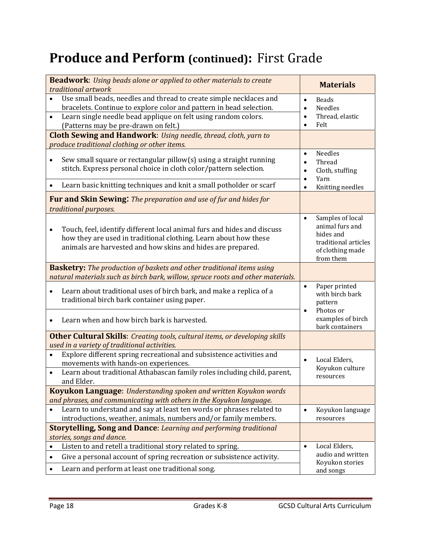### **Produce and Perform (continued): First Grade**

| <b>Beadwork:</b> Using beads alone or applied to other materials to create<br>traditional artwork                                                                                                                                                                             | <b>Materials</b>                                                                                                                  |
|-------------------------------------------------------------------------------------------------------------------------------------------------------------------------------------------------------------------------------------------------------------------------------|-----------------------------------------------------------------------------------------------------------------------------------|
| Use small beads, needles and thread to create simple necklaces and<br>$\bullet$<br>bracelets. Continue to explore color and pattern in bead selection.<br>Learn single needle bead applique on felt using random colors.<br>$\bullet$<br>(Patterns may be pre-drawn on felt.) | <b>Beads</b><br>$\bullet$<br><b>Needles</b><br>$\bullet$<br>Thread, elastic<br>$\bullet$<br>Felt<br>$\bullet$                     |
| <b>Cloth Sewing and Handwork:</b> Using needle, thread, cloth, yarn to<br>produce traditional clothing or other items.                                                                                                                                                        |                                                                                                                                   |
| Sew small square or rectangular pillow(s) using a straight running<br>stitch. Express personal choice in cloth color/pattern selection.<br>Learn basic knitting techniques and knit a small potholder or scarf                                                                | Needles<br>$\bullet$<br>Thread<br>$\bullet$<br>Cloth, stuffing<br>$\bullet$<br>Yarn<br>$\bullet$<br>Knitting needles<br>$\bullet$ |
| <b>Fur and Skin Sewing:</b> The preparation and use of fur and hides for<br>traditional purposes.                                                                                                                                                                             |                                                                                                                                   |
| Touch, feel, identify different local animal furs and hides and discuss<br>$\bullet$<br>how they are used in traditional clothing. Learn about how these<br>animals are harvested and how skins and hides are prepared.                                                       | Samples of local<br>$\bullet$<br>animal furs and<br>hides and<br>traditional articles<br>of clothing made<br>from them            |
| <b>Basketry:</b> The production of baskets and other traditional items using<br>natural materials such as birch bark, willow, spruce roots and other materials.                                                                                                               |                                                                                                                                   |
| Learn about traditional uses of birch bark, and make a replica of a<br>$\bullet$<br>traditional birch bark container using paper.                                                                                                                                             | Paper printed<br>$\bullet$<br>with birch bark<br>pattern<br>Photos or<br>$\bullet$                                                |
| Learn when and how birch bark is harvested.                                                                                                                                                                                                                                   | examples of birch<br>bark containers                                                                                              |
| <b>Other Cultural Skills:</b> Creating tools, cultural items, or developing skills<br>used in a variety of traditional activities.                                                                                                                                            |                                                                                                                                   |
| Explore different spring recreational and subsistence activities and<br>$\bullet$<br>movements with hands-on experiences.<br>Learn about traditional Athabascan family roles including child, parent,<br>and Elder.                                                           | Local Elders,<br>$\bullet$<br>Koyukon culture<br>resources                                                                        |
| <b>Koyukon Language:</b> Understanding spoken and written Koyukon words                                                                                                                                                                                                       |                                                                                                                                   |
| and phrases, and communicating with others in the Koyukon language.<br>Learn to understand and say at least ten words or phrases related to<br>introductions, weather, animals, numbers and/or family members.                                                                | Koyukon language<br>resources                                                                                                     |
| <b>Storytelling, Song and Dance:</b> Learning and performing traditional<br>stories, songs and dance.                                                                                                                                                                         |                                                                                                                                   |
| Listen to and retell a traditional story related to spring.                                                                                                                                                                                                                   | Local Elders,<br>$\bullet$                                                                                                        |
| Give a personal account of spring recreation or subsistence activity.<br>$\bullet$<br>Learn and perform at least one traditional song.<br>٠                                                                                                                                   | audio and written<br>Koyukon stories<br>and songs                                                                                 |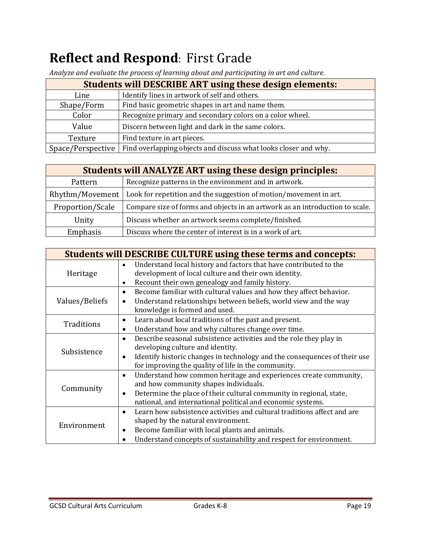## **Reflect and Respond: First Grade**

| <b>Students will DESCRIBE ART using these design elements:</b> |                                                                 |
|----------------------------------------------------------------|-----------------------------------------------------------------|
| Line                                                           | Identify lines in artwork of self and others.                   |
| Shape/Form                                                     | Find basic geometric shapes in art and name them.               |
| Color                                                          | Recognize primary and secondary colors on a color wheel.        |
| Value                                                          | Discern between light and dark in the same colors.              |
| Texture                                                        | Find texture in art pieces.                                     |
| Space/Perspective                                              | Find overlapping objects and discuss what looks closer and why. |

*Analyze and evaluate the process of learning about and participating in art and culture.*

| <b>Students will ANALYZE ART using these design principles:</b> |                                                                              |
|-----------------------------------------------------------------|------------------------------------------------------------------------------|
| Pattern                                                         | Recognize patterns in the environment and in artwork.                        |
| Rhythm/Movement                                                 | Look for repetition and the suggestion of motion/movement in art.            |
| Proportion/Scale                                                | Compare size of forms and objects in an artwork as an introduction to scale. |
| Unity                                                           | Discuss whether an artwork seems complete/finished.                          |
| Emphasis                                                        | Discuss where the center of interest is in a work of art.                    |

| <b>Students will DESCRIBE CULTURE using these terms and concepts:</b> |                                                                                        |
|-----------------------------------------------------------------------|----------------------------------------------------------------------------------------|
| Heritage                                                              | Understand local history and factors that have contributed to the<br>$\bullet$         |
|                                                                       | development of local culture and their own identity.                                   |
|                                                                       | Recount their own genealogy and family history.<br>$\bullet$                           |
|                                                                       | Become familiar with cultural values and how they affect behavior.<br>$\bullet$        |
| Values/Beliefs                                                        | Understand relationships between beliefs, world view and the way                       |
|                                                                       | knowledge is formed and used.                                                          |
|                                                                       | Learn about local traditions of the past and present.                                  |
| Traditions                                                            | Understand how and why cultures change over time.                                      |
|                                                                       | Describe seasonal subsistence activities and the role they play in<br>$\bullet$        |
| Subsistence                                                           | developing culture and identity.                                                       |
|                                                                       | Identify historic changes in technology and the consequences of their use<br>$\bullet$ |
|                                                                       | for improving the quality of life in the community.                                    |
|                                                                       | Understand how common heritage and experiences create community,<br>$\bullet$          |
|                                                                       | and how community shapes individuals.                                                  |
| Community                                                             | Determine the place of their cultural community in regional, state,<br>٠               |
|                                                                       | national, and international political and economic systems.                            |
|                                                                       | Learn how subsistence activities and cultural traditions affect and are<br>$\bullet$   |
| Environment                                                           | shaped by the natural environment.                                                     |
|                                                                       | Become familiar with local plants and animals.                                         |
|                                                                       | Understand concepts of sustainability and respect for environment.                     |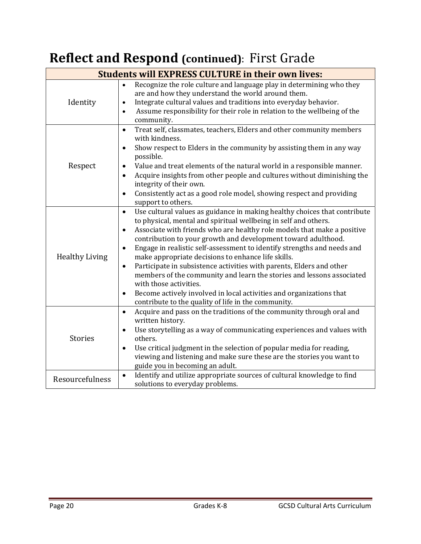## **Reflect and Respond (continued)**: First Grade

| <b>Students will EXPRESS CULTURE in their own lives:</b> |                                                                                                                                                                                                                                                                                                                                                                                                                                                                                                                                                                                                                                                                                                                                                                                                     |
|----------------------------------------------------------|-----------------------------------------------------------------------------------------------------------------------------------------------------------------------------------------------------------------------------------------------------------------------------------------------------------------------------------------------------------------------------------------------------------------------------------------------------------------------------------------------------------------------------------------------------------------------------------------------------------------------------------------------------------------------------------------------------------------------------------------------------------------------------------------------------|
| Identity                                                 | Recognize the role culture and language play in determining who they<br>$\bullet$<br>are and how they understand the world around them.<br>Integrate cultural values and traditions into everyday behavior.<br>$\bullet$<br>Assume responsibility for their role in relation to the wellbeing of the<br>$\bullet$<br>community.                                                                                                                                                                                                                                                                                                                                                                                                                                                                     |
| Respect                                                  | Treat self, classmates, teachers, Elders and other community members<br>$\bullet$<br>with kindness.<br>Show respect to Elders in the community by assisting them in any way<br>$\bullet$<br>possible.<br>Value and treat elements of the natural world in a responsible manner.<br>$\bullet$<br>Acquire insights from other people and cultures without diminishing the<br>$\bullet$<br>integrity of their own.<br>Consistently act as a good role model, showing respect and providing<br>$\bullet$<br>support to others.                                                                                                                                                                                                                                                                          |
| <b>Healthy Living</b>                                    | Use cultural values as guidance in making healthy choices that contribute<br>$\bullet$<br>to physical, mental and spiritual wellbeing in self and others.<br>Associate with friends who are healthy role models that make a positive<br>$\bullet$<br>contribution to your growth and development toward adulthood.<br>Engage in realistic self-assessment to identify strengths and needs and<br>$\bullet$<br>make appropriate decisions to enhance life skills.<br>Participate in subsistence activities with parents, Elders and other<br>$\bullet$<br>members of the community and learn the stories and lessons associated<br>with those activities.<br>Become actively involved in local activities and organizations that<br>$\bullet$<br>contribute to the quality of life in the community. |
| <b>Stories</b>                                           | Acquire and pass on the traditions of the community through oral and<br>$\bullet$<br>written history.<br>Use storytelling as a way of communicating experiences and values with<br>$\bullet$<br>others.<br>Use critical judgment in the selection of popular media for reading,<br>$\bullet$<br>viewing and listening and make sure these are the stories you want to<br>guide you in becoming an adult.                                                                                                                                                                                                                                                                                                                                                                                            |
| Resourcefulness                                          | Identify and utilize appropriate sources of cultural knowledge to find<br>$\bullet$<br>solutions to everyday problems.                                                                                                                                                                                                                                                                                                                                                                                                                                                                                                                                                                                                                                                                              |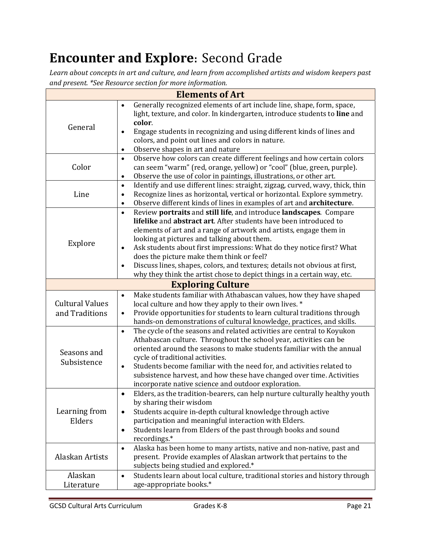## **Encounter and Explore:** Second Grade

*Learn about concepts in art and culture, and learn from accomplished artists and wisdom keepers past and present. \*See Resource section for more information.*

| <b>Elements of Art</b>                   |                                                                                                                                                                                                                                                                                                                                                                                                                                                                                                                                                                                    |  |
|------------------------------------------|------------------------------------------------------------------------------------------------------------------------------------------------------------------------------------------------------------------------------------------------------------------------------------------------------------------------------------------------------------------------------------------------------------------------------------------------------------------------------------------------------------------------------------------------------------------------------------|--|
| General                                  | Generally recognized elements of art include line, shape, form, space,<br>$\bullet$<br>light, texture, and color. In kindergarten, introduce students to line and<br>color.<br>Engage students in recognizing and using different kinds of lines and<br>$\bullet$<br>colors, and point out lines and colors in nature.<br>Observe shapes in art and nature<br>$\bullet$                                                                                                                                                                                                            |  |
| Color                                    | Observe how colors can create different feelings and how certain colors<br>$\bullet$<br>can seem "warm" (red, orange, yellow) or "cool" (blue, green, purple).<br>Observe the use of color in paintings, illustrations, or other art.<br>$\bullet$                                                                                                                                                                                                                                                                                                                                 |  |
| Line                                     | Identify and use different lines: straight, zigzag, curved, wavy, thick, thin<br>$\bullet$<br>Recognize lines as horizontal, vertical or horizontal. Explore symmetry.<br>$\bullet$<br>Observe different kinds of lines in examples of art and architecture.<br>$\bullet$                                                                                                                                                                                                                                                                                                          |  |
| Explore                                  | Review portraits and still life, and introduce landscapes. Compare<br>$\bullet$<br>lifelike and abstract art. After students have been introduced to<br>elements of art and a range of artwork and artists, engage them in<br>looking at pictures and talking about them.<br>Ask students about first impressions: What do they notice first? What<br>$\bullet$<br>does the picture make them think or feel?<br>Discuss lines, shapes, colors, and textures; details not obvious at first,<br>$\bullet$<br>why they think the artist chose to depict things in a certain way, etc. |  |
|                                          | <b>Exploring Culture</b>                                                                                                                                                                                                                                                                                                                                                                                                                                                                                                                                                           |  |
| <b>Cultural Values</b><br>and Traditions | Make students familiar with Athabascan values, how they have shaped<br>$\bullet$<br>local culture and how they apply to their own lives. *<br>Provide opportunities for students to learn cultural traditions through<br>$\bullet$<br>hands-on demonstrations of cultural knowledge, practices, and skills.                                                                                                                                                                                                                                                                        |  |
| Seasons and<br>Subsistence               | The cycle of the seasons and related activities are central to Koyukon<br>$\bullet$<br>Athabascan culture. Throughout the school year, activities can be<br>oriented around the seasons to make students familiar with the annual<br>cycle of traditional activities.<br>Students become familiar with the need for, and activities related to<br>$\bullet$<br>subsistence harvest, and how these have changed over time. Activities<br>incorporate native science and outdoor exploration.                                                                                        |  |
| Learning from<br>Elders                  | Elders, as the tradition-bearers, can help nurture culturally healthy youth<br>$\bullet$<br>by sharing their wisdom<br>Students acquire in-depth cultural knowledge through active<br>$\bullet$<br>participation and meaningful interaction with Elders.<br>Students learn from Elders of the past through books and sound<br>$\bullet$<br>recordings.*                                                                                                                                                                                                                            |  |
| Alaskan Artists                          | Alaska has been home to many artists, native and non-native, past and<br>$\bullet$<br>present. Provide examples of Alaskan artwork that pertains to the<br>subjects being studied and explored.*                                                                                                                                                                                                                                                                                                                                                                                   |  |
| Alaskan<br>Literature                    | Students learn about local culture, traditional stories and history through<br>$\bullet$<br>age-appropriate books.*                                                                                                                                                                                                                                                                                                                                                                                                                                                                |  |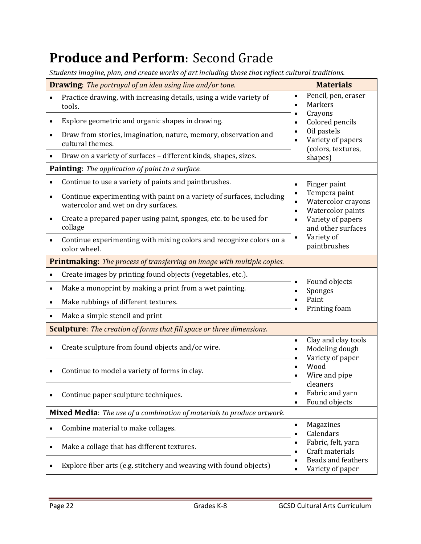### **Produce and Perform:** Second Grade

*Students imagine, plan, and create works of art including those that reflect cultural traditions.*

| <b>Drawing:</b> The portrayal of an idea using line and/or tone.                                                          | <b>Materials</b>                                                                                |
|---------------------------------------------------------------------------------------------------------------------------|-------------------------------------------------------------------------------------------------|
| Practice drawing, with increasing details, using a wide variety of<br>$\bullet$<br>tools.                                 | Pencil, pen, eraser<br>$\bullet$<br>Markers<br>$\bullet$                                        |
| Explore geometric and organic shapes in drawing.<br>٠                                                                     | Crayons<br>$\bullet$<br>Colored pencils<br>$\bullet$                                            |
| Draw from stories, imagination, nature, memory, observation and<br>$\bullet$<br>cultural themes.                          | Oil pastels<br>$\bullet$<br>Variety of papers<br>$\bullet$<br>(colors, textures,                |
| Draw on a variety of surfaces - different kinds, shapes, sizes.<br>$\bullet$                                              | shapes)                                                                                         |
| Painting: The application of paint to a surface.                                                                          |                                                                                                 |
| Continue to use a variety of paints and paintbrushes.<br>$\bullet$                                                        | Finger paint<br>$\bullet$                                                                       |
| Continue experimenting with paint on a variety of surfaces, including<br>$\bullet$<br>watercolor and wet on dry surfaces. | Tempera paint<br>$\bullet$<br>Watercolor crayons<br>$\bullet$<br>Watercolor paints<br>$\bullet$ |
| Create a prepared paper using paint, sponges, etc. to be used for<br>$\bullet$<br>collage                                 | Variety of papers<br>$\bullet$<br>and other surfaces                                            |
| Continue experimenting with mixing colors and recognize colors on a<br>$\bullet$<br>color wheel.                          | Variety of<br>$\bullet$<br>paintbrushes                                                         |
| <b>Printmaking:</b> The process of transferring an image with multiple copies.                                            |                                                                                                 |
| Create images by printing found objects (vegetables, etc.).<br>$\bullet$                                                  |                                                                                                 |
| Make a monoprint by making a print from a wet painting.<br>$\bullet$                                                      | Found objects<br>Sponges<br>٠                                                                   |
| Make rubbings of different textures.<br>$\bullet$                                                                         | Paint<br>$\bullet$<br>Printing foam                                                             |
| Make a simple stencil and print<br>$\bullet$                                                                              |                                                                                                 |
| <b>Sculpture:</b> The creation of forms that fill space or three dimensions.                                              |                                                                                                 |
| Create sculpture from found objects and/or wire.                                                                          | Clay and clay tools<br>$\bullet$<br>Modeling dough<br>$\bullet$<br>Variety of paper             |
| Continue to model a variety of forms in clay.<br>٠                                                                        | Wood<br>Wire and pipe                                                                           |
| Continue paper sculpture techniques.<br>٠                                                                                 | cleaners<br>Fabric and yarn<br>$\bullet$<br>Found objects<br>٠                                  |
| Mixed Media: The use of a combination of materials to produce artwork.                                                    |                                                                                                 |
| Combine material to make collages.<br>$\bullet$                                                                           | Magazines<br>$\bullet$<br>Calendars<br>$\bullet$                                                |
| Make a collage that has different textures.<br>$\bullet$                                                                  | Fabric, felt, yarn<br>$\bullet$<br>Craft materials                                              |
| Explore fiber arts (e.g. stitchery and weaving with found objects)                                                        | <b>Beads and feathers</b><br>Variety of paper                                                   |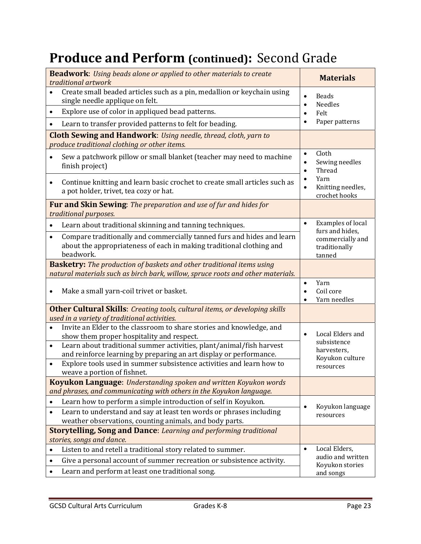### **Produce and Perform (continued):** Second Grade

| <b>Beadwork:</b> Using beads alone or applied to other materials to create<br>traditional artwork                                                                                                                                                                                                                                                                                                | <b>Materials</b>                                                                            |
|--------------------------------------------------------------------------------------------------------------------------------------------------------------------------------------------------------------------------------------------------------------------------------------------------------------------------------------------------------------------------------------------------|---------------------------------------------------------------------------------------------|
| Create small beaded articles such as a pin, medallion or keychain using<br>single needle applique on felt.                                                                                                                                                                                                                                                                                       | <b>Beads</b><br>$\bullet$<br><b>Needles</b>                                                 |
| Explore use of color in appliqued bead patterns.<br>$\bullet$                                                                                                                                                                                                                                                                                                                                    | Felt                                                                                        |
| Learn to transfer provided patterns to felt for beading.                                                                                                                                                                                                                                                                                                                                         | Paper patterns                                                                              |
| <b>Cloth Sewing and Handwork:</b> Using needle, thread, cloth, yarn to<br>produce traditional clothing or other items.                                                                                                                                                                                                                                                                           |                                                                                             |
| Sew a patchwork pillow or small blanket (teacher may need to machine<br>finish project)                                                                                                                                                                                                                                                                                                          | Cloth<br>$\bullet$<br>Sewing needles<br>Thread                                              |
| Continue knitting and learn basic crochet to create small articles such as<br>٠<br>a pot holder, trivet, tea cozy or hat.                                                                                                                                                                                                                                                                        | Yarn<br>$\bullet$<br>Knitting needles,<br>crochet hooks                                     |
| <b>Fur and Skin Sewing:</b> The preparation and use of fur and hides for<br>traditional purposes.                                                                                                                                                                                                                                                                                                |                                                                                             |
| Learn about traditional skinning and tanning techniques.<br>$\bullet$                                                                                                                                                                                                                                                                                                                            | Examples of local<br>$\bullet$<br>furs and hides,                                           |
| Compare traditionally and commercially tanned furs and hides and learn<br>$\bullet$<br>about the appropriateness of each in making traditional clothing and<br>beadwork.                                                                                                                                                                                                                         | commercially and<br>traditionally<br>tanned                                                 |
| <b>Basketry:</b> The production of baskets and other traditional items using<br>natural materials such as birch bark, willow, spruce roots and other materials.                                                                                                                                                                                                                                  |                                                                                             |
| Make a small yarn-coil trivet or basket.<br>$\bullet$                                                                                                                                                                                                                                                                                                                                            | Yarn<br>$\bullet$<br>Coil core<br>$\bullet$<br>Yarn needles                                 |
| <b>Other Cultural Skills:</b> Creating tools, cultural items, or developing skills<br>used in a variety of traditional activities.                                                                                                                                                                                                                                                               |                                                                                             |
| Invite an Elder to the classroom to share stories and knowledge, and<br>$\bullet$<br>show them proper hospitality and respect.<br>Learn about traditional summer activities, plant/animal/fish harvest<br>$\bullet$<br>and reinforce learning by preparing an art display or performance.<br>Explore tools used in summer subsistence activities and learn how to<br>weave a portion of fishnet. | Local Elders and<br>$\bullet$<br>subsistence<br>harvesters,<br>Koyukon culture<br>resources |
| <b>Koyukon Language:</b> Understanding spoken and written Koyukon words                                                                                                                                                                                                                                                                                                                          |                                                                                             |
| and phrases, and communicating with others in the Koyukon language.                                                                                                                                                                                                                                                                                                                              |                                                                                             |
| Learn how to perform a simple introduction of self in Koyukon.<br>Learn to understand and say at least ten words or phrases including<br>$\bullet$<br>weather observations, counting animals, and body parts.                                                                                                                                                                                    | Koyukon language<br>resources                                                               |
| <b>Storytelling, Song and Dance:</b> Learning and performing traditional                                                                                                                                                                                                                                                                                                                         |                                                                                             |
| stories, songs and dance.                                                                                                                                                                                                                                                                                                                                                                        |                                                                                             |
| Listen to and retell a traditional story related to summer.<br>$\bullet$                                                                                                                                                                                                                                                                                                                         | Local Elders,<br>$\bullet$<br>audio and written                                             |
| Give a personal account of summer recreation or subsistence activity.<br>$\bullet$<br>Learn and perform at least one traditional song.                                                                                                                                                                                                                                                           | Koyukon stories<br>and songs                                                                |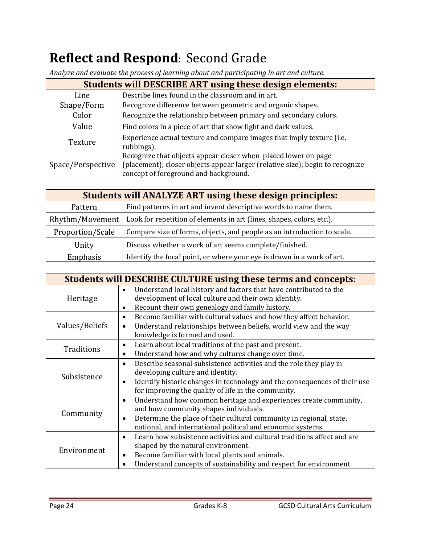## **Reflect and Respond:** Second Grade

| <b>Students will DESCRIBE ART using these design elements:</b> |                                                                                                                                                                                          |
|----------------------------------------------------------------|------------------------------------------------------------------------------------------------------------------------------------------------------------------------------------------|
| Line                                                           | Describe lines found in the classroom and in art.                                                                                                                                        |
| Shape/Form                                                     | Recognize difference between geometric and organic shapes.                                                                                                                               |
| Color                                                          | Recognize the relationship between primary and secondary colors.                                                                                                                         |
| Value                                                          | Find colors in a piece of art that show light and dark values.                                                                                                                           |
| Texture                                                        | Experience actual texture and compare images that imply texture (i.e.<br>rubbings).                                                                                                      |
| Space/Perspective                                              | Recognize that objects appear closer when placed lower on page<br>(placement); closer objects appear larger (relative size); begin to recognize<br>concept of foreground and background. |

*Analyze and evaluate the process of learning about and participating in art and culture.*

| <b>Students will ANALYZE ART using these design principles:</b> |                                                                         |
|-----------------------------------------------------------------|-------------------------------------------------------------------------|
| Pattern                                                         | Find patterns in art and invent descriptive words to name them.         |
| Rhythm/Movement                                                 | Look for repetition of elements in art (lines, shapes, colors, etc.).   |
| Proportion/Scale                                                | Compare size of forms, objects, and people as an introduction to scale. |
| Unity                                                           | Discuss whether a work of art seems complete/finished.                  |
| Emphasis                                                        | Identify the focal point, or where your eye is drawn in a work of art.  |

| <b>Students will DESCRIBE CULTURE using these terms and concepts:</b> |                                                                                        |
|-----------------------------------------------------------------------|----------------------------------------------------------------------------------------|
| Heritage                                                              | Understand local history and factors that have contributed to the<br>$\bullet$         |
|                                                                       | development of local culture and their own identity.                                   |
|                                                                       | Recount their own genealogy and family history.<br>$\bullet$                           |
|                                                                       | Become familiar with cultural values and how they affect behavior.<br>$\bullet$        |
| Values/Beliefs                                                        | Understand relationships between beliefs, world view and the way                       |
|                                                                       | knowledge is formed and used.                                                          |
| Traditions                                                            | Learn about local traditions of the past and present.<br>$\bullet$                     |
|                                                                       | Understand how and why cultures change over time.                                      |
|                                                                       | Describe seasonal subsistence activities and the role they play in<br>$\bullet$        |
| Subsistence                                                           | developing culture and identity.                                                       |
|                                                                       | Identify historic changes in technology and the consequences of their use<br>$\bullet$ |
|                                                                       | for improving the quality of life in the community.                                    |
|                                                                       | Understand how common heritage and experiences create community,<br>$\bullet$          |
|                                                                       | and how community shapes individuals.                                                  |
| Community                                                             | Determine the place of their cultural community in regional, state,<br>$\bullet$       |
|                                                                       | national, and international political and economic systems.                            |
|                                                                       | Learn how subsistence activities and cultural traditions affect and are<br>$\bullet$   |
| Environment                                                           | shaped by the natural environment.                                                     |
|                                                                       | Become familiar with local plants and animals.<br>٠                                    |
|                                                                       | Understand concepts of sustainability and respect for environment.                     |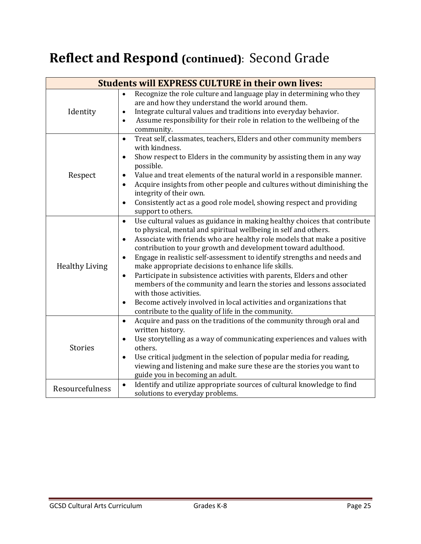## **Reflect and Respond (continued)**: Second Grade

| <b>Students will EXPRESS CULTURE in their own lives:</b> |                                                                                                                                                                                                                                                                                                                                                                                                                                                                                                                                                                                                                                                                                                                                                                                        |
|----------------------------------------------------------|----------------------------------------------------------------------------------------------------------------------------------------------------------------------------------------------------------------------------------------------------------------------------------------------------------------------------------------------------------------------------------------------------------------------------------------------------------------------------------------------------------------------------------------------------------------------------------------------------------------------------------------------------------------------------------------------------------------------------------------------------------------------------------------|
| Identity                                                 | Recognize the role culture and language play in determining who they<br>$\bullet$<br>are and how they understand the world around them.<br>Integrate cultural values and traditions into everyday behavior.<br>$\bullet$<br>Assume responsibility for their role in relation to the wellbeing of the<br>$\bullet$<br>community.                                                                                                                                                                                                                                                                                                                                                                                                                                                        |
| Respect                                                  | Treat self, classmates, teachers, Elders and other community members<br>$\bullet$<br>with kindness.<br>Show respect to Elders in the community by assisting them in any way<br>$\bullet$<br>possible.<br>Value and treat elements of the natural world in a responsible manner.<br>Acquire insights from other people and cultures without diminishing the<br>integrity of their own.<br>Consistently act as a good role model, showing respect and providing<br>support to others.                                                                                                                                                                                                                                                                                                    |
| <b>Healthy Living</b>                                    | Use cultural values as guidance in making healthy choices that contribute<br>$\bullet$<br>to physical, mental and spiritual wellbeing in self and others.<br>Associate with friends who are healthy role models that make a positive<br>$\bullet$<br>contribution to your growth and development toward adulthood.<br>Engage in realistic self-assessment to identify strengths and needs and<br>make appropriate decisions to enhance life skills.<br>Participate in subsistence activities with parents, Elders and other<br>$\bullet$<br>members of the community and learn the stories and lessons associated<br>with those activities.<br>Become actively involved in local activities and organizations that<br>$\bullet$<br>contribute to the quality of life in the community. |
| <b>Stories</b>                                           | Acquire and pass on the traditions of the community through oral and<br>$\bullet$<br>written history.<br>Use storytelling as a way of communicating experiences and values with<br>others.<br>Use critical judgment in the selection of popular media for reading,<br>$\bullet$<br>viewing and listening and make sure these are the stories you want to<br>guide you in becoming an adult.                                                                                                                                                                                                                                                                                                                                                                                            |
| Resourcefulness                                          | Identify and utilize appropriate sources of cultural knowledge to find<br>$\bullet$<br>solutions to everyday problems.                                                                                                                                                                                                                                                                                                                                                                                                                                                                                                                                                                                                                                                                 |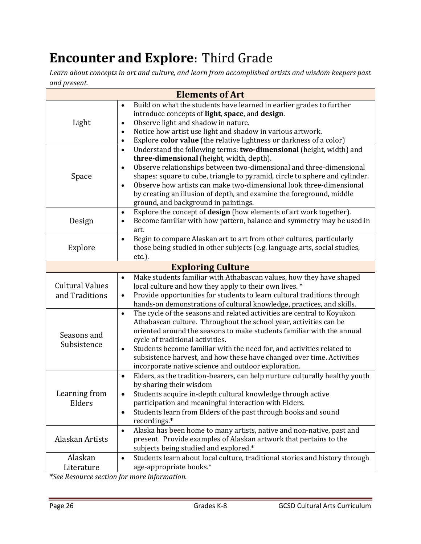## **Encounter and Explore:** Third Grade

*Learn about concepts in art and culture, and learn from accomplished artists and wisdom keepers past and present.*

| <b>Elements of Art</b>                   |                                                                                                                                                                                                                                                                                                                                                                                                                                                                                                      |
|------------------------------------------|------------------------------------------------------------------------------------------------------------------------------------------------------------------------------------------------------------------------------------------------------------------------------------------------------------------------------------------------------------------------------------------------------------------------------------------------------------------------------------------------------|
| Light                                    | Build on what the students have learned in earlier grades to further<br>$\bullet$<br>introduce concepts of light, space, and design.<br>Observe light and shadow in nature.<br>$\bullet$<br>Notice how artist use light and shadow in various artwork.<br>$\bullet$<br>Explore color value (the relative lightness or darkness of a color)<br>$\bullet$                                                                                                                                              |
| Space                                    | Understand the following terms: two-dimensional (height, width) and<br>$\bullet$<br>three-dimensional (height, width, depth).<br>Observe relationships between two-dimensional and three-dimensional<br>$\bullet$<br>shapes: square to cube, triangle to pyramid, circle to sphere and cylinder.<br>Observe how artists can make two-dimensional look three-dimensional<br>$\bullet$<br>by creating an illusion of depth, and examine the foreground, middle<br>ground, and background in paintings. |
| Design                                   | Explore the concept of design (how elements of art work together).<br>$\bullet$<br>Become familiar with how pattern, balance and symmetry may be used in<br>$\bullet$<br>art.                                                                                                                                                                                                                                                                                                                        |
| Explore                                  | Begin to compare Alaskan art to art from other cultures, particularly<br>$\bullet$<br>those being studied in other subjects (e.g. language arts, social studies,<br>$etc.$ ).                                                                                                                                                                                                                                                                                                                        |
|                                          | <b>Exploring Culture</b>                                                                                                                                                                                                                                                                                                                                                                                                                                                                             |
| <b>Cultural Values</b><br>and Traditions | Make students familiar with Athabascan values, how they have shaped<br>$\bullet$<br>local culture and how they apply to their own lives. *<br>Provide opportunities for students to learn cultural traditions through<br>$\bullet$<br>hands-on demonstrations of cultural knowledge, practices, and skills.                                                                                                                                                                                          |
| Seasons and<br>Subsistence               | The cycle of the seasons and related activities are central to Koyukon<br>$\bullet$<br>Athabascan culture. Throughout the school year, activities can be<br>oriented around the seasons to make students familiar with the annual<br>cycle of traditional activities.<br>Students become familiar with the need for, and activities related to<br>$\bullet$<br>subsistence harvest, and how these have changed over time. Activities<br>incorporate native science and outdoor exploration.          |
| Learning from<br>Elders                  | Elders, as the tradition-bearers, can help nurture culturally healthy youth<br>$\bullet$<br>by sharing their wisdom<br>Students acquire in-depth cultural knowledge through active<br>participation and meaningful interaction with Elders.<br>Students learn from Elders of the past through books and sound<br>$\bullet$<br>recordings.*                                                                                                                                                           |
| Alaskan Artists                          | Alaska has been home to many artists, native and non-native, past and<br>$\bullet$<br>present. Provide examples of Alaskan artwork that pertains to the<br>subjects being studied and explored.*                                                                                                                                                                                                                                                                                                     |
| Alaskan<br>Literature                    | Students learn about local culture, traditional stories and history through<br>$\bullet$<br>age-appropriate books.*                                                                                                                                                                                                                                                                                                                                                                                  |

*\*See Resource section for more information.*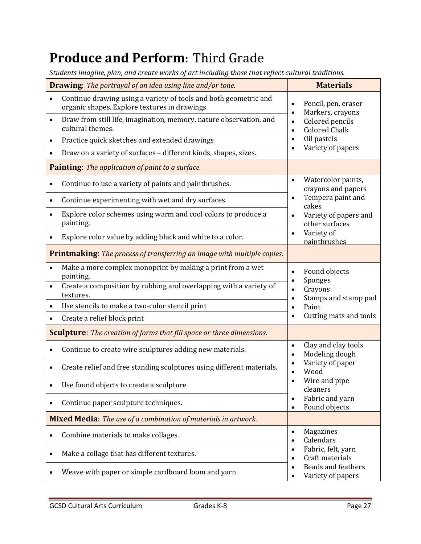#### **Produce and Perform:** Third Grade

*Students imagine, plan, and create works of art including those that reflect cultural traditions.*

| <b>Drawing:</b> The portrayal of an idea using line and/or tone.      |                                                                                                                  |                                                                                                              | <b>Materials</b>                                                                                                               |  |
|-----------------------------------------------------------------------|------------------------------------------------------------------------------------------------------------------|--------------------------------------------------------------------------------------------------------------|--------------------------------------------------------------------------------------------------------------------------------|--|
|                                                                       | Continue drawing using a variety of tools and both geometric and<br>organic shapes. Explore textures in drawings | Pencil, pen, eraser<br>Markers, crayons<br>Colored pencils<br>$\bullet$<br><b>Colored Chalk</b><br>$\bullet$ |                                                                                                                                |  |
| $\bullet$                                                             | Draw from still life, imagination, memory, nature observation, and<br>cultural themes.                           |                                                                                                              |                                                                                                                                |  |
| $\bullet$                                                             | Practice quick sketches and extended drawings                                                                    |                                                                                                              | Oil pastels                                                                                                                    |  |
|                                                                       | Draw on a variety of surfaces - different kinds, shapes, sizes.                                                  |                                                                                                              | Variety of papers                                                                                                              |  |
|                                                                       | Painting: The application of paint to a surface.                                                                 |                                                                                                              |                                                                                                                                |  |
|                                                                       | Continue to use a variety of paints and paintbrushes.                                                            | $\bullet$                                                                                                    | Watercolor paints,<br>crayons and papers<br>Tempera paint and<br>$\bullet$<br>cakes<br>Variety of papers and<br>other surfaces |  |
| $\bullet$                                                             | Continue experimenting with wet and dry surfaces.                                                                |                                                                                                              |                                                                                                                                |  |
| $\bullet$                                                             | Explore color schemes using warm and cool colors to produce a<br>painting.                                       |                                                                                                              |                                                                                                                                |  |
|                                                                       | Explore color value by adding black and white to a color.                                                        | Variety of<br>paintbrushes                                                                                   |                                                                                                                                |  |
|                                                                       | <b>Printmaking:</b> The process of transferring an image with multiple copies.                                   |                                                                                                              |                                                                                                                                |  |
|                                                                       | Make a more complex monoprint by making a print from a wet<br>painting.                                          | $\bullet$                                                                                                    | Found objects<br>Sponges                                                                                                       |  |
| $\bullet$                                                             | Create a composition by rubbing and overlapping with a variety of<br>textures.                                   | $\bullet$                                                                                                    | Crayons<br>Stamps and stamp pad                                                                                                |  |
| $\bullet$                                                             | Use stencils to make a two-color stencil print                                                                   | $\bullet$                                                                                                    | Paint                                                                                                                          |  |
|                                                                       | Create a relief block print                                                                                      | $\bullet$                                                                                                    | Cutting mats and tools                                                                                                         |  |
|                                                                       | <b>Sculpture:</b> The creation of forms that fill space or three dimensions.                                     |                                                                                                              |                                                                                                                                |  |
| $\bullet$                                                             | Continue to create wire sculptures adding new materials.                                                         | $\bullet$<br>$\bullet$                                                                                       | Clay and clay tools<br>Modeling dough                                                                                          |  |
|                                                                       | Create relief and free standing sculptures using different materials.                                            | $\bullet$                                                                                                    | Variety of paper<br>Wood                                                                                                       |  |
|                                                                       | Use found objects to create a sculpture                                                                          |                                                                                                              | Wire and pipe<br>cleaners                                                                                                      |  |
|                                                                       | Continue paper sculpture techniques.                                                                             | $\bullet$<br>$\bullet$                                                                                       | Fabric and yarn<br>Found objects                                                                                               |  |
| <b>Mixed Media:</b> The use of a combination of materials in artwork. |                                                                                                                  |                                                                                                              |                                                                                                                                |  |
|                                                                       | Combine materials to make collages.                                                                              | $\bullet$<br>$\bullet$                                                                                       | Magazines<br>Calendars                                                                                                         |  |
| $\bullet$                                                             | Make a collage that has different textures.                                                                      | $\bullet$<br>$\bullet$                                                                                       | Fabric, felt, yarn<br>Craft materials                                                                                          |  |
|                                                                       | Weave with paper or simple cardboard loom and yarn                                                               | $\bullet$                                                                                                    | <b>Beads and feathers</b><br>Variety of papers                                                                                 |  |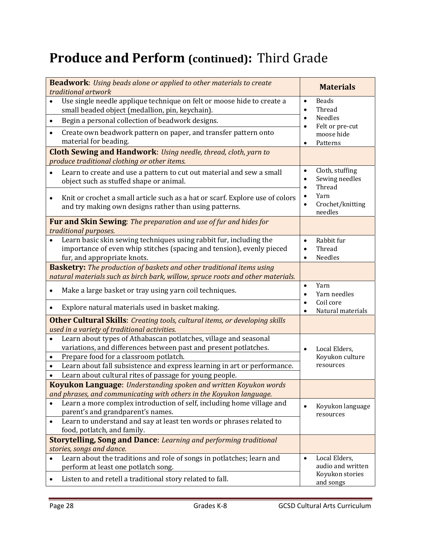### **Produce and Perform (continued):** Third Grade

| <b>Beadwork:</b> Using beads alone or applied to other materials to create<br>traditional artwork                                                                          | <b>Materials</b>                                     |  |  |  |
|----------------------------------------------------------------------------------------------------------------------------------------------------------------------------|------------------------------------------------------|--|--|--|
| Use single needle applique technique on felt or moose hide to create a<br>small beaded object (medallion, pin, keychain).                                                  | <b>Beads</b><br>$\bullet$<br>Thread<br>$\bullet$     |  |  |  |
| Begin a personal collection of beadwork designs.<br>$\bullet$                                                                                                              | Needles<br>$\bullet$<br>Felt or pre-cut<br>$\bullet$ |  |  |  |
| Create own beadwork pattern on paper, and transfer pattern onto<br>material for beading.                                                                                   | moose hide<br>Patterns<br>$\bullet$                  |  |  |  |
| <b>Cloth Sewing and Handwork:</b> Using needle, thread, cloth, yarn to                                                                                                     |                                                      |  |  |  |
| produce traditional clothing or other items.                                                                                                                               |                                                      |  |  |  |
| Learn to create and use a pattern to cut out material and sew a small<br>object such as stuffed shape or animal.                                                           | Cloth, stuffing<br>Sewing needles<br>Thread          |  |  |  |
| Knit or crochet a small article such as a hat or scarf. Explore use of colors<br>$\bullet$<br>and try making own designs rather than using patterns.                       | Yarn<br>Crochet/knitting<br>needles                  |  |  |  |
| Fur and Skin Sewing: The preparation and use of fur and hides for<br>traditional purposes.                                                                                 |                                                      |  |  |  |
| Learn basic skin sewing techniques using rabbit fur, including the<br>importance of even whip stitches (spacing and tension), evenly pieced<br>fur, and appropriate knots. | Rabbit fur<br>Thread<br>Needles                      |  |  |  |
| <b>Basketry:</b> The production of baskets and other traditional items using                                                                                               |                                                      |  |  |  |
| natural materials such as birch bark, willow, spruce roots and other materials.                                                                                            |                                                      |  |  |  |
| Make a large basket or tray using yarn coil techniques.                                                                                                                    | Yarn<br>$\bullet$<br>Yarn needles                    |  |  |  |
| Explore natural materials used in basket making.                                                                                                                           | Coil core<br>Natural materials                       |  |  |  |
| <b>Other Cultural Skills:</b> Creating tools, cultural items, or developing skills                                                                                         |                                                      |  |  |  |
| used in a variety of traditional activities.<br>Learn about types of Athabascan potlatches, village and seasonal<br>$\bullet$                                              |                                                      |  |  |  |
| variations, and differences between past and present potlatches.                                                                                                           | Local Elders,<br>$\bullet$                           |  |  |  |
| Prepare food for a classroom potlatch.<br>$\bullet$                                                                                                                        | Koyukon culture                                      |  |  |  |
| Learn about fall subsistence and express learning in art or performance.<br>$\bullet$                                                                                      | resources                                            |  |  |  |
| Learn about cultural rites of passage for young people.                                                                                                                    |                                                      |  |  |  |
| Koyukon Language: Understanding spoken and written Koyukon words                                                                                                           |                                                      |  |  |  |
| and phrases, and communicating with others in the Koyukon language.                                                                                                        |                                                      |  |  |  |
| Learn a more complex introduction of self, including home village and<br>parent's and grandparent's names.                                                                 | Koyukon language<br>$\bullet$                        |  |  |  |
| Learn to understand and say at least ten words or phrases related to<br>$\bullet$                                                                                          | resources                                            |  |  |  |
| food, potlatch, and family.                                                                                                                                                |                                                      |  |  |  |
| <b>Storytelling, Song and Dance:</b> Learning and performing traditional<br>stories, songs and dance.                                                                      |                                                      |  |  |  |
| Learn about the traditions and role of songs in potlatches; learn and                                                                                                      | Local Elders,<br>$\bullet$                           |  |  |  |
| perform at least one potlatch song.                                                                                                                                        | audio and written                                    |  |  |  |
| Listen to and retell a traditional story related to fall.                                                                                                                  | Koyukon stories<br>and songs                         |  |  |  |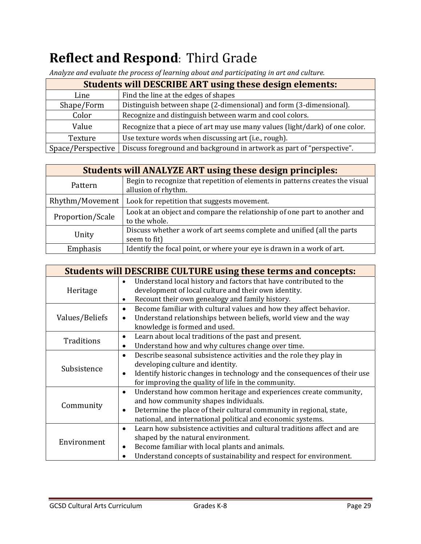## **Reflect and Respond**: Third Grade

| <b>Students will DESCRIBE ART using these design elements:</b> |                                                                              |  |  |
|----------------------------------------------------------------|------------------------------------------------------------------------------|--|--|
| Line                                                           | Find the line at the edges of shapes                                         |  |  |
| Shape/Form                                                     | Distinguish between shape (2-dimensional) and form (3-dimensional).          |  |  |
| Color                                                          | Recognize and distinguish between warm and cool colors.                      |  |  |
| Value                                                          | Recognize that a piece of art may use many values (light/dark) of one color. |  |  |
| Texture                                                        | Use texture words when discussing art (i.e., rough).                         |  |  |
| Space/Perspective                                              | Discuss foreground and background in artwork as part of "perspective".       |  |  |

*Analyze and evaluate the process of learning about and participating in art and culture.*

| <b>Students will ANALYZE ART using these design principles:</b> |                                                                                                      |  |  |
|-----------------------------------------------------------------|------------------------------------------------------------------------------------------------------|--|--|
| Pattern                                                         | Begin to recognize that repetition of elements in patterns creates the visual<br>allusion of rhythm. |  |  |
| Rhythm/Movement<br>Look for repetition that suggests movement.  |                                                                                                      |  |  |
| Proportion/Scale                                                | Look at an object and compare the relationship of one part to another and<br>to the whole.           |  |  |
| Unity                                                           | Discuss whether a work of art seems complete and unified (all the parts<br>seem to fit)              |  |  |
| Emphasis                                                        | Identify the focal point, or where your eye is drawn in a work of art.                               |  |  |

| <b>Students will DESCRIBE CULTURE using these terms and concepts:</b> |                                                                                        |  |  |  |
|-----------------------------------------------------------------------|----------------------------------------------------------------------------------------|--|--|--|
|                                                                       | Understand local history and factors that have contributed to the                      |  |  |  |
| Heritage                                                              | development of local culture and their own identity.                                   |  |  |  |
|                                                                       | Recount their own genealogy and family history.<br>$\bullet$                           |  |  |  |
|                                                                       | Become familiar with cultural values and how they affect behavior.<br>$\bullet$        |  |  |  |
| Values/Beliefs                                                        | Understand relationships between beliefs, world view and the way<br>$\bullet$          |  |  |  |
|                                                                       | knowledge is formed and used.                                                          |  |  |  |
| Traditions                                                            | Learn about local traditions of the past and present.<br>$\bullet$                     |  |  |  |
|                                                                       | Understand how and why cultures change over time.                                      |  |  |  |
|                                                                       | Describe seasonal subsistence activities and the role they play in<br>$\bullet$        |  |  |  |
| Subsistence                                                           | developing culture and identity.                                                       |  |  |  |
|                                                                       | Identify historic changes in technology and the consequences of their use<br>$\bullet$ |  |  |  |
|                                                                       | for improving the quality of life in the community.                                    |  |  |  |
|                                                                       | Understand how common heritage and experiences create community,<br>$\bullet$          |  |  |  |
| Community                                                             | and how community shapes individuals.                                                  |  |  |  |
|                                                                       | Determine the place of their cultural community in regional, state,<br>$\bullet$       |  |  |  |
|                                                                       | national, and international political and economic systems.                            |  |  |  |
|                                                                       | Learn how subsistence activities and cultural traditions affect and are<br>$\bullet$   |  |  |  |
| Environment                                                           | shaped by the natural environment.                                                     |  |  |  |
|                                                                       | Become familiar with local plants and animals.<br>$\bullet$                            |  |  |  |
|                                                                       | Understand concepts of sustainability and respect for environment.                     |  |  |  |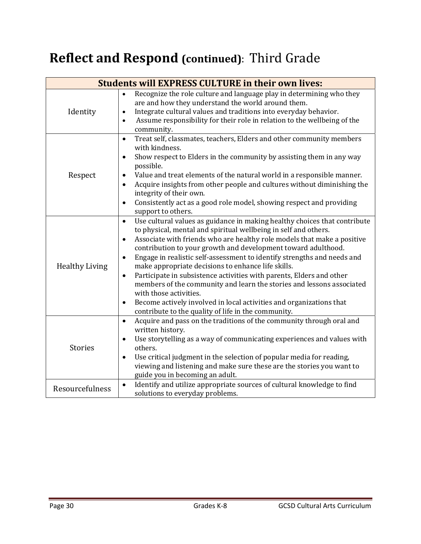## **Reflect and Respond (continued)**: Third Grade

| <b>Students will EXPRESS CULTURE in their own lives:</b> |                                                                                                                                                                                                                                                                                                                                                                                                                                                                                                                                                                                                                                                                                                                                                                                                     |  |  |  |
|----------------------------------------------------------|-----------------------------------------------------------------------------------------------------------------------------------------------------------------------------------------------------------------------------------------------------------------------------------------------------------------------------------------------------------------------------------------------------------------------------------------------------------------------------------------------------------------------------------------------------------------------------------------------------------------------------------------------------------------------------------------------------------------------------------------------------------------------------------------------------|--|--|--|
| Identity                                                 | Recognize the role culture and language play in determining who they<br>are and how they understand the world around them.<br>Integrate cultural values and traditions into everyday behavior.<br>$\bullet$<br>Assume responsibility for their role in relation to the wellbeing of the<br>$\bullet$<br>community.                                                                                                                                                                                                                                                                                                                                                                                                                                                                                  |  |  |  |
| Respect                                                  | Treat self, classmates, teachers, Elders and other community members<br>$\bullet$<br>with kindness.<br>Show respect to Elders in the community by assisting them in any way<br>$\bullet$<br>possible.<br>Value and treat elements of the natural world in a responsible manner.<br>Acquire insights from other people and cultures without diminishing the<br>integrity of their own.<br>Consistently act as a good role model, showing respect and providing<br>$\bullet$<br>support to others.                                                                                                                                                                                                                                                                                                    |  |  |  |
| <b>Healthy Living</b>                                    | Use cultural values as guidance in making healthy choices that contribute<br>$\bullet$<br>to physical, mental and spiritual wellbeing in self and others.<br>Associate with friends who are healthy role models that make a positive<br>$\bullet$<br>contribution to your growth and development toward adulthood.<br>Engage in realistic self-assessment to identify strengths and needs and<br>$\bullet$<br>make appropriate decisions to enhance life skills.<br>Participate in subsistence activities with parents, Elders and other<br>$\bullet$<br>members of the community and learn the stories and lessons associated<br>with those activities.<br>Become actively involved in local activities and organizations that<br>$\bullet$<br>contribute to the quality of life in the community. |  |  |  |
| <b>Stories</b>                                           | Acquire and pass on the traditions of the community through oral and<br>$\bullet$<br>written history.<br>Use storytelling as a way of communicating experiences and values with<br>others.<br>Use critical judgment in the selection of popular media for reading,<br>$\bullet$<br>viewing and listening and make sure these are the stories you want to<br>guide you in becoming an adult.                                                                                                                                                                                                                                                                                                                                                                                                         |  |  |  |
| Resourcefulness                                          | Identify and utilize appropriate sources of cultural knowledge to find<br>$\bullet$<br>solutions to everyday problems.                                                                                                                                                                                                                                                                                                                                                                                                                                                                                                                                                                                                                                                                              |  |  |  |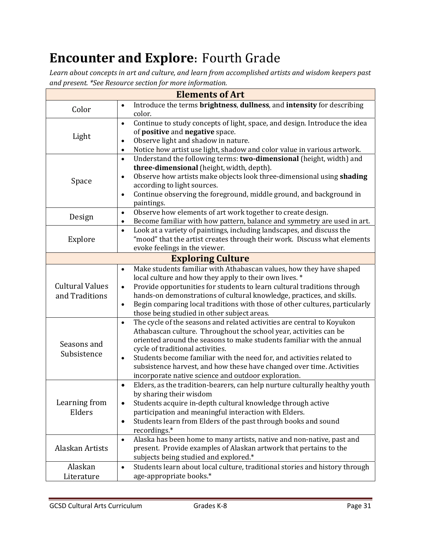## **Encounter and Explore:** Fourth Grade

*Learn about concepts in art and culture, and learn from accomplished artists and wisdom keepers past and present. \*See Resource section for more information.*

| <b>Elements of Art</b>                   |                                                                                                                                                                                                                                                                                                                                                                                                                                                                                             |  |  |  |  |
|------------------------------------------|---------------------------------------------------------------------------------------------------------------------------------------------------------------------------------------------------------------------------------------------------------------------------------------------------------------------------------------------------------------------------------------------------------------------------------------------------------------------------------------------|--|--|--|--|
| Color                                    | Introduce the terms brightness, dullness, and intensity for describing<br>$\bullet$<br>color.                                                                                                                                                                                                                                                                                                                                                                                               |  |  |  |  |
| Light                                    | Continue to study concepts of light, space, and design. Introduce the idea<br>$\bullet$<br>of positive and negative space.<br>Observe light and shadow in nature.<br>$\bullet$<br>Notice how artist use light, shadow and color value in various artwork.<br>$\bullet$                                                                                                                                                                                                                      |  |  |  |  |
| Space                                    | Understand the following terms: two-dimensional (height, width) and<br>$\bullet$<br>three-dimensional (height, width, depth).<br>Observe how artists make objects look three-dimensional using shading<br>$\bullet$<br>according to light sources.<br>Continue observing the foreground, middle ground, and background in<br>$\bullet$<br>paintings.                                                                                                                                        |  |  |  |  |
| Design                                   | Observe how elements of art work together to create design.<br>$\bullet$<br>Become familiar with how pattern, balance and symmetry are used in art.<br>$\bullet$                                                                                                                                                                                                                                                                                                                            |  |  |  |  |
| Explore                                  | Look at a variety of paintings, including landscapes, and discuss the<br>$\bullet$<br>"mood" that the artist creates through their work. Discuss what elements<br>evoke feelings in the viewer.                                                                                                                                                                                                                                                                                             |  |  |  |  |
|                                          | <b>Exploring Culture</b>                                                                                                                                                                                                                                                                                                                                                                                                                                                                    |  |  |  |  |
| <b>Cultural Values</b><br>and Traditions | Make students familiar with Athabascan values, how they have shaped<br>$\bullet$<br>local culture and how they apply to their own lives. *<br>Provide opportunities for students to learn cultural traditions through<br>$\bullet$<br>hands-on demonstrations of cultural knowledge, practices, and skills.<br>Begin comparing local traditions with those of other cultures, particularly<br>$\bullet$<br>those being studied in other subject areas.                                      |  |  |  |  |
| Seasons and<br>Subsistence               | The cycle of the seasons and related activities are central to Koyukon<br>$\bullet$<br>Athabascan culture. Throughout the school year, activities can be<br>oriented around the seasons to make students familiar with the annual<br>cycle of traditional activities.<br>Students become familiar with the need for, and activities related to<br>$\bullet$<br>subsistence harvest, and how these have changed over time. Activities<br>incorporate native science and outdoor exploration. |  |  |  |  |
| Learning from<br>Elders                  | Elders, as the tradition-bearers, can help nurture culturally healthy youth<br>$\bullet$<br>by sharing their wisdom<br>Students acquire in-depth cultural knowledge through active<br>$\bullet$<br>participation and meaningful interaction with Elders.<br>Students learn from Elders of the past through books and sound<br>$\bullet$<br>recordings.*                                                                                                                                     |  |  |  |  |
| Alaskan Artists                          | Alaska has been home to many artists, native and non-native, past and<br>$\bullet$<br>present. Provide examples of Alaskan artwork that pertains to the<br>subjects being studied and explored.*                                                                                                                                                                                                                                                                                            |  |  |  |  |
| Alaskan<br>Literature                    | Students learn about local culture, traditional stories and history through<br>$\bullet$<br>age-appropriate books.*                                                                                                                                                                                                                                                                                                                                                                         |  |  |  |  |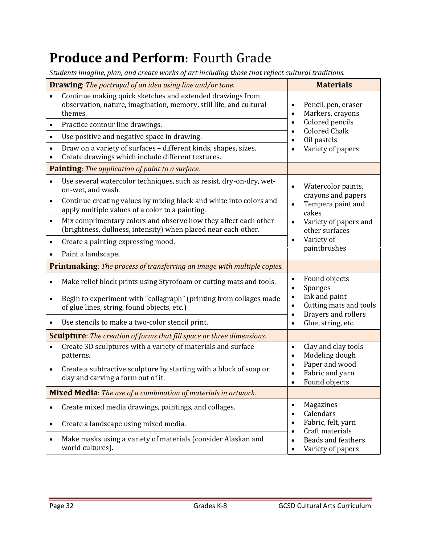#### **Produce and Perform:** Fourth Grade

*Students imagine, plan, and create works of art including those that reflect cultural traditions.*

| <b>Drawing:</b> The portrayal of an idea using line and/or tone.      |                                                                                                                                            |                                                      | <b>Materials</b>                                                                                                                            |  |
|-----------------------------------------------------------------------|--------------------------------------------------------------------------------------------------------------------------------------------|------------------------------------------------------|---------------------------------------------------------------------------------------------------------------------------------------------|--|
|                                                                       | Continue making quick sketches and extended drawings from<br>observation, nature, imagination, memory, still life, and cultural<br>themes. | Pencil, pen, eraser<br>Markers, crayons<br>$\bullet$ |                                                                                                                                             |  |
|                                                                       | Practice contour line drawings.                                                                                                            | $\bullet$                                            | Colored pencils<br><b>Colored Chalk</b><br>$\bullet$<br>Oil pastels<br>$\bullet$<br>Variety of papers                                       |  |
| $\bullet$                                                             | Use positive and negative space in drawing.                                                                                                |                                                      |                                                                                                                                             |  |
|                                                                       | Draw on a variety of surfaces - different kinds, shapes, sizes.<br>Create drawings which include different textures.                       |                                                      |                                                                                                                                             |  |
|                                                                       | Painting: The application of paint to a surface.                                                                                           |                                                      |                                                                                                                                             |  |
| $\bullet$                                                             | Use several watercolor techniques, such as resist, dry-on-dry, wet-<br>on-wet, and wash.                                                   |                                                      | Watercolor paints,<br>crayons and papers<br>Tempera paint and<br>$\bullet$<br>cakes<br>Variety of papers and<br>$\bullet$<br>other surfaces |  |
| $\bullet$                                                             | Continue creating values by mixing black and white into colors and<br>apply multiple values of a color to a painting.                      |                                                      |                                                                                                                                             |  |
| $\bullet$                                                             | Mix complimentary colors and observe how they affect each other<br>(brightness, dullness, intensity) when placed near each other.          |                                                      |                                                                                                                                             |  |
| $\bullet$                                                             | Create a painting expressing mood.                                                                                                         | $\bullet$                                            | Variety of                                                                                                                                  |  |
|                                                                       | Paint a landscape.                                                                                                                         |                                                      | paintbrushes                                                                                                                                |  |
|                                                                       | Printmaking: The process of transferring an image with multiple copies.                                                                    |                                                      |                                                                                                                                             |  |
|                                                                       | Make relief block prints using Styrofoam or cutting mats and tools.                                                                        | $\bullet$<br>$\bullet$                               | Found objects<br>Sponges                                                                                                                    |  |
| $\bullet$                                                             | Begin to experiment with "collagraph" (printing from collages made<br>of glue lines, string, found objects, etc.)                          | $\bullet$<br>$\bullet$<br>$\bullet$                  | Ink and paint<br>Cutting mats and tools<br><b>Brayers and rollers</b>                                                                       |  |
|                                                                       | Use stencils to make a two-color stencil print.                                                                                            | $\bullet$                                            | Glue, string, etc.                                                                                                                          |  |
|                                                                       | <b>Sculpture</b> : The creation of forms that fill space or three dimensions.                                                              |                                                      |                                                                                                                                             |  |
|                                                                       | Create 3D sculptures with a variety of materials and surface<br>patterns.                                                                  | $\bullet$<br>$\bullet$                               | Clay and clay tools<br>Modeling dough                                                                                                       |  |
| $\bullet$                                                             | Create a subtractive sculpture by starting with a block of soap or<br>clay and carving a form out of it.                                   | $\bullet$                                            | Paper and wood<br>Fabric and yarn<br>Found objects                                                                                          |  |
| <b>Mixed Media:</b> The use of a combination of materials in artwork. |                                                                                                                                            |                                                      |                                                                                                                                             |  |
| $\bullet$                                                             | Create mixed media drawings, paintings, and collages.                                                                                      | $\bullet$<br>$\bullet$                               | Magazines<br>Calendars                                                                                                                      |  |
| $\bullet$                                                             | Create a landscape using mixed media.                                                                                                      | $\bullet$<br>$\bullet$                               | Fabric, felt, yarn<br>Craft materials                                                                                                       |  |
| ٠                                                                     | Make masks using a variety of materials (consider Alaskan and<br>world cultures).                                                          | $\bullet$<br>$\bullet$                               | <b>Beads and feathers</b><br>Variety of papers                                                                                              |  |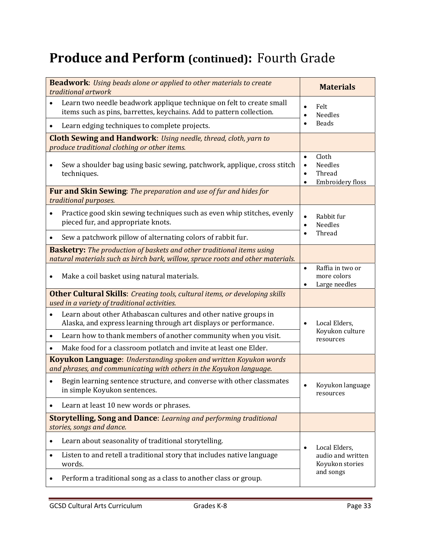#### **Produce and Perform (continued):** Fourth Grade

| <b>Beadwork:</b> Using beads alone or applied to other materials to create<br>traditional artwork                                                                                                               | <b>Materials</b>                                                                                          |
|-----------------------------------------------------------------------------------------------------------------------------------------------------------------------------------------------------------------|-----------------------------------------------------------------------------------------------------------|
| Learn two needle beadwork applique technique on felt to create small<br>$\bullet$<br>items such as pins, barrettes, keychains. Add to pattern collection.<br>Learn edging techniques to complete projects.<br>٠ | Felt<br>$\bullet$<br>Needles<br>$\bullet$<br><b>Beads</b><br>$\bullet$                                    |
| <b>Cloth Sewing and Handwork:</b> Using needle, thread, cloth, yarn to<br>produce traditional clothing or other items.                                                                                          |                                                                                                           |
| Sew a shoulder bag using basic sewing, patchwork, applique, cross stitch<br>$\bullet$<br>techniques.                                                                                                            | Cloth<br>$\bullet$<br><b>Needles</b><br>$\bullet$<br>Thread<br>$\bullet$<br>Embroidery floss<br>$\bullet$ |
| <b>Fur and Skin Sewing:</b> The preparation and use of fur and hides for<br>traditional purposes.                                                                                                               |                                                                                                           |
| Practice good skin sewing techniques such as even whip stitches, evenly<br>$\bullet$<br>pieced fur, and appropriate knots.                                                                                      | Rabbit fur<br>$\bullet$<br><b>Needles</b><br>$\bullet$                                                    |
| Sew a patchwork pillow of alternating colors of rabbit fur.<br>$\bullet$                                                                                                                                        | Thread                                                                                                    |
| <b>Basketry:</b> The production of baskets and other traditional items using<br>natural materials such as birch bark, willow, spruce roots and other materials.                                                 |                                                                                                           |
| Make a coil basket using natural materials.<br>$\bullet$                                                                                                                                                        | Raffia in two or<br>$\bullet$<br>more colors<br>Large needles                                             |
| <b>Other Cultural Skills:</b> Creating tools, cultural items, or developing skills                                                                                                                              |                                                                                                           |
| used in a variety of traditional activities.<br>Learn about other Athabascan cultures and other native groups in<br>$\bullet$<br>Alaska, and express learning through art displays or performance.              | Local Elders,<br>$\bullet$<br>Koyukon culture                                                             |
| Learn how to thank members of another community when you visit.<br>$\bullet$                                                                                                                                    | resources                                                                                                 |
| Make food for a classroom potlatch and invite at least one Elder.<br>$\bullet$                                                                                                                                  |                                                                                                           |
| <b>Koyukon Language:</b> Understanding spoken and written Koyukon words<br>and phrases, and communicating with others in the Koyukon language.                                                                  |                                                                                                           |
| Begin learning sentence structure, and converse with other classmates<br>in simple Koyukon sentences.                                                                                                           | Koyukon language<br>resources                                                                             |
| Learn at least 10 new words or phrases.<br>$\bullet$                                                                                                                                                            |                                                                                                           |
| <b>Storytelling, Song and Dance: Learning and performing traditional</b><br>stories, songs and dance.                                                                                                           |                                                                                                           |
| Learn about seasonality of traditional storytelling.<br>$\bullet$                                                                                                                                               | Local Elders,<br>$\bullet$                                                                                |
| Listen to and retell a traditional story that includes native language<br>$\bullet$<br>words.                                                                                                                   | audio and written<br>Koyukon stories                                                                      |
| Perform a traditional song as a class to another class or group.<br>٠                                                                                                                                           | and songs                                                                                                 |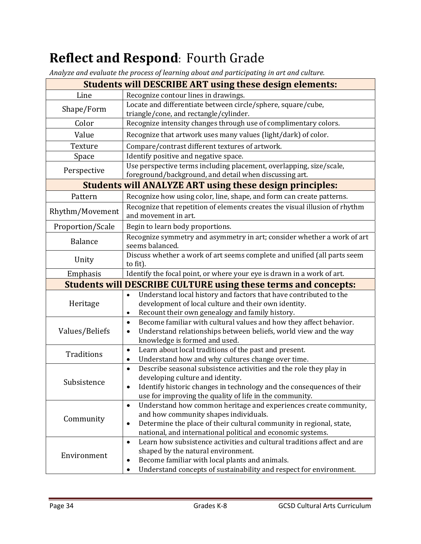## **Reflect and Respond:** Fourth Grade

*Analyze and evaluate the process of learning about and participating in art and culture.*

|                   | $\sigma$<br><b>Students will DESCRIBE ART using these design elements:</b>                                                                                                                                                                                                   |
|-------------------|------------------------------------------------------------------------------------------------------------------------------------------------------------------------------------------------------------------------------------------------------------------------------|
| Line              | Recognize contour lines in drawings.                                                                                                                                                                                                                                         |
| Shape/Form        | Locate and differentiate between circle/sphere, square/cube,<br>triangle/cone, and rectangle/cylinder.                                                                                                                                                                       |
| Color             | Recognize intensity changes through use of complimentary colors.                                                                                                                                                                                                             |
| Value             | Recognize that artwork uses many values (light/dark) of color.                                                                                                                                                                                                               |
| Texture           | Compare/contrast different textures of artwork.                                                                                                                                                                                                                              |
| Space             | Identify positive and negative space.                                                                                                                                                                                                                                        |
| Perspective       | Use perspective terms including placement, overlapping, size/scale,<br>foreground/background, and detail when discussing art.                                                                                                                                                |
|                   | <b>Students will ANALYZE ART using these design principles:</b>                                                                                                                                                                                                              |
| Pattern           | Recognize how using color, line, shape, and form can create patterns.                                                                                                                                                                                                        |
| Rhythm/Movement   | Recognize that repetition of elements creates the visual illusion of rhythm<br>and movement in art.                                                                                                                                                                          |
| Proportion/Scale  | Begin to learn body proportions.                                                                                                                                                                                                                                             |
| <b>Balance</b>    | Recognize symmetry and asymmetry in art; consider whether a work of art<br>seems balanced.                                                                                                                                                                                   |
| Unity             | Discuss whether a work of art seems complete and unified (all parts seem<br>to fit).                                                                                                                                                                                         |
| Emphasis          | Identify the focal point, or where your eye is drawn in a work of art.                                                                                                                                                                                                       |
|                   | <b>Students will DESCRIBE CULTURE using these terms and concepts:</b>                                                                                                                                                                                                        |
| Heritage          | Understand local history and factors that have contributed to the<br>development of local culture and their own identity.<br>Recount their own genealogy and family history.<br>$\bullet$                                                                                    |
| Values/Beliefs    | Become familiar with cultural values and how they affect behavior.<br>$\bullet$<br>Understand relationships between beliefs, world view and the way<br>$\bullet$<br>knowledge is formed and used.                                                                            |
| <b>Traditions</b> | Learn about local traditions of the past and present.<br>$\bullet$<br>Understand how and why cultures change over time.<br>$\bullet$                                                                                                                                         |
| Subsistence       | Describe seasonal subsistence activities and the role they play in<br>$\bullet$<br>developing culture and identity.<br>Identify historic changes in technology and the consequences of their<br>$\bullet$<br>use for improving the quality of life in the community.         |
| Community         | Understand how common heritage and experiences create community,<br>$\bullet$<br>and how community shapes individuals.<br>Determine the place of their cultural community in regional, state,<br>$\bullet$<br>national, and international political and economic systems.    |
| Environment       | Learn how subsistence activities and cultural traditions affect and are<br>$\bullet$<br>shaped by the natural environment.<br>Become familiar with local plants and animals.<br>$\bullet$<br>Understand concepts of sustainability and respect for environment.<br>$\bullet$ |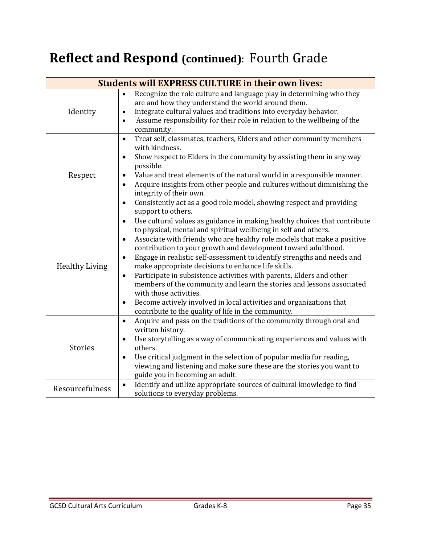## **Reflect and Respond (continued)**: Fourth Grade

| <b>Students will EXPRESS CULTURE in their own lives:</b> |                                                                                                                                                                                                                                                                                                                                                                                                                                                                                                                                                                                                                                                                                                                                                                                             |  |  |
|----------------------------------------------------------|---------------------------------------------------------------------------------------------------------------------------------------------------------------------------------------------------------------------------------------------------------------------------------------------------------------------------------------------------------------------------------------------------------------------------------------------------------------------------------------------------------------------------------------------------------------------------------------------------------------------------------------------------------------------------------------------------------------------------------------------------------------------------------------------|--|--|
| Identity                                                 | Recognize the role culture and language play in determining who they<br>$\bullet$<br>are and how they understand the world around them.<br>Integrate cultural values and traditions into everyday behavior.<br>$\bullet$<br>Assume responsibility for their role in relation to the wellbeing of the<br>$\bullet$<br>community.                                                                                                                                                                                                                                                                                                                                                                                                                                                             |  |  |
| Respect                                                  | Treat self, classmates, teachers, Elders and other community members<br>$\bullet$<br>with kindness.<br>Show respect to Elders in the community by assisting them in any way<br>$\bullet$<br>possible.<br>Value and treat elements of the natural world in a responsible manner.<br>Acquire insights from other people and cultures without diminishing the<br>integrity of their own.<br>Consistently act as a good role model, showing respect and providing<br>$\bullet$<br>support to others.                                                                                                                                                                                                                                                                                            |  |  |
| <b>Healthy Living</b>                                    | Use cultural values as guidance in making healthy choices that contribute<br>$\bullet$<br>to physical, mental and spiritual wellbeing in self and others.<br>Associate with friends who are healthy role models that make a positive<br>٠<br>contribution to your growth and development toward adulthood.<br>Engage in realistic self-assessment to identify strengths and needs and<br>$\bullet$<br>make appropriate decisions to enhance life skills.<br>Participate in subsistence activities with parents, Elders and other<br>$\bullet$<br>members of the community and learn the stories and lessons associated<br>with those activities.<br>Become actively involved in local activities and organizations that<br>$\bullet$<br>contribute to the quality of life in the community. |  |  |
| <b>Stories</b>                                           | Acquire and pass on the traditions of the community through oral and<br>$\bullet$<br>written history.<br>Use storytelling as a way of communicating experiences and values with<br>$\bullet$<br>others.<br>Use critical judgment in the selection of popular media for reading,<br>$\bullet$<br>viewing and listening and make sure these are the stories you want to<br>guide you in becoming an adult.                                                                                                                                                                                                                                                                                                                                                                                    |  |  |
| Resourcefulness                                          | Identify and utilize appropriate sources of cultural knowledge to find<br>$\bullet$<br>solutions to everyday problems.                                                                                                                                                                                                                                                                                                                                                                                                                                                                                                                                                                                                                                                                      |  |  |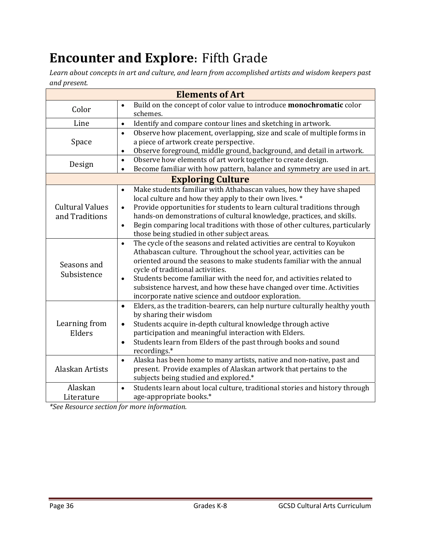## **Encounter and Explore:** Fifth Grade

*Learn about concepts in art and culture, and learn from accomplished artists and wisdom keepers past and present.*

|                                          | <b>Elements of Art</b>                                                                                                                                                                                                                                                                                                                                                                                                                                                                      |
|------------------------------------------|---------------------------------------------------------------------------------------------------------------------------------------------------------------------------------------------------------------------------------------------------------------------------------------------------------------------------------------------------------------------------------------------------------------------------------------------------------------------------------------------|
| Color                                    | Build on the concept of color value to introduce monochromatic color<br>$\bullet$<br>schemes.                                                                                                                                                                                                                                                                                                                                                                                               |
| Line                                     | Identify and compare contour lines and sketching in artwork.<br>$\bullet$                                                                                                                                                                                                                                                                                                                                                                                                                   |
| Space                                    | Observe how placement, overlapping, size and scale of multiple forms in<br>$\bullet$<br>a piece of artwork create perspective.<br>Observe foreground, middle ground, background, and detail in artwork.<br>$\bullet$                                                                                                                                                                                                                                                                        |
| Design                                   | Observe how elements of art work together to create design.<br>$\bullet$<br>Become familiar with how pattern, balance and symmetry are used in art.<br>$\bullet$                                                                                                                                                                                                                                                                                                                            |
|                                          | <b>Exploring Culture</b>                                                                                                                                                                                                                                                                                                                                                                                                                                                                    |
| <b>Cultural Values</b><br>and Traditions | Make students familiar with Athabascan values, how they have shaped<br>$\bullet$<br>local culture and how they apply to their own lives. *<br>Provide opportunities for students to learn cultural traditions through<br>$\bullet$<br>hands-on demonstrations of cultural knowledge, practices, and skills.<br>Begin comparing local traditions with those of other cultures, particularly<br>$\bullet$<br>those being studied in other subject areas.                                      |
| Seasons and<br>Subsistence               | The cycle of the seasons and related activities are central to Koyukon<br>$\bullet$<br>Athabascan culture. Throughout the school year, activities can be<br>oriented around the seasons to make students familiar with the annual<br>cycle of traditional activities.<br>Students become familiar with the need for, and activities related to<br>$\bullet$<br>subsistence harvest, and how these have changed over time. Activities<br>incorporate native science and outdoor exploration. |
| Learning from<br>Elders                  | Elders, as the tradition-bearers, can help nurture culturally healthy youth<br>$\bullet$<br>by sharing their wisdom<br>Students acquire in-depth cultural knowledge through active<br>$\bullet$<br>participation and meaningful interaction with Elders.<br>Students learn from Elders of the past through books and sound<br>$\bullet$<br>recordings.*                                                                                                                                     |
| Alaskan Artists                          | Alaska has been home to many artists, native and non-native, past and<br>$\bullet$<br>present. Provide examples of Alaskan artwork that pertains to the<br>subjects being studied and explored.*                                                                                                                                                                                                                                                                                            |
| Alaskan<br>Literature                    | Students learn about local culture, traditional stories and history through<br>$\bullet$<br>age-appropriate books.*                                                                                                                                                                                                                                                                                                                                                                         |

*\*See Resource section for more information.*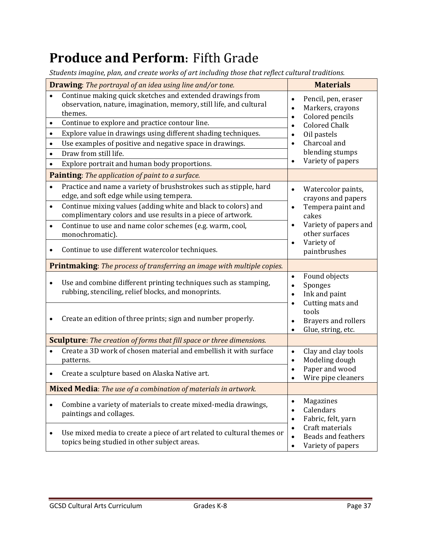# **Produce and Perform:** Fifth Grade

*Students imagine, plan, and create works of art including those that reflect cultural traditions.*

| <b>Drawing:</b> The portrayal of an idea using line and/or tone.                                                                           | <b>Materials</b>                                                                                                  |  |  |
|--------------------------------------------------------------------------------------------------------------------------------------------|-------------------------------------------------------------------------------------------------------------------|--|--|
| Continue making quick sketches and extended drawings from<br>observation, nature, imagination, memory, still life, and cultural<br>themes. | Pencil, pen, eraser<br>$\bullet$<br>Markers, crayons<br>$\bullet$<br>Colored pencils<br>$\bullet$                 |  |  |
| Continue to explore and practice contour line.<br>$\bullet$                                                                                | <b>Colored Chalk</b><br>$\bullet$                                                                                 |  |  |
| Explore value in drawings using different shading techniques.<br>$\bullet$                                                                 | Oil pastels<br>$\bullet$                                                                                          |  |  |
| Use examples of positive and negative space in drawings.<br>$\bullet$                                                                      | Charcoal and<br>$\bullet$                                                                                         |  |  |
| Draw from still life.<br>$\bullet$                                                                                                         | blending stumps                                                                                                   |  |  |
| Explore portrait and human body proportions.                                                                                               | Variety of papers<br>$\bullet$                                                                                    |  |  |
| Painting: The application of paint to a surface.                                                                                           |                                                                                                                   |  |  |
| Practice and name a variety of brushstrokes such as stipple, hard<br>$\bullet$<br>edge, and soft edge while using tempera.                 | Watercolor paints,<br>$\bullet$<br>crayons and papers                                                             |  |  |
| Continue mixing values (adding white and black to colors) and<br>$\bullet$<br>complimentary colors and use results in a piece of artwork.  | Tempera paint and<br>$\bullet$<br>cakes                                                                           |  |  |
| Continue to use and name color schemes (e.g. warm, cool,<br>$\bullet$<br>monochromatic).                                                   | Variety of papers and<br>$\bullet$<br>other surfaces                                                              |  |  |
| Continue to use different watercolor techniques.                                                                                           | Variety of<br>$\bullet$<br>paintbrushes                                                                           |  |  |
| <b>Printmaking:</b> The process of transferring an image with multiple copies.                                                             |                                                                                                                   |  |  |
| Use and combine different printing techniques such as stamping,<br>$\bullet$<br>rubbing, stenciling, relief blocks, and monoprints.        | Found objects<br>$\bullet$<br>Sponges<br>$\bullet$<br>Ink and paint<br>$\bullet$<br>Cutting mats and<br>$\bullet$ |  |  |
| Create an edition of three prints; sign and number properly.                                                                               | tools<br>Brayers and rollers<br>$\bullet$<br>Glue, string, etc.<br>$\bullet$                                      |  |  |
| <b>Sculpture</b> : The creation of forms that fill space or three dimensions.                                                              |                                                                                                                   |  |  |
| Create a 3D work of chosen material and embellish it with surface<br>patterns.                                                             | Clay and clay tools<br>$\bullet$<br>Modeling dough<br>$\bullet$                                                   |  |  |
| Create a sculpture based on Alaska Native art.<br>$\bullet$                                                                                | Paper and wood<br>Wire pipe cleaners<br>$\bullet$                                                                 |  |  |
| Mixed Media: The use of a combination of materials in artwork.                                                                             |                                                                                                                   |  |  |
| Combine a variety of materials to create mixed-media drawings,<br>$\bullet$<br>paintings and collages.                                     | Magazines<br>$\bullet$<br>Calendars<br>$\bullet$<br>Fabric, felt, yarn<br>$\bullet$                               |  |  |
| Use mixed media to create a piece of art related to cultural themes or<br>$\bullet$<br>topics being studied in other subject areas.        | Craft materials<br>$\bullet$<br><b>Beads and feathers</b><br>$\bullet$<br>Variety of papers<br>$\bullet$          |  |  |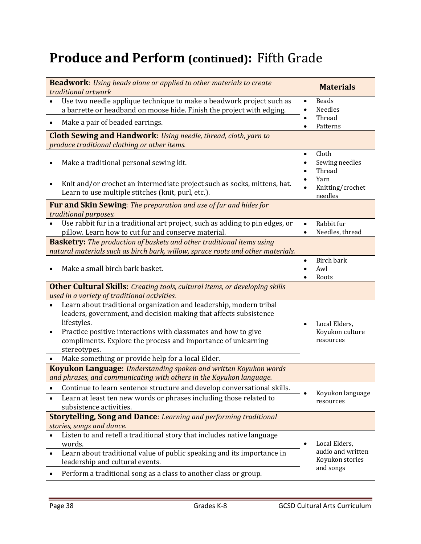# **Produce and Perform (continued): Fifth Grade**

| <b>Beadwork:</b> Using beads alone or applied to other materials to create<br>traditional artwork                                                                       | <b>Materials</b>                                                   |
|-------------------------------------------------------------------------------------------------------------------------------------------------------------------------|--------------------------------------------------------------------|
| Use two needle applique technique to make a beadwork project such as<br>a barrette or headband on moose hide. Finish the project with edging.                           | <b>Beads</b><br>$\bullet$<br><b>Needles</b><br>$\bullet$           |
| Make a pair of beaded earrings.<br>$\bullet$                                                                                                                            | Thread<br>$\bullet$<br>Patterns<br>٠                               |
| <b>Cloth Sewing and Handwork:</b> Using needle, thread, cloth, yarn to<br>produce traditional clothing or other items.                                                  |                                                                    |
| Make a traditional personal sewing kit.<br>٠                                                                                                                            | Cloth<br>$\bullet$<br>Sewing needles<br>Thread                     |
| Knit and/or crochet an intermediate project such as socks, mittens, hat.<br>$\bullet$<br>Learn to use multiple stitches (knit, purl, etc.).                             | Yarn<br>Knitting/crochet<br>needles                                |
| Fur and Skin Sewing: The preparation and use of fur and hides for<br>traditional purposes.                                                                              |                                                                    |
| Use rabbit fur in a traditional art project, such as adding to pin edges, or<br>pillow. Learn how to cut fur and conserve material.                                     | Rabbit fur<br>$\bullet$<br>Needles, thread<br>$\bullet$            |
| <b>Basketry:</b> The production of baskets and other traditional items using<br>natural materials such as birch bark, willow, spruce roots and other materials.         |                                                                    |
| Make a small birch bark basket.                                                                                                                                         | Birch bark<br>$\bullet$<br>Awl<br>$\bullet$<br>Roots               |
| <b>Other Cultural Skills:</b> Creating tools, cultural items, or developing skills<br>used in a variety of traditional activities.                                      |                                                                    |
| Learn about traditional organization and leadership, modern tribal<br>leaders, government, and decision making that affects subsistence<br>lifestyles.                  | Local Elders,<br>$\bullet$                                         |
| Practice positive interactions with classmates and how to give<br>$\bullet$<br>compliments. Explore the process and importance of unlearning<br>stereotypes.            | Koyukon culture<br>resources                                       |
| Make something or provide help for a local Elder.                                                                                                                       |                                                                    |
| <b>Koyukon Language:</b> Understanding spoken and written Koyukon words<br>and phrases, and communicating with others in the Koyukon language.                          |                                                                    |
| Continue to learn sentence structure and develop conversational skills.                                                                                                 |                                                                    |
| Learn at least ten new words or phrases including those related to<br>subsistence activities.                                                                           | Koyukon language<br>resources                                      |
| <b>Storytelling, Song and Dance:</b> Learning and performing traditional<br>stories, songs and dance.                                                                   |                                                                    |
| Listen to and retell a traditional story that includes native language<br>words.<br>Learn about traditional value of public speaking and its importance in<br>$\bullet$ | Local Elders,<br>$\bullet$<br>audio and written<br>Koyukon stories |
| leadership and cultural events.<br>Perform a traditional song as a class to another class or group.                                                                     | and songs                                                          |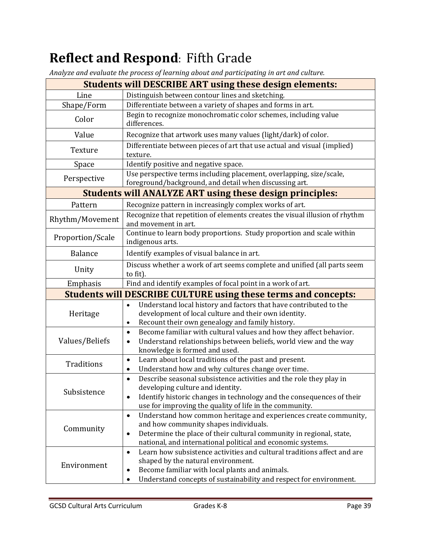# **Reflect and Respond: Fifth Grade**

*Analyze and evaluate the process of learning about and participating in art and culture.*

| $\bm{\omega}$<br><b>Students will DESCRIBE ART using these design elements:</b>               |                                                                                                                                                                                                                                                                           |  |  |
|-----------------------------------------------------------------------------------------------|---------------------------------------------------------------------------------------------------------------------------------------------------------------------------------------------------------------------------------------------------------------------------|--|--|
| Line                                                                                          | Distinguish between contour lines and sketching.                                                                                                                                                                                                                          |  |  |
| Shape/Form                                                                                    | Differentiate between a variety of shapes and forms in art.                                                                                                                                                                                                               |  |  |
| Color                                                                                         | Begin to recognize monochromatic color schemes, including value<br>differences.                                                                                                                                                                                           |  |  |
| Value                                                                                         | Recognize that artwork uses many values (light/dark) of color.                                                                                                                                                                                                            |  |  |
| Texture                                                                                       | Differentiate between pieces of art that use actual and visual (implied)<br>texture.                                                                                                                                                                                      |  |  |
| Space                                                                                         | Identify positive and negative space.                                                                                                                                                                                                                                     |  |  |
| Perspective                                                                                   | Use perspective terms including placement, overlapping, size/scale,<br>foreground/background, and detail when discussing art.                                                                                                                                             |  |  |
|                                                                                               | <b>Students will ANALYZE ART using these design principles:</b>                                                                                                                                                                                                           |  |  |
| Pattern                                                                                       | Recognize pattern in increasingly complex works of art.                                                                                                                                                                                                                   |  |  |
| Rhythm/Movement                                                                               | Recognize that repetition of elements creates the visual illusion of rhythm<br>and movement in art.                                                                                                                                                                       |  |  |
| Proportion/Scale                                                                              | Continue to learn body proportions. Study proportion and scale within<br>indigenous arts.                                                                                                                                                                                 |  |  |
| <b>Balance</b>                                                                                | Identify examples of visual balance in art.                                                                                                                                                                                                                               |  |  |
| Discuss whether a work of art seems complete and unified (all parts seem<br>Unity<br>to fit). |                                                                                                                                                                                                                                                                           |  |  |
| Find and identify examples of focal point in a work of art.<br>Emphasis                       |                                                                                                                                                                                                                                                                           |  |  |
|                                                                                               | <b>Students will DESCRIBE CULTURE using these terms and concepts:</b>                                                                                                                                                                                                     |  |  |
| Heritage                                                                                      | Understand local history and factors that have contributed to the<br>$\bullet$<br>development of local culture and their own identity.<br>Recount their own genealogy and family history.<br>$\bullet$                                                                    |  |  |
| Values/Beliefs                                                                                | Become familiar with cultural values and how they affect behavior.<br>$\bullet$<br>Understand relationships between beliefs, world view and the way<br>$\bullet$<br>knowledge is formed and used.                                                                         |  |  |
| Traditions                                                                                    | Learn about local traditions of the past and present.<br>$\bullet$<br>Understand how and why cultures change over time.<br>٠                                                                                                                                              |  |  |
| Subsistence                                                                                   | Describe seasonal subsistence activities and the role they play in<br>$\bullet$<br>developing culture and identity.<br>Identify historic changes in technology and the consequences of their<br>$\bullet$<br>use for improving the quality of life in the community.      |  |  |
| Community                                                                                     | Understand how common heritage and experiences create community,<br>$\bullet$<br>and how community shapes individuals.<br>Determine the place of their cultural community in regional, state,<br>$\bullet$<br>national, and international political and economic systems. |  |  |
| Environment                                                                                   | Learn how subsistence activities and cultural traditions affect and are<br>$\bullet$<br>shaped by the natural environment.<br>Become familiar with local plants and animals.<br>$\bullet$<br>Understand concepts of sustainability and respect for environment.           |  |  |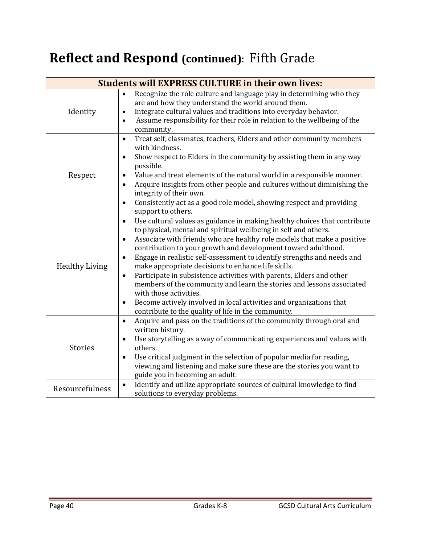# **Reflect and Respond (continued): Fifth Grade**

| <b>Students will EXPRESS CULTURE in their own lives:</b> |                                                                                                                                                                                                                                                                                                                                                                                                                                                                                                                                                                                                                                                                                                                                                                                             |  |  |
|----------------------------------------------------------|---------------------------------------------------------------------------------------------------------------------------------------------------------------------------------------------------------------------------------------------------------------------------------------------------------------------------------------------------------------------------------------------------------------------------------------------------------------------------------------------------------------------------------------------------------------------------------------------------------------------------------------------------------------------------------------------------------------------------------------------------------------------------------------------|--|--|
| Identity                                                 | Recognize the role culture and language play in determining who they<br>$\bullet$<br>are and how they understand the world around them.<br>Integrate cultural values and traditions into everyday behavior.<br>$\bullet$<br>Assume responsibility for their role in relation to the wellbeing of the<br>$\bullet$<br>community.                                                                                                                                                                                                                                                                                                                                                                                                                                                             |  |  |
| Respect                                                  | Treat self, classmates, teachers, Elders and other community members<br>$\bullet$<br>with kindness.<br>Show respect to Elders in the community by assisting them in any way<br>possible.<br>Value and treat elements of the natural world in a responsible manner.<br>٠<br>Acquire insights from other people and cultures without diminishing the<br>integrity of their own.<br>Consistently act as a good role model, showing respect and providing<br>$\bullet$<br>support to others.                                                                                                                                                                                                                                                                                                    |  |  |
| <b>Healthy Living</b>                                    | Use cultural values as guidance in making healthy choices that contribute<br>$\bullet$<br>to physical, mental and spiritual wellbeing in self and others.<br>Associate with friends who are healthy role models that make a positive<br>٠<br>contribution to your growth and development toward adulthood.<br>Engage in realistic self-assessment to identify strengths and needs and<br>$\bullet$<br>make appropriate decisions to enhance life skills.<br>Participate in subsistence activities with parents, Elders and other<br>$\bullet$<br>members of the community and learn the stories and lessons associated<br>with those activities.<br>Become actively involved in local activities and organizations that<br>$\bullet$<br>contribute to the quality of life in the community. |  |  |
| <b>Stories</b>                                           | Acquire and pass on the traditions of the community through oral and<br>$\bullet$<br>written history.<br>Use storytelling as a way of communicating experiences and values with<br>others.<br>Use critical judgment in the selection of popular media for reading,<br>$\bullet$<br>viewing and listening and make sure these are the stories you want to<br>guide you in becoming an adult.                                                                                                                                                                                                                                                                                                                                                                                                 |  |  |
| Resourcefulness                                          | Identify and utilize appropriate sources of cultural knowledge to find<br>$\bullet$<br>solutions to everyday problems.                                                                                                                                                                                                                                                                                                                                                                                                                                                                                                                                                                                                                                                                      |  |  |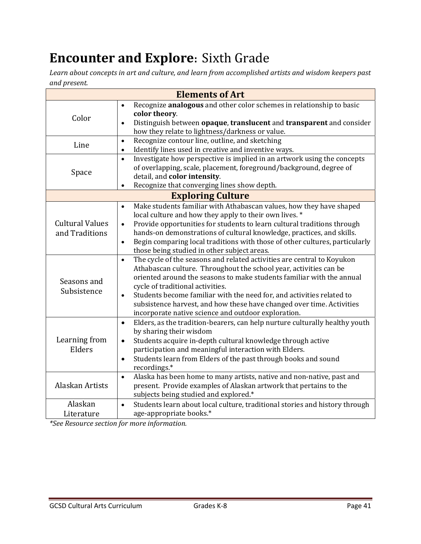# **Encounter and Explore:** Sixth Grade

*Learn about concepts in art and culture, and learn from accomplished artists and wisdom keepers past and present.*

|                                          | <b>Elements of Art</b>                                                                                                                                                                                                                                                                                                                                                                                                                                                                                                                                                      |
|------------------------------------------|-----------------------------------------------------------------------------------------------------------------------------------------------------------------------------------------------------------------------------------------------------------------------------------------------------------------------------------------------------------------------------------------------------------------------------------------------------------------------------------------------------------------------------------------------------------------------------|
| Color<br>Line<br>Space                   | Recognize analogous and other color schemes in relationship to basic<br>$\bullet$<br>color theory.<br>Distinguish between opaque, translucent and transparent and consider<br>$\bullet$<br>how they relate to lightness/darkness or value.<br>Recognize contour line, outline, and sketching<br>$\bullet$<br>Identify lines used in creative and inventive ways.<br>$\bullet$<br>Investigate how perspective is implied in an artwork using the concepts<br>$\bullet$<br>of overlapping, scale, placement, foreground/background, degree of<br>detail, and color intensity. |
|                                          | Recognize that converging lines show depth.<br>$\bullet$                                                                                                                                                                                                                                                                                                                                                                                                                                                                                                                    |
|                                          | <b>Exploring Culture</b>                                                                                                                                                                                                                                                                                                                                                                                                                                                                                                                                                    |
| <b>Cultural Values</b><br>and Traditions | Make students familiar with Athabascan values, how they have shaped<br>$\bullet$<br>local culture and how they apply to their own lives. *<br>Provide opportunities for students to learn cultural traditions through<br>$\bullet$<br>hands-on demonstrations of cultural knowledge, practices, and skills.<br>Begin comparing local traditions with those of other cultures, particularly<br>$\bullet$<br>those being studied in other subject areas.                                                                                                                      |
| Seasons and<br>Subsistence               | The cycle of the seasons and related activities are central to Koyukon<br>$\bullet$<br>Athabascan culture. Throughout the school year, activities can be<br>oriented around the seasons to make students familiar with the annual<br>cycle of traditional activities.<br>Students become familiar with the need for, and activities related to<br>$\bullet$<br>subsistence harvest, and how these have changed over time. Activities<br>incorporate native science and outdoor exploration.                                                                                 |
| Learning from<br>Elders                  | Elders, as the tradition-bearers, can help nurture culturally healthy youth<br>$\bullet$<br>by sharing their wisdom<br>Students acquire in-depth cultural knowledge through active<br>$\bullet$<br>participation and meaningful interaction with Elders.<br>Students learn from Elders of the past through books and sound<br>$\bullet$<br>recordings.*                                                                                                                                                                                                                     |
| Alaskan Artists                          | Alaska has been home to many artists, native and non-native, past and<br>$\bullet$<br>present. Provide examples of Alaskan artwork that pertains to the<br>subjects being studied and explored.*                                                                                                                                                                                                                                                                                                                                                                            |
| Alaskan<br>Literature                    | Students learn about local culture, traditional stories and history through<br>$\bullet$<br>age-appropriate books.*                                                                                                                                                                                                                                                                                                                                                                                                                                                         |

*\*See Resource section for more information.*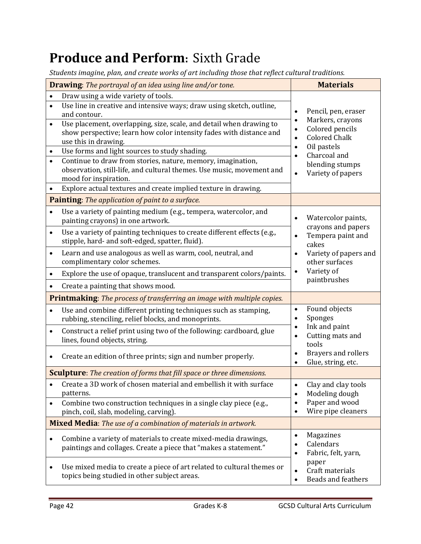# **Produce and Perform:** Sixth Grade

*Students imagine, plan, and create works of art including those that reflect cultural traditions.*

| <b>Drawing:</b> The portrayal of an idea using line and/or tone.      |                                                                                                                                                                    | <b>Materials</b>                                                         |
|-----------------------------------------------------------------------|--------------------------------------------------------------------------------------------------------------------------------------------------------------------|--------------------------------------------------------------------------|
| $\bullet$                                                             | Draw using a wide variety of tools.                                                                                                                                |                                                                          |
| $\bullet$                                                             | Use line in creative and intensive ways; draw using sketch, outline,<br>and contour.                                                                               | Pencil, pen, eraser<br>$\bullet$                                         |
| $\bullet$                                                             | Use placement, overlapping, size, scale, and detail when drawing to<br>show perspective; learn how color intensity fades with distance and<br>use this in drawing. | Markers, crayons<br>$\bullet$<br>Colored pencils<br><b>Colored Chalk</b> |
| $\bullet$                                                             | Use forms and light sources to study shading.                                                                                                                      | Oil pastels<br>Charcoal and                                              |
|                                                                       | Continue to draw from stories, nature, memory, imagination,<br>observation, still-life, and cultural themes. Use music, movement and<br>mood for inspiration.      | blending stumps<br>Variety of papers<br>$\bullet$                        |
|                                                                       | Explore actual textures and create implied texture in drawing.                                                                                                     |                                                                          |
|                                                                       | Painting: The application of paint to a surface.                                                                                                                   |                                                                          |
| $\bullet$                                                             | Use a variety of painting medium (e.g., tempera, watercolor, and<br>painting crayons) in one artwork.                                                              | Watercolor paints,<br>crayons and papers                                 |
| $\bullet$                                                             | Use a variety of painting techniques to create different effects (e.g.,<br>stipple, hard- and soft-edged, spatter, fluid).                                         | Tempera paint and<br>cakes                                               |
| $\bullet$                                                             | Learn and use analogous as well as warm, cool, neutral, and<br>complimentary color schemes.                                                                        | Variety of papers and<br>other surfaces                                  |
|                                                                       | Explore the use of opaque, translucent and transparent colors/paints.                                                                                              | Variety of<br>$\bullet$                                                  |
|                                                                       | Create a painting that shows mood.                                                                                                                                 | paintbrushes                                                             |
|                                                                       | <b>Printmaking:</b> The process of transferring an image with multiple copies.                                                                                     |                                                                          |
| $\bullet$                                                             | Use and combine different printing techniques such as stamping,<br>rubbing, stenciling, relief blocks, and monoprints.                                             | Found objects<br>$\bullet$<br>Sponges                                    |
| $\bullet$                                                             | Construct a relief print using two of the following: cardboard, glue<br>lines, found objects, string.                                                              | Ink and paint<br>Cutting mats and<br>tools                               |
|                                                                       | Create an edition of three prints; sign and number properly.                                                                                                       | <b>Brayers and rollers</b><br>Glue, string, etc.<br>$\bullet$            |
|                                                                       | <b>Sculpture</b> : The creation of forms that fill space or three dimensions.                                                                                      |                                                                          |
|                                                                       | Create a 3D work of chosen material and embellish it with surface<br>patterns.                                                                                     | Clay and clay tools<br>Modeling dough                                    |
| $\bullet$                                                             | Combine two construction techniques in a single clay piece (e.g.,<br>pinch, coil, slab, modeling, carving).                                                        | Paper and wood<br>Wire pipe cleaners                                     |
| <b>Mixed Media:</b> The use of a combination of materials in artwork. |                                                                                                                                                                    |                                                                          |
|                                                                       | Combine a variety of materials to create mixed-media drawings,<br>paintings and collages. Create a piece that "makes a statement."                                 | Magazines<br>$\bullet$<br>Calendars<br>Fabric, felt, yarn,               |
|                                                                       | Use mixed media to create a piece of art related to cultural themes or<br>topics being studied in other subject areas.                                             | paper<br>Craft materials<br>Beads and feathers                           |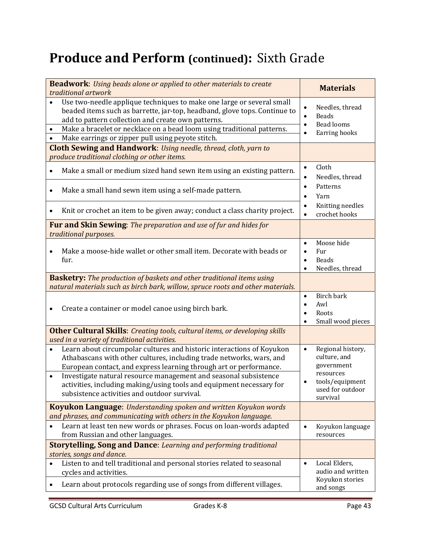# **Produce and Perform (continued):** Sixth Grade

| <b>Beadwork:</b> Using beads alone or applied to other materials to create<br>traditional artwork                                                                                                                                                                                                                                                                                                                 | <b>Materials</b>                                                                                                             |
|-------------------------------------------------------------------------------------------------------------------------------------------------------------------------------------------------------------------------------------------------------------------------------------------------------------------------------------------------------------------------------------------------------------------|------------------------------------------------------------------------------------------------------------------------------|
| Use two-needle applique techniques to make one large or several small<br>beaded items such as barrette, jar-top, headband, glove tops. Continue to<br>add to pattern collection and create own patterns.<br>Make a bracelet or necklace on a bead loom using traditional patterns.<br>Make earrings or zipper pull using peyote stitch.<br><b>Cloth Sewing and Handwork:</b> Using needle, thread, cloth, yarn to | Needles, thread<br><b>Beads</b><br>$\bullet$<br><b>Bead looms</b><br>Earring hooks                                           |
| produce traditional clothing or other items.                                                                                                                                                                                                                                                                                                                                                                      | Cloth<br>$\bullet$                                                                                                           |
| Make a small or medium sized hand sewn item using an existing pattern.<br>Make a small hand sewn item using a self-made pattern.                                                                                                                                                                                                                                                                                  | Needles, thread<br>Patterns<br>Yarn                                                                                          |
| Knit or crochet an item to be given away; conduct a class charity project.                                                                                                                                                                                                                                                                                                                                        | Knitting needles<br>crochet hooks                                                                                            |
| <b>Fur and Skin Sewing:</b> The preparation and use of fur and hides for<br>traditional purposes.                                                                                                                                                                                                                                                                                                                 |                                                                                                                              |
| Make a moose-hide wallet or other small item. Decorate with beads or<br>fur.                                                                                                                                                                                                                                                                                                                                      | Moose hide<br>$\bullet$<br>Fur<br><b>Beads</b><br>Needles, thread                                                            |
| <b>Basketry:</b> The production of baskets and other traditional items using<br>natural materials such as birch bark, willow, spruce roots and other materials.                                                                                                                                                                                                                                                   |                                                                                                                              |
| Create a container or model canoe using birch bark.                                                                                                                                                                                                                                                                                                                                                               | Birch bark<br>$\bullet$<br>Awl<br>Roots<br>Small wood pieces                                                                 |
| <b>Other Cultural Skills:</b> Creating tools, cultural items, or developing skills<br>used in a variety of traditional activities.                                                                                                                                                                                                                                                                                |                                                                                                                              |
| Learn about circumpolar cultures and historic interactions of Koyukon<br>Athabascans with other cultures, including trade networks, wars, and<br>European contact, and express learning through art or performance.<br>Investigate natural resource management and seasonal subsistence<br>activities, including making/using tools and equipment necessary for<br>subsistence activities and outdoor survival.   | Regional history,<br>$\bullet$<br>culture, and<br>government<br>resources<br>tools/equipment<br>used for outdoor<br>survival |
| Koyukon Language: Understanding spoken and written Koyukon words<br>and phrases, and communicating with others in the Koyukon language.                                                                                                                                                                                                                                                                           |                                                                                                                              |
| Learn at least ten new words or phrases. Focus on loan-words adapted<br>from Russian and other languages.                                                                                                                                                                                                                                                                                                         | Koyukon language<br>resources                                                                                                |
| <b>Storytelling, Song and Dance:</b> Learning and performing traditional<br>stories, songs and dance.                                                                                                                                                                                                                                                                                                             |                                                                                                                              |
| Listen to and tell traditional and personal stories related to seasonal<br>cycles and activities.                                                                                                                                                                                                                                                                                                                 | Local Elders,<br>$\bullet$<br>audio and written<br>Koyukon stories                                                           |
| Learn about protocols regarding use of songs from different villages.                                                                                                                                                                                                                                                                                                                                             | and songs                                                                                                                    |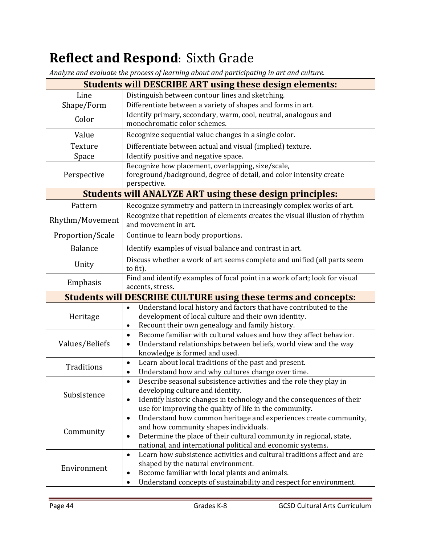# **Reflect and Respond**: Sixth Grade

*Analyze and evaluate the process of learning about and participating in art and culture.*

| and crainate the process of iourning about and participating in art al<br><b>Students will DESCRIBE ART using these design elements:</b> |                                                                                                                                                                                                                                                                              |  |  |
|------------------------------------------------------------------------------------------------------------------------------------------|------------------------------------------------------------------------------------------------------------------------------------------------------------------------------------------------------------------------------------------------------------------------------|--|--|
| Line                                                                                                                                     | Distinguish between contour lines and sketching.                                                                                                                                                                                                                             |  |  |
| Shape/Form                                                                                                                               | Differentiate between a variety of shapes and forms in art.                                                                                                                                                                                                                  |  |  |
| Color                                                                                                                                    | Identify primary, secondary, warm, cool, neutral, analogous and<br>monochromatic color schemes.                                                                                                                                                                              |  |  |
| Value                                                                                                                                    | Recognize sequential value changes in a single color.                                                                                                                                                                                                                        |  |  |
| Texture                                                                                                                                  | Differentiate between actual and visual (implied) texture.                                                                                                                                                                                                                   |  |  |
| Space                                                                                                                                    | Identify positive and negative space.                                                                                                                                                                                                                                        |  |  |
| Perspective                                                                                                                              | Recognize how placement, overlapping, size/scale,<br>foreground/background, degree of detail, and color intensity create<br>perspective.                                                                                                                                     |  |  |
|                                                                                                                                          | <b>Students will ANALYZE ART using these design principles:</b>                                                                                                                                                                                                              |  |  |
| Pattern                                                                                                                                  | Recognize symmetry and pattern in increasingly complex works of art.                                                                                                                                                                                                         |  |  |
| Rhythm/Movement                                                                                                                          | Recognize that repetition of elements creates the visual illusion of rhythm<br>and movement in art.                                                                                                                                                                          |  |  |
| Proportion/Scale                                                                                                                         | Continue to learn body proportions.                                                                                                                                                                                                                                          |  |  |
| <b>Balance</b>                                                                                                                           | Identify examples of visual balance and contrast in art.                                                                                                                                                                                                                     |  |  |
| Discuss whether a work of art seems complete and unified (all parts seem<br>Unity<br>to fit).                                            |                                                                                                                                                                                                                                                                              |  |  |
| Find and identify examples of focal point in a work of art; look for visual<br>Emphasis<br>accents, stress.                              |                                                                                                                                                                                                                                                                              |  |  |
| <b>Students will DESCRIBE CULTURE using these terms and concepts:</b>                                                                    |                                                                                                                                                                                                                                                                              |  |  |
| Heritage                                                                                                                                 | Understand local history and factors that have contributed to the<br>$\bullet$<br>development of local culture and their own identity.<br>Recount their own genealogy and family history.                                                                                    |  |  |
| Values/Beliefs                                                                                                                           | Become familiar with cultural values and how they affect behavior.<br>$\bullet$<br>Understand relationships between beliefs, world view and the way<br>$\bullet$<br>knowledge is formed and used.                                                                            |  |  |
| Traditions                                                                                                                               | Learn about local traditions of the past and present.<br>$\bullet$<br>Understand how and why cultures change over time.                                                                                                                                                      |  |  |
| Subsistence                                                                                                                              | Describe seasonal subsistence activities and the role they play in<br>$\bullet$<br>developing culture and identity.<br>Identify historic changes in technology and the consequences of their<br>$\bullet$<br>use for improving the quality of life in the community.         |  |  |
| Community                                                                                                                                | Understand how common heritage and experiences create community,<br>$\bullet$<br>and how community shapes individuals.<br>Determine the place of their cultural community in regional, state,<br>$\bullet$<br>national, and international political and economic systems.    |  |  |
| Environment                                                                                                                              | Learn how subsistence activities and cultural traditions affect and are<br>$\bullet$<br>shaped by the natural environment.<br>Become familiar with local plants and animals.<br>$\bullet$<br>Understand concepts of sustainability and respect for environment.<br>$\bullet$ |  |  |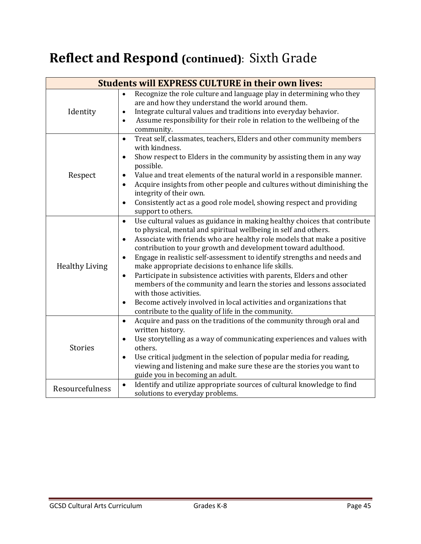# **Reflect and Respond (continued)**: Sixth Grade

| <b>Students will EXPRESS CULTURE in their own lives:</b> |                                                                                                                                                                                                                                                                                                                                                                                                                                                                                                                                                                                                                                                                                                                                                                                                     |  |  |
|----------------------------------------------------------|-----------------------------------------------------------------------------------------------------------------------------------------------------------------------------------------------------------------------------------------------------------------------------------------------------------------------------------------------------------------------------------------------------------------------------------------------------------------------------------------------------------------------------------------------------------------------------------------------------------------------------------------------------------------------------------------------------------------------------------------------------------------------------------------------------|--|--|
| Identity                                                 | Recognize the role culture and language play in determining who they<br>$\bullet$<br>are and how they understand the world around them.<br>Integrate cultural values and traditions into everyday behavior.<br>$\bullet$<br>Assume responsibility for their role in relation to the wellbeing of the<br>$\bullet$<br>community.                                                                                                                                                                                                                                                                                                                                                                                                                                                                     |  |  |
| Respect                                                  | Treat self, classmates, teachers, Elders and other community members<br>$\bullet$<br>with kindness.<br>Show respect to Elders in the community by assisting them in any way<br>$\bullet$<br>possible.<br>Value and treat elements of the natural world in a responsible manner.<br>٠<br>Acquire insights from other people and cultures without diminishing the<br>integrity of their own.<br>Consistently act as a good role model, showing respect and providing<br>$\bullet$<br>support to others.                                                                                                                                                                                                                                                                                               |  |  |
| <b>Healthy Living</b>                                    | Use cultural values as guidance in making healthy choices that contribute<br>$\bullet$<br>to physical, mental and spiritual wellbeing in self and others.<br>Associate with friends who are healthy role models that make a positive<br>$\bullet$<br>contribution to your growth and development toward adulthood.<br>Engage in realistic self-assessment to identify strengths and needs and<br>$\bullet$<br>make appropriate decisions to enhance life skills.<br>Participate in subsistence activities with parents, Elders and other<br>$\bullet$<br>members of the community and learn the stories and lessons associated<br>with those activities.<br>Become actively involved in local activities and organizations that<br>$\bullet$<br>contribute to the quality of life in the community. |  |  |
| <b>Stories</b>                                           | Acquire and pass on the traditions of the community through oral and<br>$\bullet$<br>written history.<br>Use storytelling as a way of communicating experiences and values with<br>others.<br>Use critical judgment in the selection of popular media for reading,<br>$\bullet$<br>viewing and listening and make sure these are the stories you want to<br>guide you in becoming an adult.                                                                                                                                                                                                                                                                                                                                                                                                         |  |  |
| Resourcefulness                                          | Identify and utilize appropriate sources of cultural knowledge to find<br>$\bullet$<br>solutions to everyday problems.                                                                                                                                                                                                                                                                                                                                                                                                                                                                                                                                                                                                                                                                              |  |  |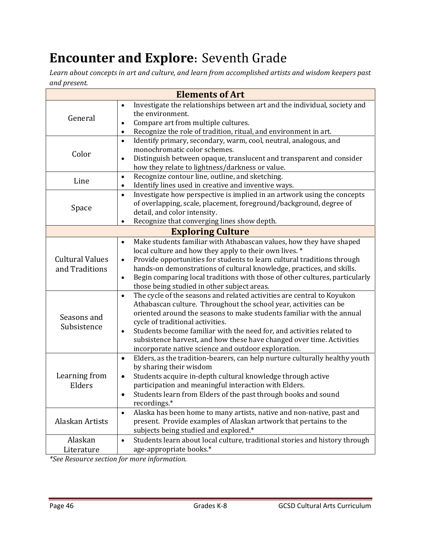# **Encounter and Explore:** Seventh Grade

*Learn about concepts in art and culture, and learn from accomplished artists and wisdom keepers past and present.*

|                                                                        | <b>Elements of Art</b>                                                                                                                                                                                                                                                                                                                                                                                                                                                                                                                                                                                                                                                                                                                                                                                                |
|------------------------------------------------------------------------|-----------------------------------------------------------------------------------------------------------------------------------------------------------------------------------------------------------------------------------------------------------------------------------------------------------------------------------------------------------------------------------------------------------------------------------------------------------------------------------------------------------------------------------------------------------------------------------------------------------------------------------------------------------------------------------------------------------------------------------------------------------------------------------------------------------------------|
| General                                                                | Investigate the relationships between art and the individual, society and<br>$\bullet$<br>the environment.<br>Compare art from multiple cultures.<br>$\bullet$<br>Recognize the role of tradition, ritual, and environment in art.<br>$\bullet$                                                                                                                                                                                                                                                                                                                                                                                                                                                                                                                                                                       |
| Color                                                                  | Identify primary, secondary, warm, cool, neutral, analogous, and<br>$\bullet$<br>monochromatic color schemes.<br>Distinguish between opaque, translucent and transparent and consider<br>$\bullet$<br>how they relate to lightness/darkness or value.                                                                                                                                                                                                                                                                                                                                                                                                                                                                                                                                                                 |
| Line                                                                   | Recognize contour line, outline, and sketching.<br>$\bullet$<br>Identify lines used in creative and inventive ways.<br>$\bullet$                                                                                                                                                                                                                                                                                                                                                                                                                                                                                                                                                                                                                                                                                      |
| Space                                                                  | Investigate how perspective is implied in an artwork using the concepts<br>$\bullet$<br>of overlapping, scale, placement, foreground/background, degree of<br>detail, and color intensity.<br>Recognize that converging lines show depth.<br>$\bullet$                                                                                                                                                                                                                                                                                                                                                                                                                                                                                                                                                                |
|                                                                        | <b>Exploring Culture</b>                                                                                                                                                                                                                                                                                                                                                                                                                                                                                                                                                                                                                                                                                                                                                                                              |
| <b>Cultural Values</b><br>and Traditions<br>Seasons and<br>Subsistence | Make students familiar with Athabascan values, how they have shaped<br>$\bullet$<br>local culture and how they apply to their own lives. *<br>Provide opportunities for students to learn cultural traditions through<br>$\bullet$<br>hands-on demonstrations of cultural knowledge, practices, and skills.<br>Begin comparing local traditions with those of other cultures, particularly<br>$\bullet$<br>those being studied in other subject areas.<br>The cycle of the seasons and related activities are central to Koyukon<br>$\bullet$<br>Athabascan culture. Throughout the school year, activities can be<br>oriented around the seasons to make students familiar with the annual<br>cycle of traditional activities.<br>Students become familiar with the need for, and activities related to<br>$\bullet$ |
|                                                                        | subsistence harvest, and how these have changed over time. Activities<br>incorporate native science and outdoor exploration.                                                                                                                                                                                                                                                                                                                                                                                                                                                                                                                                                                                                                                                                                          |
| Learning from<br>Elders                                                | Elders, as the tradition-bearers, can help nurture culturally healthy youth<br>$\bullet$<br>by sharing their wisdom<br>Students acquire in-depth cultural knowledge through active<br>$\bullet$<br>participation and meaningful interaction with Elders.<br>Students learn from Elders of the past through books and sound<br>recordings.*                                                                                                                                                                                                                                                                                                                                                                                                                                                                            |
| Alaskan Artists                                                        | Alaska has been home to many artists, native and non-native, past and<br>$\bullet$<br>present. Provide examples of Alaskan artwork that pertains to the<br>subjects being studied and explored.*                                                                                                                                                                                                                                                                                                                                                                                                                                                                                                                                                                                                                      |
| Alaskan<br>Literature<br>$*c$ .                                        | Students learn about local culture, traditional stories and history through<br>$\bullet$<br>age-appropriate books.*                                                                                                                                                                                                                                                                                                                                                                                                                                                                                                                                                                                                                                                                                                   |

*\*See Resource section for more information.*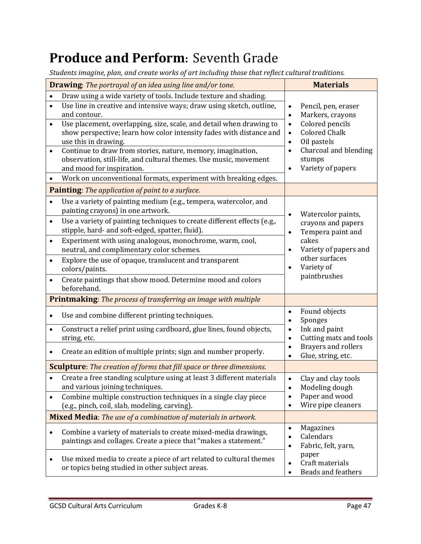# **Produce and Perform:** Seventh Grade

*Students imagine, plan, and create works of art including those that reflect cultural traditions.*

| <b>Drawing:</b> The portrayal of an idea using line and/or tone. |                                                                                      |                        | <b>Materials</b>                                 |
|------------------------------------------------------------------|--------------------------------------------------------------------------------------|------------------------|--------------------------------------------------|
|                                                                  | Draw using a wide variety of tools. Include texture and shading.                     |                        |                                                  |
| $\bullet$                                                        | Use line in creative and intensive ways; draw using sketch, outline,                 | $\bullet$              | Pencil, pen, eraser                              |
|                                                                  | and contour.                                                                         | $\bullet$              | Markers, crayons                                 |
|                                                                  | Use placement, overlapping, size, scale, and detail when drawing to                  | $\bullet$              | Colored pencils                                  |
|                                                                  | show perspective; learn how color intensity fades with distance and                  | $\bullet$              | <b>Colored Chalk</b>                             |
| $\bullet$                                                        | use this in drawing.<br>Continue to draw from stories, nature, memory, imagination,  | $\bullet$<br>$\bullet$ | Oil pastels<br>Charcoal and blending             |
|                                                                  | observation, still-life, and cultural themes. Use music, movement                    |                        | stumps                                           |
|                                                                  | and mood for inspiration.                                                            | $\bullet$              | Variety of papers                                |
|                                                                  | Work on unconventional formats, experiment with breaking edges.                      |                        |                                                  |
|                                                                  | <b>Painting:</b> The application of paint to a surface.                              |                        |                                                  |
| $\bullet$                                                        | Use a variety of painting medium (e.g., tempera, watercolor, and                     |                        |                                                  |
|                                                                  | painting crayons) in one artwork.                                                    |                        |                                                  |
| $\bullet$                                                        | Use a variety of painting techniques to create different effects (e.g.,              |                        | Watercolor paints,<br>crayons and papers         |
|                                                                  | stipple, hard- and soft-edged, spatter, fluid).                                      | $\bullet$              | Tempera paint and                                |
| $\bullet$                                                        | Experiment with using analogous, monochrome, warm, cool,                             |                        | cakes                                            |
|                                                                  | neutral, and complimentary color schemes.                                            | $\bullet$              | Variety of papers and                            |
| $\bullet$                                                        | Explore the use of opaque, translucent and transparent                               |                        | other surfaces                                   |
|                                                                  | colors/paints.                                                                       |                        | Variety of                                       |
| $\bullet$                                                        | Create paintings that show mood. Determine mood and colors<br>beforehand.            |                        | paintbrushes                                     |
|                                                                  | <b>Printmaking:</b> The process of transferring an image with multiple               |                        |                                                  |
|                                                                  | Use and combine different printing techniques.                                       | $\bullet$<br>$\bullet$ | Found objects<br>Sponges                         |
| $\bullet$                                                        | Construct a relief print using cardboard, glue lines, found objects,<br>string, etc. | $\bullet$<br>$\bullet$ | Ink and paint<br>Cutting mats and tools          |
|                                                                  | Create an edition of multiple prints; sign and number properly.                      |                        | <b>Brayers and rollers</b><br>Glue, string, etc. |
|                                                                  | <b>Sculpture</b> : The creation of forms that fill space or three dimensions.        |                        |                                                  |
|                                                                  | Create a free standing sculpture using at least 3 different materials                | $\bullet$              | Clay and clay tools                              |
|                                                                  | and various joining techniques.                                                      | $\bullet$              | Modeling dough                                   |
|                                                                  | Combine multiple construction techniques in a single clay piece                      | $\bullet$              | Paper and wood                                   |
|                                                                  | (e.g., pinch, coil, slab, modeling, carving).                                        |                        | Wire pipe cleaners                               |
|                                                                  | Mixed Media: The use of a combination of materials in artwork.                       |                        |                                                  |
| $\bullet$                                                        | Combine a variety of materials to create mixed-media drawings,                       | $\bullet$              | Magazines                                        |
|                                                                  | paintings and collages. Create a piece that "makes a statement."                     | $\bullet$              | Calendars<br>Fabric, felt, yarn,<br>paper        |
|                                                                  |                                                                                      | $\bullet$              |                                                  |
| ٠                                                                | Use mixed media to create a piece of art related to cultural themes                  | $\bullet$              | Craft materials                                  |
|                                                                  | or topics being studied in other subject areas.                                      | $\bullet$              | <b>Beads and feathers</b>                        |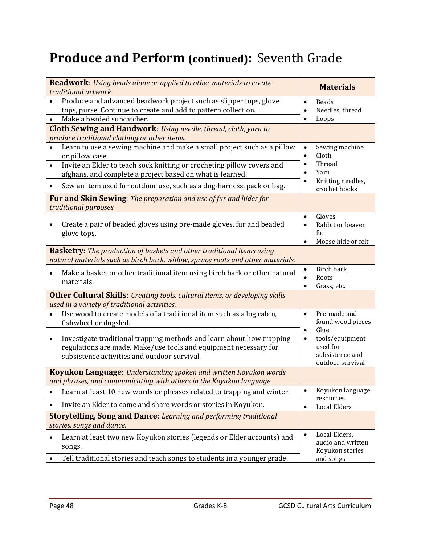# **Produce and Perform (continued):** Seventh Grade

| <b>Beadwork:</b> Using beads alone or applied to other materials to create<br>traditional artwork                                                                                                      | <b>Materials</b>                                                                                     |
|--------------------------------------------------------------------------------------------------------------------------------------------------------------------------------------------------------|------------------------------------------------------------------------------------------------------|
| Produce and advanced beadwork project such as slipper tops, glove<br>$\bullet$<br>tops, purse. Continue to create and add to pattern collection.<br>Make a beaded suncatcher.<br>$\bullet$             | <b>Beads</b><br>$\bullet$<br>Needles, thread<br>$\bullet$<br>hoops<br>$\bullet$                      |
| Cloth Sewing and Handwork: Using needle, thread, cloth, yarn to                                                                                                                                        |                                                                                                      |
| produce traditional clothing or other items.                                                                                                                                                           |                                                                                                      |
| Learn to use a sewing machine and make a small project such as a pillow<br>or pillow case.<br>Invite an Elder to teach sock knitting or crocheting pillow covers and<br>$\bullet$                      | Sewing machine<br>$\bullet$<br>Cloth<br>$\bullet$<br>Thread<br>$\bullet$<br>Yarn<br>$\bullet$        |
| afghans, and complete a project based on what is learned.                                                                                                                                              | Knitting needles,<br>$\bullet$                                                                       |
| Sew an item used for outdoor use, such as a dog-harness, pack or bag.                                                                                                                                  | crochet hooks                                                                                        |
| Fur and Skin Sewing: The preparation and use of fur and hides for<br>traditional purposes.                                                                                                             |                                                                                                      |
| Create a pair of beaded gloves using pre-made gloves, fur and beaded<br>glove tops.                                                                                                                    | Gloves<br>$\bullet$<br>Rabbit or beaver<br>$\bullet$<br>fur<br>Moose hide or felt<br>$\bullet$       |
| <b>Basketry:</b> The production of baskets and other traditional items using                                                                                                                           |                                                                                                      |
| natural materials such as birch bark, willow, spruce roots and other materials.                                                                                                                        |                                                                                                      |
| Make a basket or other traditional item using birch bark or other natural<br>$\bullet$<br>materials.                                                                                                   | <b>Birch bark</b><br>$\bullet$<br>Roots<br>Grass, etc.                                               |
| <b>Other Cultural Skills:</b> Creating tools, cultural items, or developing skills<br>used in a variety of traditional activities.                                                                     |                                                                                                      |
| Use wood to create models of a traditional item such as a log cabin,<br>fishwheel or dogsled.                                                                                                          | Pre-made and<br>$\bullet$<br>found wood pieces                                                       |
| Investigate traditional trapping methods and learn about how trapping<br>$\bullet$<br>regulations are made. Make/use tools and equipment necessary for<br>subsistence activities and outdoor survival. | Glue<br>$\bullet$<br>tools/equipment<br>$\bullet$<br>used for<br>subsistence and<br>outdoor survival |
| <b>Koyukon Language:</b> Understanding spoken and written Koyukon words<br>and phrases, and communicating with others in the Koyukon language.                                                         |                                                                                                      |
| Learn at least 10 new words or phrases related to trapping and winter.                                                                                                                                 | Koyukon language<br>$\bullet$                                                                        |
| Invite an Elder to come and share words or stories in Koyukon.                                                                                                                                         | resources<br><b>Local Elders</b><br>$\bullet$                                                        |
| <b>Storytelling, Song and Dance: Learning and performing traditional</b><br>stories, songs and dance.                                                                                                  |                                                                                                      |
| Learn at least two new Koyukon stories (legends or Elder accounts) and<br>٠<br>songs.                                                                                                                  | Local Elders,<br>$\bullet$<br>audio and written<br>Koyukon stories                                   |
| Tell traditional stories and teach songs to students in a younger grade.                                                                                                                               | and songs                                                                                            |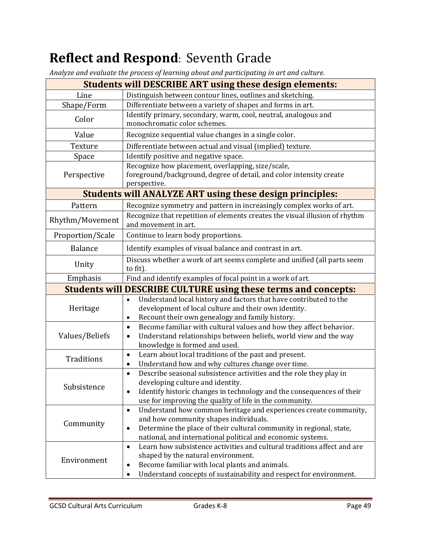# **Reflect and Respond:** Seventh Grade

*Analyze and evaluate the process of learning about and participating in art and culture.*

|                                                                 | .<br><b>Students will DESCRIBE ART using these design elements:</b>                                       |  |  |  |
|-----------------------------------------------------------------|-----------------------------------------------------------------------------------------------------------|--|--|--|
| Line                                                            | Distinguish between contour lines, outlines and sketching.                                                |  |  |  |
| Shape/Form                                                      | Differentiate between a variety of shapes and forms in art.                                               |  |  |  |
|                                                                 | Identify primary, secondary, warm, cool, neutral, analogous and                                           |  |  |  |
| Color                                                           | monochromatic color schemes.                                                                              |  |  |  |
| Value                                                           | Recognize sequential value changes in a single color.                                                     |  |  |  |
| Texture                                                         | Differentiate between actual and visual (implied) texture.                                                |  |  |  |
| Space                                                           | Identify positive and negative space.                                                                     |  |  |  |
|                                                                 | Recognize how placement, overlapping, size/scale,                                                         |  |  |  |
| Perspective                                                     | foreground/background, degree of detail, and color intensity create                                       |  |  |  |
|                                                                 | perspective.                                                                                              |  |  |  |
| <b>Students will ANALYZE ART using these design principles:</b> |                                                                                                           |  |  |  |
| Pattern                                                         | Recognize symmetry and pattern in increasingly complex works of art.                                      |  |  |  |
| Rhythm/Movement                                                 | Recognize that repetition of elements creates the visual illusion of rhythm<br>and movement in art.       |  |  |  |
| Proportion/Scale                                                | Continue to learn body proportions.                                                                       |  |  |  |
| <b>Balance</b>                                                  | Identify examples of visual balance and contrast in art.                                                  |  |  |  |
| Unity                                                           | Discuss whether a work of art seems complete and unified (all parts seem<br>to fit).                      |  |  |  |
| Emphasis                                                        | Find and identify examples of focal point in a work of art.                                               |  |  |  |
|                                                                 | <b>Students will DESCRIBE CULTURE using these terms and concepts:</b>                                     |  |  |  |
|                                                                 | Understand local history and factors that have contributed to the<br>$\bullet$                            |  |  |  |
| Heritage                                                        | development of local culture and their own identity.                                                      |  |  |  |
|                                                                 | Recount their own genealogy and family history.                                                           |  |  |  |
|                                                                 | Become familiar with cultural values and how they affect behavior.<br>$\bullet$                           |  |  |  |
| Values/Beliefs                                                  | Understand relationships between beliefs, world view and the way<br>$\bullet$                             |  |  |  |
|                                                                 | knowledge is formed and used.                                                                             |  |  |  |
| Traditions                                                      | Learn about local traditions of the past and present.<br>$\bullet$                                        |  |  |  |
|                                                                 | Understand how and why cultures change over time.<br>$\bullet$                                            |  |  |  |
| Subsistence                                                     | Describe seasonal subsistence activities and the role they play in<br>$\bullet$                           |  |  |  |
|                                                                 | developing culture and identity.<br>Identify historic changes in technology and the consequences of their |  |  |  |
|                                                                 | $\bullet$<br>use for improving the quality of life in the community.                                      |  |  |  |
|                                                                 | Understand how common heritage and experiences create community,<br>$\bullet$                             |  |  |  |
| Community                                                       | and how community shapes individuals.                                                                     |  |  |  |
|                                                                 | Determine the place of their cultural community in regional, state,<br>$\bullet$                          |  |  |  |
|                                                                 | national, and international political and economic systems.                                               |  |  |  |
|                                                                 | Learn how subsistence activities and cultural traditions affect and are<br>$\bullet$                      |  |  |  |
| Environment                                                     | shaped by the natural environment.                                                                        |  |  |  |
|                                                                 | Become familiar with local plants and animals.<br>$\bullet$                                               |  |  |  |
|                                                                 | Understand concepts of sustainability and respect for environment.<br>$\bullet$                           |  |  |  |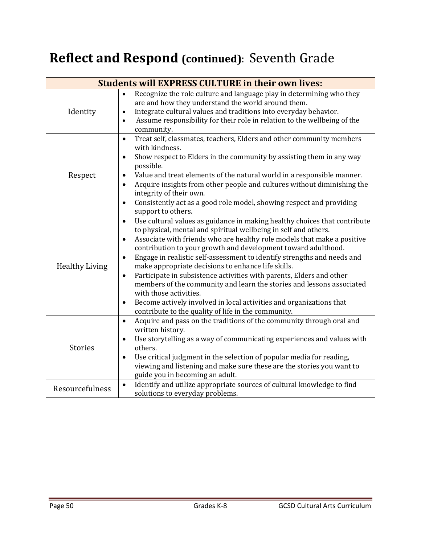# **Reflect and Respond (continued)**: Seventh Grade

| <b>Students will EXPRESS CULTURE in their own lives:</b> |                                                                                                                                                                                                                                                                                                                                                                                                                                                                                                                                                                                                                                                                                                                                                                                                     |  |  |
|----------------------------------------------------------|-----------------------------------------------------------------------------------------------------------------------------------------------------------------------------------------------------------------------------------------------------------------------------------------------------------------------------------------------------------------------------------------------------------------------------------------------------------------------------------------------------------------------------------------------------------------------------------------------------------------------------------------------------------------------------------------------------------------------------------------------------------------------------------------------------|--|--|
| Identity                                                 | Recognize the role culture and language play in determining who they<br>are and how they understand the world around them.<br>Integrate cultural values and traditions into everyday behavior.<br>$\bullet$<br>Assume responsibility for their role in relation to the wellbeing of the<br>$\bullet$<br>community.                                                                                                                                                                                                                                                                                                                                                                                                                                                                                  |  |  |
| Respect                                                  | Treat self, classmates, teachers, Elders and other community members<br>$\bullet$<br>with kindness.<br>Show respect to Elders in the community by assisting them in any way<br>$\bullet$<br>possible.<br>Value and treat elements of the natural world in a responsible manner.<br>Acquire insights from other people and cultures without diminishing the<br>integrity of their own.<br>Consistently act as a good role model, showing respect and providing<br>$\bullet$<br>support to others.                                                                                                                                                                                                                                                                                                    |  |  |
| <b>Healthy Living</b>                                    | Use cultural values as guidance in making healthy choices that contribute<br>$\bullet$<br>to physical, mental and spiritual wellbeing in self and others.<br>Associate with friends who are healthy role models that make a positive<br>$\bullet$<br>contribution to your growth and development toward adulthood.<br>Engage in realistic self-assessment to identify strengths and needs and<br>$\bullet$<br>make appropriate decisions to enhance life skills.<br>Participate in subsistence activities with parents, Elders and other<br>$\bullet$<br>members of the community and learn the stories and lessons associated<br>with those activities.<br>Become actively involved in local activities and organizations that<br>$\bullet$<br>contribute to the quality of life in the community. |  |  |
| <b>Stories</b>                                           | Acquire and pass on the traditions of the community through oral and<br>$\bullet$<br>written history.<br>Use storytelling as a way of communicating experiences and values with<br>others.<br>Use critical judgment in the selection of popular media for reading,<br>$\bullet$<br>viewing and listening and make sure these are the stories you want to<br>guide you in becoming an adult.                                                                                                                                                                                                                                                                                                                                                                                                         |  |  |
| Resourcefulness                                          | Identify and utilize appropriate sources of cultural knowledge to find<br>$\bullet$<br>solutions to everyday problems.                                                                                                                                                                                                                                                                                                                                                                                                                                                                                                                                                                                                                                                                              |  |  |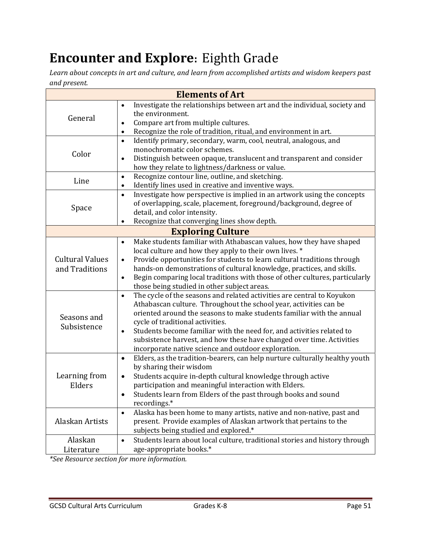# **Encounter and Explore:** Eighth Grade

*Learn about concepts in art and culture, and learn from accomplished artists and wisdom keepers past and present.*

|                                          | <b>Elements of Art</b>                                                                                                                                                                                                                                                                                                                                                                                                                                                                                                                                                                                             |
|------------------------------------------|--------------------------------------------------------------------------------------------------------------------------------------------------------------------------------------------------------------------------------------------------------------------------------------------------------------------------------------------------------------------------------------------------------------------------------------------------------------------------------------------------------------------------------------------------------------------------------------------------------------------|
| General                                  | Investigate the relationships between art and the individual, society and<br>$\bullet$<br>the environment.<br>Compare art from multiple cultures.<br>$\bullet$<br>Recognize the role of tradition, ritual, and environment in art.<br>$\bullet$                                                                                                                                                                                                                                                                                                                                                                    |
| Color                                    | Identify primary, secondary, warm, cool, neutral, analogous, and<br>$\bullet$<br>monochromatic color schemes.<br>Distinguish between opaque, translucent and transparent and consider<br>$\bullet$<br>how they relate to lightness/darkness or value.                                                                                                                                                                                                                                                                                                                                                              |
| Line                                     | Recognize contour line, outline, and sketching.<br>$\bullet$<br>Identify lines used in creative and inventive ways.<br>$\bullet$                                                                                                                                                                                                                                                                                                                                                                                                                                                                                   |
| Space                                    | Investigate how perspective is implied in an artwork using the concepts<br>$\bullet$<br>of overlapping, scale, placement, foreground/background, degree of<br>detail, and color intensity.<br>Recognize that converging lines show depth.<br>$\bullet$                                                                                                                                                                                                                                                                                                                                                             |
|                                          | <b>Exploring Culture</b>                                                                                                                                                                                                                                                                                                                                                                                                                                                                                                                                                                                           |
| <b>Cultural Values</b><br>and Traditions | Make students familiar with Athabascan values, how they have shaped<br>$\bullet$<br>local culture and how they apply to their own lives. *<br>Provide opportunities for students to learn cultural traditions through<br>$\bullet$<br>hands-on demonstrations of cultural knowledge, practices, and skills.<br>Begin comparing local traditions with those of other cultures, particularly<br>$\bullet$<br>those being studied in other subject areas.<br>The cycle of the seasons and related activities are central to Koyukon<br>$\bullet$<br>Athabascan culture. Throughout the school year, activities can be |
| Seasons and<br>Subsistence               | oriented around the seasons to make students familiar with the annual<br>cycle of traditional activities.<br>Students become familiar with the need for, and activities related to<br>$\bullet$<br>subsistence harvest, and how these have changed over time. Activities<br>incorporate native science and outdoor exploration.                                                                                                                                                                                                                                                                                    |
| Learning from<br>Elders                  | Elders, as the tradition-bearers, can help nurture culturally healthy youth<br>$\bullet$<br>by sharing their wisdom<br>Students acquire in-depth cultural knowledge through active<br>$\bullet$<br>participation and meaningful interaction with Elders.<br>Students learn from Elders of the past through books and sound<br>recordings.*                                                                                                                                                                                                                                                                         |
| Alaskan Artists                          | Alaska has been home to many artists, native and non-native, past and<br>$\bullet$<br>present. Provide examples of Alaskan artwork that pertains to the<br>subjects being studied and explored.*                                                                                                                                                                                                                                                                                                                                                                                                                   |
| Alaskan<br>Literature                    | Students learn about local culture, traditional stories and history through<br>$\bullet$<br>age-appropriate books.*                                                                                                                                                                                                                                                                                                                                                                                                                                                                                                |

*\*See Resource section for more information.*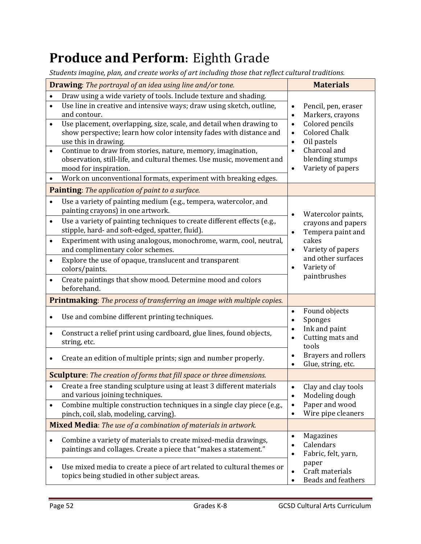# **Produce and Perform:** Eighth Grade

*Students imagine, plan, and create works of art including those that reflect cultural traditions.*

| <b>Drawing:</b> The portrayal of an idea using line and/or tone.              |                                                                                                |                          | <b>Materials</b>                     |  |
|-------------------------------------------------------------------------------|------------------------------------------------------------------------------------------------|--------------------------|--------------------------------------|--|
| $\bullet$                                                                     | Draw using a wide variety of tools. Include texture and shading.                               |                          |                                      |  |
| $\bullet$                                                                     | Use line in creative and intensive ways; draw using sketch, outline,                           | $\bullet$                | Pencil, pen, eraser                  |  |
|                                                                               | and contour.                                                                                   | $\bullet$                | Markers, crayons                     |  |
| $\bullet$                                                                     | Use placement, overlapping, size, scale, and detail when drawing to                            | $\bullet$                | Colored pencils                      |  |
|                                                                               | show perspective; learn how color intensity fades with distance and                            | $\bullet$                | <b>Colored Chalk</b>                 |  |
|                                                                               | use this in drawing.                                                                           | Oil pastels<br>$\bullet$ |                                      |  |
| $\bullet$                                                                     | Continue to draw from stories, nature, memory, imagination,                                    |                          | Charcoal and<br>$\bullet$            |  |
|                                                                               | observation, still-life, and cultural themes. Use music, movement and<br>mood for inspiration. | $\bullet$                | blending stumps<br>Variety of papers |  |
|                                                                               | Work on unconventional formats, experiment with breaking edges.                                |                          |                                      |  |
|                                                                               |                                                                                                |                          |                                      |  |
|                                                                               | <b>Painting:</b> The application of paint to a surface.                                        |                          |                                      |  |
| $\bullet$                                                                     | Use a variety of painting medium (e.g., tempera, watercolor, and                               |                          |                                      |  |
|                                                                               | painting crayons) in one artwork.                                                              | $\bullet$                | Watercolor paints,                   |  |
| $\bullet$                                                                     | Use a variety of painting techniques to create different effects (e.g.,                        |                          | crayons and papers                   |  |
|                                                                               | stipple, hard- and soft-edged, spatter, fluid).                                                | $\bullet$                | Tempera paint and                    |  |
| $\bullet$                                                                     | Experiment with using analogous, monochrome, warm, cool, neutral,                              |                          | cakes                                |  |
|                                                                               | and complimentary color schemes.                                                               | $\bullet$                | Variety of papers                    |  |
|                                                                               | Explore the use of opaque, translucent and transparent                                         |                          | and other surfaces                   |  |
|                                                                               | colors/paints.                                                                                 | $\bullet$                | Variety of                           |  |
| $\bullet$                                                                     | Create paintings that show mood. Determine mood and colors                                     |                          | paintbrushes                         |  |
|                                                                               | beforehand.                                                                                    |                          |                                      |  |
|                                                                               | <b>Printmaking:</b> The process of transferring an image with multiple copies.                 |                          |                                      |  |
|                                                                               |                                                                                                | $\bullet$                | Found objects                        |  |
|                                                                               | Use and combine different printing techniques.                                                 | $\bullet$                | Sponges                              |  |
| $\bullet$                                                                     | Construct a relief print using cardboard, glue lines, found objects,                           | $\bullet$                | Ink and paint                        |  |
|                                                                               | string, etc.                                                                                   | $\bullet$                | Cutting mats and                     |  |
|                                                                               |                                                                                                |                          | tools                                |  |
|                                                                               | Create an edition of multiple prints; sign and number properly.                                | $\bullet$                | Brayers and rollers                  |  |
|                                                                               |                                                                                                | $\bullet$                | Glue, string, etc.                   |  |
| <b>Sculpture</b> : The creation of forms that fill space or three dimensions. |                                                                                                |                          |                                      |  |
| $\bullet$                                                                     | Create a free standing sculpture using at least 3 different materials                          | $\bullet$                | Clay and clay tools                  |  |
|                                                                               | and various joining techniques.                                                                | $\bullet$                | Modeling dough                       |  |
| $\bullet$                                                                     | Combine multiple construction techniques in a single clay piece (e.g.,                         | $\bullet$                | Paper and wood                       |  |
|                                                                               | pinch, coil, slab, modeling, carving).                                                         | $\bullet$                | Wire pipe cleaners                   |  |
| <b>Mixed Media:</b> The use of a combination of materials in artwork.         |                                                                                                |                          |                                      |  |
|                                                                               | Combine a variety of materials to create mixed-media drawings,                                 | $\bullet$                | Magazines                            |  |
|                                                                               | paintings and collages. Create a piece that "makes a statement."                               | $\bullet$                | Calendars                            |  |
|                                                                               |                                                                                                | $\bullet$                | Fabric, felt, yarn,                  |  |
| ٠                                                                             | Use mixed media to create a piece of art related to cultural themes or                         |                          | paper                                |  |
|                                                                               | topics being studied in other subject areas.                                                   | $\bullet$                | Craft materials                      |  |
|                                                                               |                                                                                                | $\bullet$                | Beads and feathers                   |  |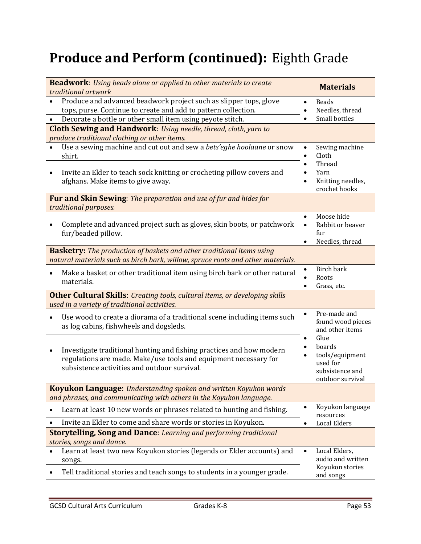# **Produce and Perform (continued):** Eighth Grade

| <b>Beadwork:</b> Using beads alone or applied to other materials to create<br>traditional artwork                                                                                                              | <b>Materials</b>                                                                                                                                                       |  |
|----------------------------------------------------------------------------------------------------------------------------------------------------------------------------------------------------------------|------------------------------------------------------------------------------------------------------------------------------------------------------------------------|--|
| Produce and advanced beadwork project such as slipper tops, glove<br>tops, purse. Continue to create and add to pattern collection.<br>Decorate a bottle or other small item using peyote stitch.<br>$\bullet$ | <b>Beads</b><br>$\bullet$<br>Needles, thread<br>$\bullet$<br>Small bottles<br>$\bullet$                                                                                |  |
| <b>Cloth Sewing and Handwork:</b> Using needle, thread, cloth, yarn to<br>produce traditional clothing or other items.                                                                                         |                                                                                                                                                                        |  |
| Use a sewing machine and cut out and sew a bets'eghe hoolaane or snow<br>shirt.                                                                                                                                | Sewing machine<br>$\bullet$<br>Cloth<br>$\bullet$                                                                                                                      |  |
| Invite an Elder to teach sock knitting or crocheting pillow covers and<br>$\bullet$<br>afghans. Make items to give away.                                                                                       | Thread<br>$\bullet$<br>Yarn<br>$\bullet$<br>Knitting needles,<br>$\bullet$<br>crochet hooks                                                                            |  |
| Fur and Skin Sewing: The preparation and use of fur and hides for<br>traditional purposes.                                                                                                                     |                                                                                                                                                                        |  |
| Complete and advanced project such as gloves, skin boots, or patchwork<br>fur/beaded pillow.                                                                                                                   | Moose hide<br>$\bullet$<br>Rabbit or beaver<br>$\bullet$<br>fur<br>Needles, thread<br>$\bullet$                                                                        |  |
| <b>Basketry:</b> The production of baskets and other traditional items using<br>natural materials such as birch bark, willow, spruce roots and other materials.                                                |                                                                                                                                                                        |  |
| Make a basket or other traditional item using birch bark or other natural<br>$\bullet$<br>materials.                                                                                                           | Birch bark<br>$\bullet$<br>Roots<br>Grass, etc.                                                                                                                        |  |
| <b>Other Cultural Skills:</b> Creating tools, cultural items, or developing skills<br>used in a variety of traditional activities.                                                                             |                                                                                                                                                                        |  |
| Use wood to create a diorama of a traditional scene including items such<br>as log cabins, fishwheels and dogsleds.                                                                                            | Pre-made and<br>$\bullet$<br>found wood pieces<br>and other items<br>Glue<br>$\bullet$<br>boards<br>tools/equipment<br>used for<br>subsistence and<br>outdoor survival |  |
| Investigate traditional hunting and fishing practices and how modern<br>regulations are made. Make/use tools and equipment necessary for<br>subsistence activities and outdoor survival.                       |                                                                                                                                                                        |  |
| <b>Koyukon Language:</b> Understanding spoken and written Koyukon words<br>and phrases, and communicating with others in the Koyukon language.                                                                 |                                                                                                                                                                        |  |
| Learn at least 10 new words or phrases related to hunting and fishing.                                                                                                                                         | Koyukon language<br>$\bullet$<br>resources                                                                                                                             |  |
| Invite an Elder to come and share words or stories in Koyukon.<br>$\bullet$<br><b>Storytelling, Song and Dance: Learning and performing traditional</b>                                                        | <b>Local Elders</b><br>$\bullet$                                                                                                                                       |  |
| stories, songs and dance.<br>Learn at least two new Koyukon stories (legends or Elder accounts) and<br>$\bullet$<br>songs.<br>Tell traditional stories and teach songs to students in a younger grade.         | Local Elders,<br>$\bullet$<br>audio and written<br>Koyukon stories<br>and songs                                                                                        |  |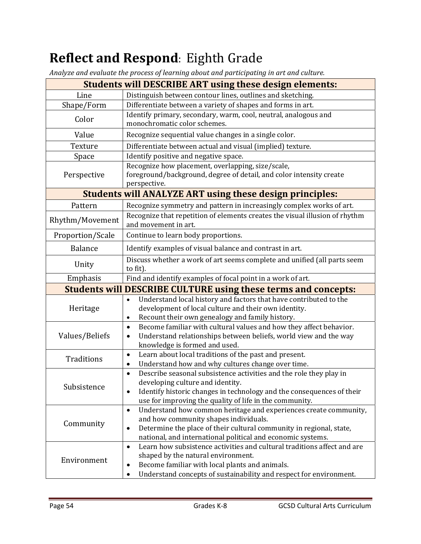# **Reflect and Respond**: Eighth Grade

*Analyze and evaluate the process of learning about and participating in art and culture.*

|                   | <b>Students will DESCRIBE ART using these design elements:</b>                                                                                                                                                                                                               |  |
|-------------------|------------------------------------------------------------------------------------------------------------------------------------------------------------------------------------------------------------------------------------------------------------------------------|--|
| Line              | Distinguish between contour lines, outlines and sketching.                                                                                                                                                                                                                   |  |
| Shape/Form        | Differentiate between a variety of shapes and forms in art.                                                                                                                                                                                                                  |  |
| Color             | Identify primary, secondary, warm, cool, neutral, analogous and<br>monochromatic color schemes.                                                                                                                                                                              |  |
| Value             | Recognize sequential value changes in a single color.                                                                                                                                                                                                                        |  |
| Texture           | Differentiate between actual and visual (implied) texture.                                                                                                                                                                                                                   |  |
| Space             | Identify positive and negative space.                                                                                                                                                                                                                                        |  |
| Perspective       | Recognize how placement, overlapping, size/scale,<br>foreground/background, degree of detail, and color intensity create<br>perspective.                                                                                                                                     |  |
|                   | <b>Students will ANALYZE ART using these design principles:</b>                                                                                                                                                                                                              |  |
| Pattern           | Recognize symmetry and pattern in increasingly complex works of art.                                                                                                                                                                                                         |  |
| Rhythm/Movement   | Recognize that repetition of elements creates the visual illusion of rhythm<br>and movement in art.                                                                                                                                                                          |  |
| Proportion/Scale  | Continue to learn body proportions.                                                                                                                                                                                                                                          |  |
| <b>Balance</b>    | Identify examples of visual balance and contrast in art.                                                                                                                                                                                                                     |  |
| Unity             | Discuss whether a work of art seems complete and unified (all parts seem<br>to fit).                                                                                                                                                                                         |  |
| Emphasis          | Find and identify examples of focal point in a work of art.                                                                                                                                                                                                                  |  |
|                   | <b>Students will DESCRIBE CULTURE using these terms and concepts:</b>                                                                                                                                                                                                        |  |
| Heritage          | Understand local history and factors that have contributed to the<br>$\bullet$<br>development of local culture and their own identity.<br>Recount their own genealogy and family history.<br>$\bullet$                                                                       |  |
| Values/Beliefs    | Become familiar with cultural values and how they affect behavior.<br>$\bullet$<br>Understand relationships between beliefs, world view and the way<br>$\bullet$<br>knowledge is formed and used.                                                                            |  |
| <b>Traditions</b> | Learn about local traditions of the past and present.<br>$\bullet$<br>Understand how and why cultures change over time.<br>$\bullet$                                                                                                                                         |  |
| Subsistence       | Describe seasonal subsistence activities and the role they play in<br>$\bullet$<br>developing culture and identity.<br>Identify historic changes in technology and the consequences of their<br>$\bullet$<br>use for improving the quality of life in the community.         |  |
| Community         | Understand how common heritage and experiences create community,<br>$\bullet$<br>and how community shapes individuals.<br>Determine the place of their cultural community in regional, state,<br>$\bullet$<br>national, and international political and economic systems.    |  |
| Environment       | Learn how subsistence activities and cultural traditions affect and are<br>$\bullet$<br>shaped by the natural environment.<br>Become familiar with local plants and animals.<br>$\bullet$<br>Understand concepts of sustainability and respect for environment.<br>$\bullet$ |  |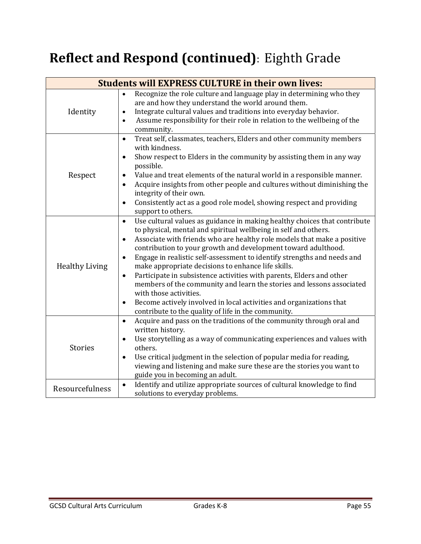# **Reflect and Respond (continued)**: Eighth Grade

| <b>Students will EXPRESS CULTURE in their own lives:</b> |                                                                                                                                                                                                                                                                                                                                                                                                                                                                                                                                                                                                                                                                                                                                                                                                     |  |  |
|----------------------------------------------------------|-----------------------------------------------------------------------------------------------------------------------------------------------------------------------------------------------------------------------------------------------------------------------------------------------------------------------------------------------------------------------------------------------------------------------------------------------------------------------------------------------------------------------------------------------------------------------------------------------------------------------------------------------------------------------------------------------------------------------------------------------------------------------------------------------------|--|--|
| Identity                                                 | Recognize the role culture and language play in determining who they<br>$\bullet$<br>are and how they understand the world around them.<br>Integrate cultural values and traditions into everyday behavior.<br>$\bullet$<br>Assume responsibility for their role in relation to the wellbeing of the<br>$\bullet$<br>community.                                                                                                                                                                                                                                                                                                                                                                                                                                                                     |  |  |
| Respect                                                  | Treat self, classmates, teachers, Elders and other community members<br>$\bullet$<br>with kindness.<br>Show respect to Elders in the community by assisting them in any way<br>$\bullet$<br>possible.<br>Value and treat elements of the natural world in a responsible manner.<br>Acquire insights from other people and cultures without diminishing the<br>$\bullet$<br>integrity of their own.<br>Consistently act as a good role model, showing respect and providing<br>$\bullet$<br>support to others.                                                                                                                                                                                                                                                                                       |  |  |
| <b>Healthy Living</b>                                    | Use cultural values as guidance in making healthy choices that contribute<br>$\bullet$<br>to physical, mental and spiritual wellbeing in self and others.<br>Associate with friends who are healthy role models that make a positive<br>$\bullet$<br>contribution to your growth and development toward adulthood.<br>Engage in realistic self-assessment to identify strengths and needs and<br>$\bullet$<br>make appropriate decisions to enhance life skills.<br>Participate in subsistence activities with parents, Elders and other<br>$\bullet$<br>members of the community and learn the stories and lessons associated<br>with those activities.<br>Become actively involved in local activities and organizations that<br>$\bullet$<br>contribute to the quality of life in the community. |  |  |
| <b>Stories</b>                                           | Acquire and pass on the traditions of the community through oral and<br>$\bullet$<br>written history.<br>Use storytelling as a way of communicating experiences and values with<br>others.<br>Use critical judgment in the selection of popular media for reading,<br>$\bullet$<br>viewing and listening and make sure these are the stories you want to<br>guide you in becoming an adult.                                                                                                                                                                                                                                                                                                                                                                                                         |  |  |
| Resourcefulness                                          | Identify and utilize appropriate sources of cultural knowledge to find<br>$\bullet$<br>solutions to everyday problems.                                                                                                                                                                                                                                                                                                                                                                                                                                                                                                                                                                                                                                                                              |  |  |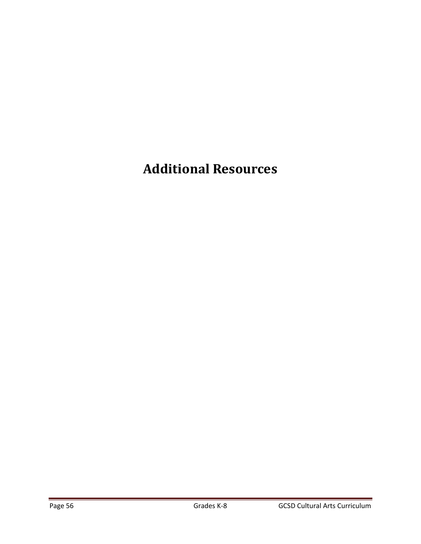# **Additional Resources**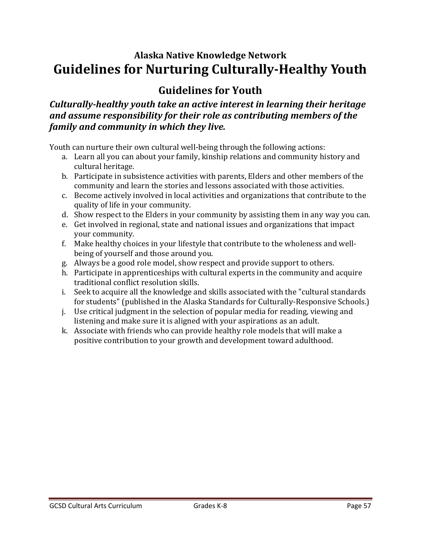### **Alaska Native Knowledge Network Guidelines for Nurturing Culturally‐Healthy Youth**

### **Guidelines for Youth**

*Culturally‐healthy youth take an active interest in learning their heritage and assume responsibility for their role as contributing members of the family and community in which they live.*

Youth can nurture their own cultural well-being through the following actions:

- a. Learn all you can about your family, kinship relations and community history and cultural heritage.
- b. Participate in subsistence activities with parents, Elders and other members of the community and learn the stories and lessons associated with those activities.
- c. Become actively involved in local activities and organizations that contribute to the quality of life in your community.
- d. Show respect to the Elders in your community by assisting them in any way you can.
- e. Get involved in regional, state and national issues and organizations that impact your community.
- f. Make healthy choices in your lifestyle that contribute to the wholeness and wellbeing of yourself and those around you.
- g. Always be a good role model, show respect and provide support to others.
- h. Participate in apprenticeships with cultural experts in the community and acquire traditional conflict resolution skills.
- i. Seek to acquire all the knowledge and skills associated with the "cultural standards" for students" (published in the Alaska Standards for Culturally-Responsive Schools.)
- j. Use critical judgment in the selection of popular media for reading, viewing and listening and make sure it is aligned with your aspirations as an adult.
- k. Associate with friends who can provide healthy role models that will make a positive contribution to your growth and development toward adulthood.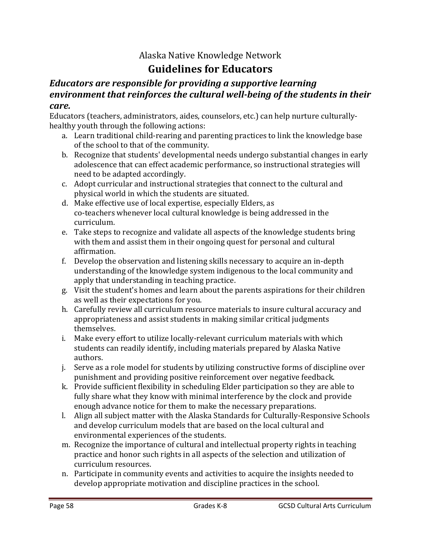### Alaska Native Knowledge Network **Guidelines for Educators**

#### *Educators are responsible for providing a supportive learning environment that reinforces the cultural well‐being of the students in their care.*

Educators (teachers, administrators, aides, counselors, etc.) can help nurture culturallyhealthy youth through the following actions:

- a. Learn traditional child-rearing and parenting practices to link the knowledge base of the school to that of the community.
- b. Recognize that students' developmental needs undergo substantial changes in early adolescence that can effect academic performance, so instructional strategies will need to be adapted accordingly.
- c. Adopt curricular and instructional strategies that connect to the cultural and physical world in which the students are situated.
- d. Make effective use of local expertise, especially Elders, as co-teachers whenever local cultural knowledge is being addressed in the curriculum.
- e. Take steps to recognize and validate all aspects of the knowledge students bring with them and assist them in their ongoing quest for personal and cultural affirmation.
- f. Develop the observation and listening skills necessary to acquire an in-depth understanding of the knowledge system indigenous to the local community and apply that understanding in teaching practice.
- g. Visit the student's homes and learn about the parents aspirations for their children as well as their expectations for you.
- h. Carefully review all curriculum resource materials to insure cultural accuracy and appropriateness and assist students in making similar critical judgments themselves.
- i. Make every effort to utilize locally-relevant curriculum materials with which students can readily identify, including materials prepared by Alaska Native authors.
- j. Serve as a role model for students by utilizing constructive forms of discipline over punishment and providing positive reinforcement over negative feedback.
- k. Provide sufficient flexibility in scheduling Elder participation so they are able to fully share what they know with minimal interference by the clock and provide enough advance notice for them to make the necessary preparations.
- l. Align all subject matter with the Alaska Standards for Culturally-Responsive Schools and develop curriculum models that are based on the local cultural and environmental experiences of the students.
- m. Recognize the importance of cultural and intellectual property rights in teaching practice and honor such rights in all aspects of the selection and utilization of curriculum resources.
- n. Participate in community events and activities to acquire the insights needed to develop appropriate motivation and discipline practices in the school.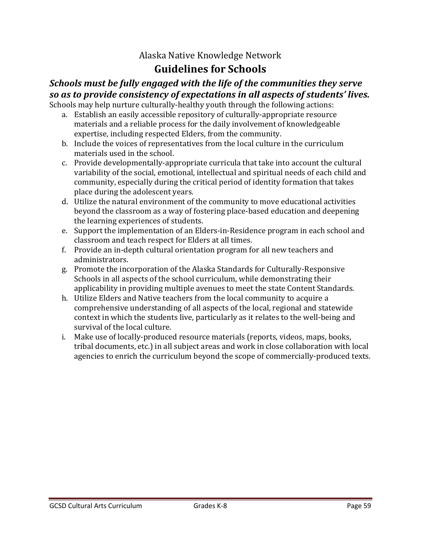### Alaska Native Knowledge Network **Guidelines for Schools**

#### *Schools must be fully engaged with the life of the communities they serve so as to provide consistency of expectations in all aspects of students' lives.*

Schools may help nurture culturally-healthy youth through the following actions:

- a. Establish an easily accessible repository of culturally-appropriate resource materials and a reliable process for the daily involvement of knowledgeable expertise, including respected Elders, from the community.
- b. Include the voices of representatives from the local culture in the curriculum materials used in the school.
- c. Provide developmentally-appropriate curricula that take into account the cultural variability of the social, emotional, intellectual and spiritual needs of each child and community, especially during the critical period of identity formation that takes place during the adolescent years.
- d. Utilize the natural environment of the community to move educational activities beyond the classroom as a way of fostering place-based education and deepening the learning experiences of students.
- e. Support the implementation of an Elders-in-Residence program in each school and classroom and teach respect for Elders at all times.
- f. Provide an in-depth cultural orientation program for all new teachers and administrators.
- g. Promote the incorporation of the Alaska Standards for Culturally-Responsive Schools in all aspects of the school curriculum, while demonstrating their applicability in providing multiple avenues to meet the state Content Standards.
- h. Utilize Elders and Native teachers from the local community to acquire a comprehensive understanding of all aspects of the local, regional and statewide context in which the students live, particularly as it relates to the well-being and survival of the local culture.
- i. Make use of locally-produced resource materials (reports, videos, maps, books, tribal documents, etc.) in all subject areas and work in close collaboration with local agencies to enrich the curriculum beyond the scope of commercially-produced texts.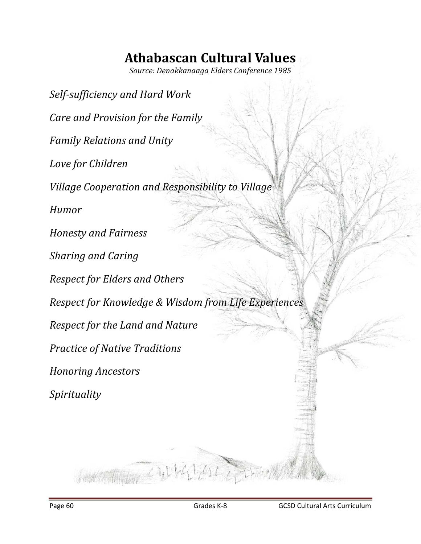# **Athabascan Cultural Values**

*Source: Denakkanaaga Elders Conference 1985*

*Self‐sufficiency and Hard Work Care and Provision for the Family Family Relations and Unity Love for Children Village Cooperation and Responsibility to Village Humor Honesty and Fairness Sharing and Caring Respect for Elders and Others Respect for Knowledge & Wisdom from Life Experiences Respect for the Land and Nature Practice of Native Traditions Honoring Ancestors Spirituality*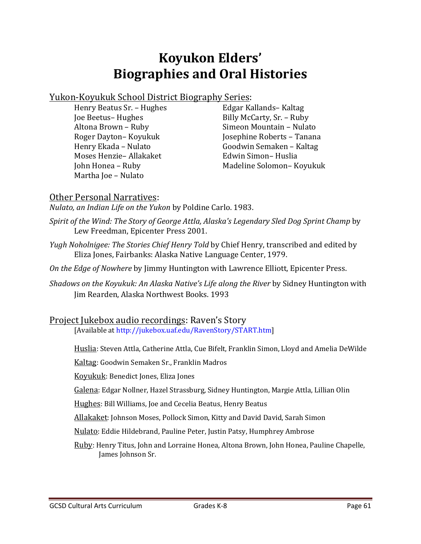## **Koyukon Elders' Biographies and Oral Histories**

#### Yukon-Koyukuk School District Biography Series:

Henry Beatus Sr. - Hughes Joe Beetus- Hughes Altona Brown - Ruby Roger Dayton- Koyukuk Henry Ekada - Nulato Moses Henzie– Allakaket John Honea - Ruby Martha Joe - Nulato

Edgar Kallands- Kaltag Billy McCarty, Sr. - Ruby Simeon Mountain - Nulato Josephine Roberts - Tanana Goodwin Semaken – Kaltag Edwin Simon– Huslia Madeline Solomon- Koyukuk

#### Other Personal Narratives:

*Nulato, an Indian Life on the Yukon* by Poldine Carlo. 1983. 

- *Spirit of the Wind: The Story of George Attla, Alaska's Legendary Sled Dog Sprint Champ* by Lew Freedman, Epicenter Press 2001.
- *Yugh Noholnigee: The Stories Chief Henry Told* by Chief Henry, transcribed and edited by Eliza Jones, Fairbanks: Alaska Native Language Center, 1979.
- *On the Edge of Nowhere* by Jimmy Huntington with Lawrence Elliott, Epicenter Press.
- *Shadows on the Koyukuk: An Alaska Native's Life along the River* by Sidney Huntington with Jim Rearden, Alaska Northwest Books. 1993

#### Project Jukebox audio recordings: Raven's Story

[Available at http://jukebox.uaf.edu/RavenStory/START.htm]

- Huslia: Steven Attla, Catherine Attla, Cue Bifelt, Franklin Simon, Lloyd and Amelia DeWilde
- Kaltag: Goodwin Semaken Sr., Franklin Madros
- Koyukuk: Benedict Jones, Eliza Jones
- Galena: Edgar Nollner, Hazel Strassburg, Sidney Huntington, Margie Attla, Lillian Olin
- Hughes: Bill Williams, Joe and Cecelia Beatus, Henry Beatus
- Allakaket: Johnson Moses, Pollock Simon, Kitty and David David, Sarah Simon
- Nulato: Eddie Hildebrand, Pauline Peter, Justin Patsy, Humphrey Ambrose
- Ruby: Henry Titus, John and Lorraine Honea, Altona Brown, John Honea, Pauline Chapelle, James Johnson Sr.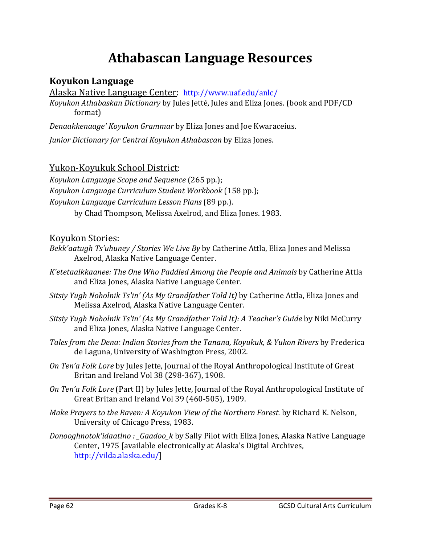## **Athabascan Language Resources**

#### **Koyukon Language**

Alaska Native Language Center: http://www.uaf.edu/anlc/

*Koyukon Athabaskan Dictionary* by Jules Jetté, Jules and Eliza Jones. (book and PDF/CD format) 

*Denaakkenaage' Koyukon Grammar* by Eliza Jones and Joe Kwaraceius.

*Junior Dictionary for Central Koyukon Athabascan* by Eliza Jones. 

Yukon-Koyukuk School District:

*Koyukon Language Scope and Sequence* (265 pp.); *Koyukon Language Curriculum Student Workbook* (158 pp.); *Koyukon Language Curriculum Lesson Plans* (89 pp.). by Chad Thompson, Melissa Axelrod, and Eliza Jones. 1983.

#### Kovukon Stories:

- *Bekk'aatugh Ts'uhuney / Stories We Live By* by Catherine Attla, Eliza Jones and Melissa Axelrod, Alaska Native Language Center.
- *K'etetaalkkaanee: The One Who Paddled Among the People and Animals* by Catherine Attla and Eliza Jones, Alaska Native Language Center.
- *Sitsiy Yugh Noholnik Ts'in' (As My Grandfather Told It)* by Catherine Attla, Eliza Jones and Melissa Axelrod, Alaska Native Language Center.
- *Sitsiy Yugh Noholnik Ts'in' (As My Grandfather Told It): A Teacher's Guide* by Niki McCurry and Eliza Jones, Alaska Native Language Center.
- *Tales from the Dena: Indian Stories from the Tanana, Koyukuk, & Yukon Rivers* by Frederica de Laguna, University of Washington Press, 2002.
- *On Ten'a Folk Lore* by Jules Jette, Journal of the Royal Anthropological Institute of Great Britan and Ireland Vol 38 (298-367), 1908.
- *On Ten'a Folk Lore* (Part II) by Jules Jette, Journal of the Royal Anthropological Institute of Great Britan and Ireland Vol 39 (460-505), 1909.
- *Make Prayers to the Raven: A Koyukon View of the Northern Forest.* by Richard K. Nelson, University of Chicago Press, 1983.
- *Donooghnotok'idaatlno : Gaadoo k* by Sally Pilot with Eliza Jones, Alaska Native Language Center, 1975 [available electronically at Alaska's Digital Archives, http://vilda.alaska.edu/]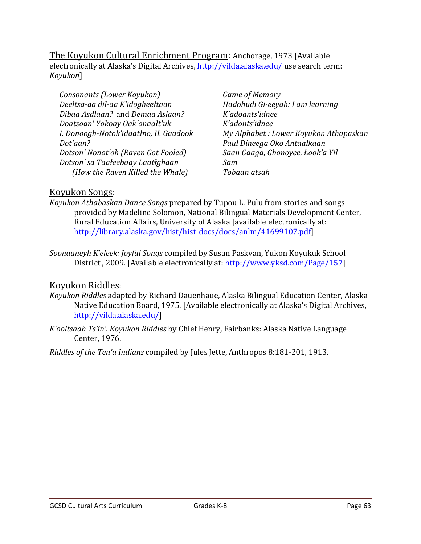The Koyukon Cultural Enrichment Program: Anchorage, 1973 [Available] electronically at Alaska's Digital Archives, http://vilda.alaska.edu/ use search term: *Koyukon*] 

*Consonants (Lower Koyukon) Deeltsa‐aa dil‐aa K'idogheełtaan Dibaa Asdlaan?* and *Demaa Aslaan? Doatsoan' Yokoay Oak'onaałt'uk I. Donoogh‐Notok'idaatłno, II. Gaadook Dot'aan? Dotson' Nonot'oh (Raven Got Fooled) Dotson' sa Taałeebaay Laatłghaan (How the Raven Killed the Whale)*

*Game of Memory Hadohudi Gi‐eeyah: I am learning K'adoants'idnee K'adonts'idnee My Alphabet : Lower Koyukon Athapaskan Paul Dineega Oko Antaalkaan Saan Gaaga, Ghonoyee, Łook'a Yił Sam Tobaan atsah*

#### Koyukon Songs:

*Koyukon Athabaskan Dance Songs* prepared by Tupou L. Pulu from stories and songs provided by Madeline Solomon, National Bilingual Materials Development Center, Rural Education Affairs, University of Alaska [available electronically at: http://library.alaska.gov/hist/hist\_docs/docs/anlm/41699107.pdf]

*Soonaaneyh K'eleek: Joyful Songs* compiled by Susan Paskvan, Yukon Koyukuk School District, 2009. [Available electronically at: http://www.yksd.com/Page/157]

#### Koyukon Riddles:

- *Koyukon Riddles* adapted by Richard Dauenhaue, Alaska Bilingual Education Center, Alaska Native Education Board, 1975. [Available electronically at Alaska's Digital Archives, http://vilda.alaska.edu/]
- *K'ooltsaah Ts'in'. Koyukon Riddles* by Chief Henry, Fairbanks: Alaska Native Language Center, 1976.

*Riddles of the Ten'a Indians* compiled by Jules Jette, Anthropos 8:181‐201, 1913.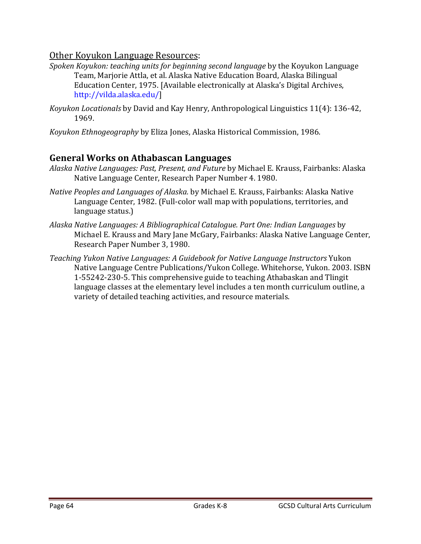#### Other Koyukon Language Resources:

- *Spoken Koyukon: teaching units for beginning second <i>language* by the Koyukon Language Team, Marjorie Attla, et al. Alaska Native Education Board, Alaska Bilingual Education Center, 1975. [Available electronically at Alaska's Digital Archives, http://vilda.alaska.edu/]
- *Koyukon Locationals* by David and Kay Henry, Anthropological Linguistics 11(4): 136-42, 1969.
- *Koyukon Ethnogeography* by Eliza Jones, Alaska Historical Commission, 1986.

#### **General Works on Athabascan Languages**

- *Alaska Native Languages: Past, Present, and Future* by Michael E. Krauss, Fairbanks: Alaska Native Language Center, Research Paper Number 4. 1980.
- *Native Peoples and Languages of Alaska.* by Michael E. Krauss, Fairbanks: Alaska Native Language Center, 1982. (Full-color wall map with populations, territories, and language status.)
- *Alaska Native Languages: A Bibliographical Catalogue. Part One: Indian Languages* by Michael E. Krauss and Mary Jane McGary, Fairbanks: Alaska Native Language Center, Research Paper Number 3, 1980.
- *Teaching Yukon Native Languages: A Guidebook for Native Language Instructors* Yukon Native Language Centre Publications/Yukon College. Whitehorse, Yukon. 2003. ISBN 1-55242-230-5. This comprehensive guide to teaching Athabaskan and Tlingit language classes at the elementary level includes a ten month curriculum outline, a variety of detailed teaching activities, and resource materials.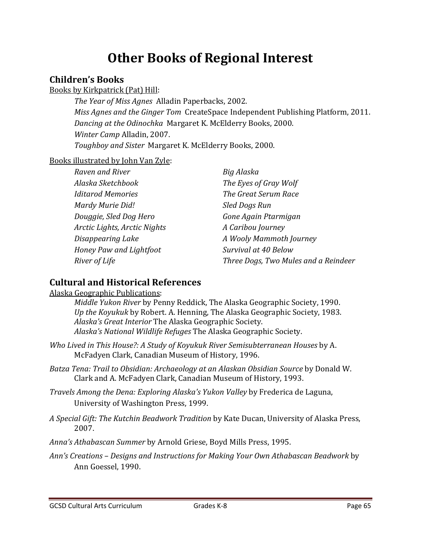### **Other Books of Regional Interest**

#### **Children's Books**

Books by Kirkpatrick (Pat) Hill:

*The Year of Miss Agnes* Alladin Paperbacks, 2002. *Miss Agnes and the Ginger Tom* CreateSpace Independent Publishing Platform, 2011. *Dancing at the Odinochka* Margaret K. McElderry Books, 2000. *Winter Camp Alladin, 2007. Toughboy and Sister* Margaret K. McElderry Books, 2000. 

Books illustrated by John Van Zyle:

| Raven and River              | Big Alaska                           |
|------------------------------|--------------------------------------|
| Alaska Sketchbook            | The Eyes of Gray Wolf                |
| <b>Iditarod Memories</b>     | The Great Serum Race                 |
| Mardy Murie Did!             | Sled Dogs Run                        |
| Douggie, Sled Dog Hero       | Gone Again Ptarmigan                 |
| Arctic Lights, Arctic Nights | A Caribou Journey                    |
| Disappearing Lake            | A Wooly Mammoth Journey              |
| Honey Paw and Lightfoot      | Survival at 40 Below                 |
| River of Life                | Three Dogs, Two Mules and a Reindeer |

#### **Cultural and Historical References**

Alaska Geographic Publications:

*Middle Yukon River* by Penny Reddick, The Alaska Geographic Society, 1990. *Up* the *Koyukuk* by Robert. A. Henning, The Alaska Geographic Society, 1983. *Alaska's Great Interior* The Alaska Geographic Society. *Alaska's National Wildlife Refuges* The Alaska Geographic Society.

- *Who Lived in This House?: A Study of Koyukuk River Semisubterranean Houses* by A. McFadyen Clark, Canadian Museum of History, 1996.
- *Batza Tena: Trail to Obsidian: Archaeology at an Alaskan Obsidian Source* by Donald W. Clark and A. McFadyen Clark, Canadian Museum of History, 1993.
- *Travels Among the Dena: Exploring Alaska's Yukon Valley* by Frederica de Laguna, University of Washington Press, 1999.
- *A Special Gift: The Kutchin Beadwork Tradition* by Kate Ducan, University of Alaska Press, 2007.
- *Anna's Athabascan Summer* by Arnold Griese, Boyd Mills Press, 1995.
- *Ann's Creations – Designs and Instructions for Making Your Own Athabascan Beadwork* by Ann Goessel, 1990.

GCSD Cultural Arts Curriculum 
Grades K-8 
Grades C-8 
Grades C-8 
Grades C-8 
Bage 65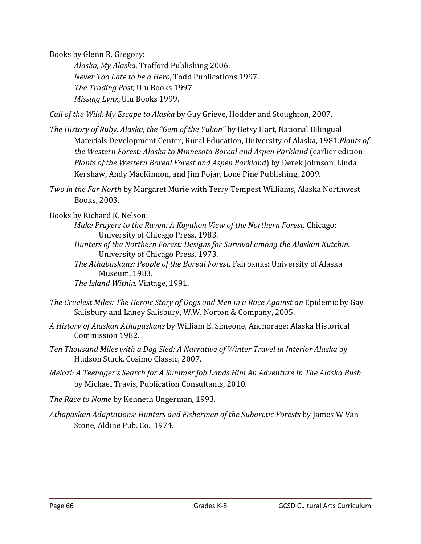Books by Glenn R. Gregory:

*Alaska, My Alaska*, Trafford Publishing 2006. *Never Too Late to be a Hero*, Todd Publications 1997. *The Trading Post,* Ulu Books 1997 *Missing Lynx*, Ulu Books 1999.

*Call of the Wild, My Escape to Alaska* by Guy Grieve, Hodder and Stoughton, 2007. 

- *The History of Ruby, Alaska, the "Gem of the Yukon"* by Betsy Hart, National Bilingual Materials Development Center, Rural Education, University of Alaska, 1981.*Plants of the Western Forest: Alaska to Minnesota Boreal and Aspen Parkland* (earlier edition: *Plants of the Western Boreal Forest and Aspen Parkland*) by Derek Johnson, Linda Kershaw, Andy MacKinnon, and Jim Pojar, Lone Pine Publishing, 2009.
- *Two in the Far North* by Margaret Murie with Terry Tempest Williams, Alaska Northwest Books, 2003.

Books by Richard K. Nelson:

- *Make Prayers to the Raven: A Koyukon View of the Northern Forest.* Chicago: University of Chicago Press, 1983.
- *Hunters of the Northern Forest: Designs for Survival among the Alaskan Kutchin.* University of Chicago Press, 1973.
- *The Athabaskans: People of the Boreal Forest.* Fairbanks: University of Alaska Museum, 1983.

*The Island Within.* Vintage, 1991.

- *The Cruelest Miles: The Heroic Story of Dogs and Men in a Race Against an* Epidemic by Gay Salisbury and Laney Salisbury, W.W. Norton & Company, 2005.
- *A History of Alaskan Athapaskans* by William E. Simeone, Anchorage: Alaska Historical Commission 1982.
- *Ten Thousand Miles with a Dog Sled: A Narrative of Winter Travel in Interior Alaska* by Hudson Stuck, Cosimo Classic, 2007.
- *Melozi: A Teenager's Search for A Summer Job Lands Him An Adventure In The Alaska Bush* by Michael Travis, Publication Consultants, 2010.

*The Race to Nome* by Kenneth Ungerman, 1993. 

*Athapaskan Adaptations: Hunters and Fishermen of the Subarctic Forests* by James W Van Stone, Aldine Pub. Co. 1974.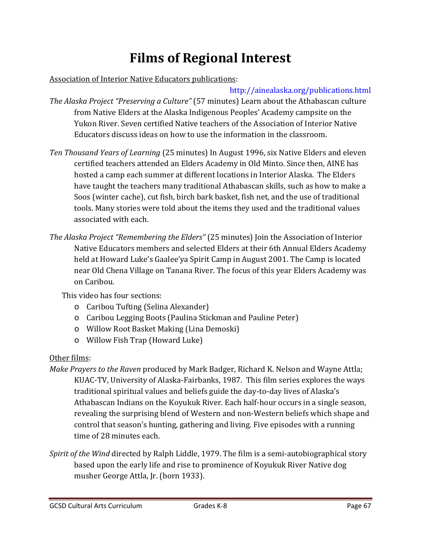# **Films of Regional Interest**

#### Association of Interior Native Educators publications:

#### http://ainealaska.org/publications.html

- *The Alaska Project "Preserving a Culture"* (57 minutes) Learn about the Athabascan culture from Native Elders at the Alaska Indigenous Peoples' Academy campsite on the Yukon River. Seven certified Native teachers of the Association of Interior Native Educators discuss ideas on how to use the information in the classroom.
- *Ten Thousand Years of Learning* (25 minutes) In August 1996, six Native Elders and eleven certified teachers attended an Elders Academy in Old Minto. Since then, AINE has hosted a camp each summer at different locations in Interior Alaska. The Elders have taught the teachers many traditional Athabascan skills, such as how to make a Soos (winter cache), cut fish, birch bark basket, fish net, and the use of traditional tools. Many stories were told about the items they used and the traditional values associated with each.
- *The Alaska Project "Remembering the Elders"* (25 minutes) Join the Association of Interior Native Educators members and selected Elders at their 6th Annual Elders Academy held at Howard Luke's Gaalee'ya Spirit Camp in August 2001. The Camp is located near Old Chena Village on Tanana River. The focus of this year Elders Academy was on Caribou.

This video has four sections:

- o Caribou Tufting (Selina Alexander)
- $\circ$  Caribou Legging Boots (Paulina Stickman and Pauline Peter)
- o Willow Root Basket Making (Lina Demoski)
- o Willow Fish Trap (Howard Luke)

#### Other films:

- *Make Prayers to the Raven* produced by Mark Badger, Richard K. Nelson and Wayne Attla; KUAC-TV, University of Alaska-Fairbanks, 1987. This film series explores the ways traditional spiritual values and beliefs guide the day-to-day lives of Alaska's Athabascan Indians on the Koyukuk River. Each half-hour occurs in a single season, revealing the surprising blend of Western and non-Western beliefs which shape and control that season's hunting, gathering and living. Five episodes with a running time of 28 minutes each.
- *Spirit of the Wind* directed by Ralph Liddle, 1979. The film is a semi-autobiographical story based upon the early life and rise to prominence of Koyukuk River Native dog musher George Attla, Jr. (born 1933).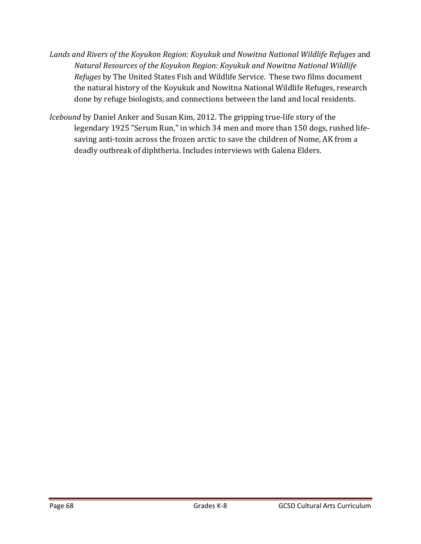- *Lands and Rivers of the Koyukon Region: Koyukuk and Nowitna National Wildlife Refuges* and *Natural Resources of the Koyukon Region: Koyukuk and Nowitna National Wildlife Refuges* by The United States Fish and Wildlife Service. These two films document the natural history of the Koyukuk and Nowitna National Wildlife Refuges, research done by refuge biologists, and connections between the land and local residents.
- *Icebound* by Daniel Anker and Susan Kim, 2012. The gripping true-life story of the legendary 1925 "Serum Run," in which 34 men and more than 150 dogs, rushed lifesaving anti-toxin across the frozen arctic to save the children of Nome, AK from a deadly outbreak of diphtheria. Includes interviews with Galena Elders.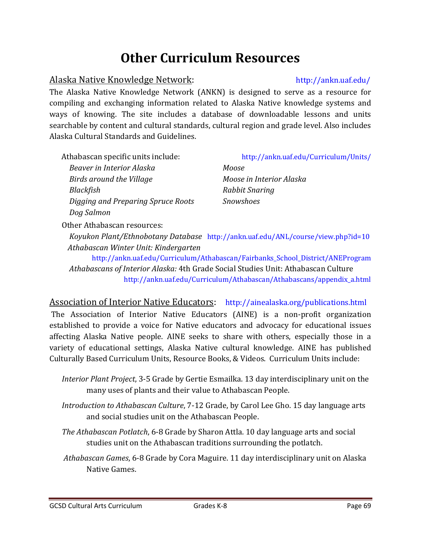### **Other Curriculum Resources**

#### Alaska Native Knowledge Network: http://ankn.uaf.edu/

The Alaska Native Knowledge Network (ANKN) is designed to serve as a resource for compiling and exchanging information related to Alaska Native knowledge systems and ways of knowing. The site includes a database of downloadable lessons and units searchable by content and cultural standards, cultural region and grade level. Also includes Alaska Cultural Standards and Guidelines.

*Beaver in Interior Alaska Birds around the Village Blackfish Digging and Preparing Spruce Roots Dog Salmon*

#### Athabascan specific units include: http://ankn.uaf.edu/Curriculum/Units/

*Moose Moose in Interior Alaska Rabbit Snaring Snowshoes*

Other Athabascan resources:

*Koyukon Plant/Ethnobotany Database* http://ankn.uaf.edu/ANL/course/view.php?id=10 *Athabascan Winter Unit: Kindergarten* 

http://ankn.uaf.edu/Curriculum/Athabascan/Fairbanks\_School\_District/ANEProgram *Athabascans of Interior Alaska:* 4th Grade Social Studies Unit: Athabascan Culture http://ankn.uaf.edu/Curriculum/Athabascan/Athabascans/appendix\_a.html

#### Association of Interior Native Educators: http://ainealaska.org/publications.html

The Association of Interior Native Educators (AINE) is a non-profit organization established to provide a voice for Native educators and advocacy for educational issues affecting Alaska Native people. AINE seeks to share with others, especially those in a variety of educational settings, Alaska Native cultural knowledge. AINE has published Culturally Based Curriculum Units, Resource Books, & Videos. Curriculum Units include:

- *Interior Plant Project*, 3-5 Grade by Gertie Esmailka. 13 day interdisciplinary unit on the many uses of plants and their value to Athabascan People.
- *Introduction to Athabascan Culture,* 7-12 Grade, by Carol Lee Gho. 15 day language arts and social studies unit on the Athabascan People.
- *The Athabascan Potlatch,* 6-8 Grade by Sharon Attla. 10 day language arts and social studies unit on the Athabascan traditions surrounding the potlatch.
- *Athabascan Games*, 6-8 Grade by Cora Maguire. 11 day interdisciplinary unit on Alaska Native Games.

GCSD Cultural Arts Curriculum Grades K‐8 Page 69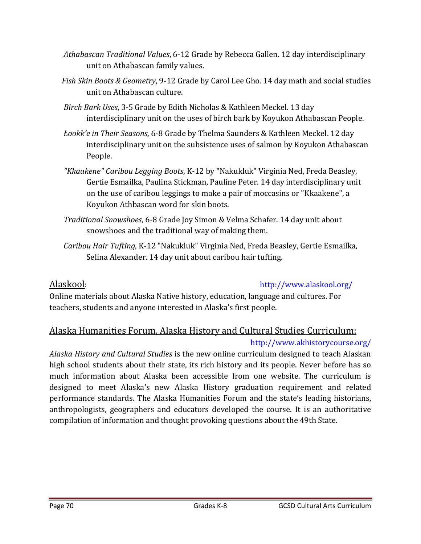- Athabascan *Traditional Values*, 6-12 Grade by Rebecca Gallen. 12 day interdisciplinary unit on Athabascan family values.
- Fish *Skin Boots & Geometry*, 9-12 Grade by Carol Lee Gho. 14 day math and social studies unit on Athabascan culture.
- *Birch Bark Uses,* 3-5 Grade by Edith Nicholas & Kathleen Meckel. 13 day interdisciplinary unit on the uses of birch bark by Koyukon Athabascan People.
- *Łookk'e in Their Seasons*, 6‐8 Grade by Thelma Saunders & Kathleen Meckel. 12 day interdisciplinary unit on the subsistence uses of salmon by Koyukon Athabascan People.
- *"Kkaakene" Caribou Legging Boots*, K‐12 by "Nakukluk" Virginia Ned, Freda Beasley, Gertie Esmailka, Paulina Stickman, Pauline Peter. 14 day interdisciplinary unit on the use of caribou leggings to make a pair of moccasins or "Kkaakene", a Koyukon Athbascan word for skin boots.
- *Traditional Snowshoes*, 6-8 Grade Joy Simon & Velma Schafer. 14 day unit about snowshoes and the traditional way of making them.
- *Caribou Hair Tufting, K-12* "Nakukluk" Virginia Ned, Freda Beasley, Gertie Esmailka, Selina Alexander. 14 day unit about caribou hair tufting.

#### Alaskool: http://www.alaskool.org/

Online materials about Alaska Native history, education, language and cultures. For teachers, students and anyone interested in Alaska's first people.

#### Alaska Humanities Forum, Alaska History and Cultural Studies Curriculum:

#### http://www.akhistorycourse.org/

*Alaska History and Cultural Studies* is the new online curriculum designed to teach Alaskan high school students about their state, its rich history and its people. Never before has so much information about Alaska been accessible from one website. The curriculum is designed to meet Alaska's new Alaska History graduation requirement and related performance standards. The Alaska Humanities Forum and the state's leading historians, anthropologists, geographers and educators developed the course. It is an authoritative compilation of information and thought provoking questions about the 49th State.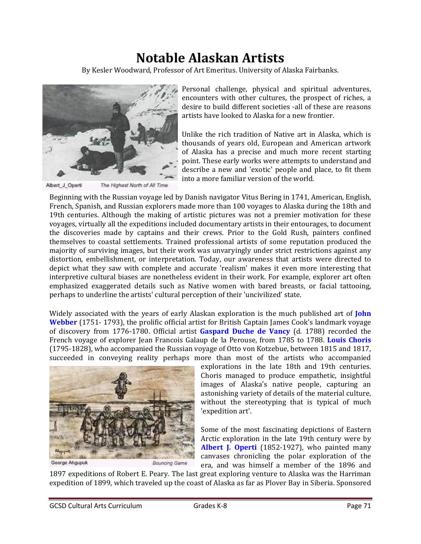### **Notable Alaskan Artists**

By Kesler Woodward, Professor of Art Emeritus. University of Alaska Fairbanks.



The Highest North of All Time Albert\_J\_Operti

Personal challenge, physical and spiritual adventures, encounters with other cultures, the prospect of riches, a desire to build different societies -all of these are reasons artists have looked to Alaska for a new frontier.

Unlike the rich tradition of Native art in Alaska, which is thousands of years old, European and American artwork of Alaska has a precise and much more recent starting point. These early works were attempts to understand and describe a new and 'exotic' people and place, to fit them into a more familiar version of the world.

Beginning with the Russian voyage led by Danish navigator Vitus Bering in 1741, American, English, French, Spanish, and Russian explorers made more than 100 voyages to Alaska during the 18th and 19th centuries. Although the making of artistic pictures was not a premier motivation for these voyages, virtually all the expeditions included documentary artists in their entourages, to document the discoveries made by captains and their crews. Prior to the Gold Rush, painters confined themselves to coastal settlements. Trained professional artists of some reputation produced the majority of surviving images, but their work was unvaryingly under strict restrictions against any distortion, embellishment, or interpretation. Today, our awareness that artists were directed to depict what they saw with complete and accurate 'realism' makes it even more interesting that interpretive cultural biases are nonetheless evident in their work. For example, explorer art often emphasized exaggerated details such as Native women with bared breasts, or facial tattooing, perhaps to underline the artists' cultural perception of their 'uncivilized' state.

Widely associated with the years of early Alaskan exploration is the much published art of **John Webber** (1751-1793), the prolific official artist for British Captain James Cook's landmark voyage of discovery from 1776-1780. Official artist **Gaspard Duche de Vancy** (d. 1788) recorded the French voyage of explorer Jean Francois Galaup de la Perouse, from 1785 to 1788. Louis Choris (1795-1828), who accompanied the Russian voyage of Otto von Kotzebue, between 1815 and 1817, succeeded in conveying reality perhaps more than most of the artists who accompanied



George Ahgupuk

explorations in the late 18th and 19th centuries. Choris managed to produce empathetic, insightful images of Alaska's native people, capturing an astonishing variety of details of the material culture, without the stereotyping that is typical of much 'expedition art'.

Some of the most fascinating depictions of Eastern Arctic exploration in the late 19th century were by **Albert J. Operti** (1852-1927), who painted many canvases chronicling the polar exploration of the era, and was himself a member of the 1896 and

1897 expeditions of Robert E. Peary. The last great exploring venture to Alaska was the Harriman expedition of 1899, which traveled up the coast of Alaska as far as Plover Bay in Siberia. Sponsored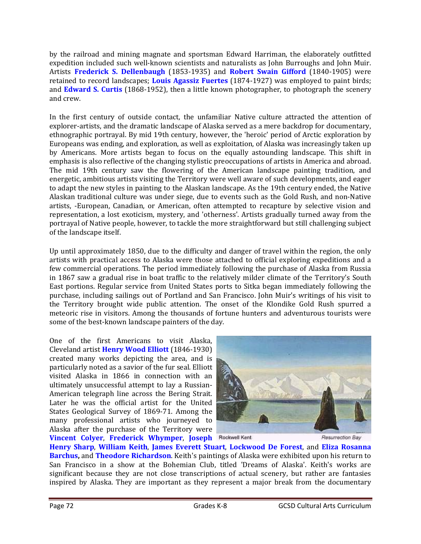by the railroad and mining magnate and sportsman Edward Harriman, the elaborately outfitted expedition included such well-known scientists and naturalists as John Burroughs and John Muir. Artists **Frederick S. Dellenbaugh** (1853‐1935) and **Robert Swain Gifford** (1840‐1905) were retained to record landscapes; **Louis Agassiz Fuertes** (1874-1927) was employed to paint birds; and **Edward S. Curtis** (1868-1952), then a little known photographer, to photograph the scenery and crew. 

In the first century of outside contact, the unfamiliar Native culture attracted the attention of explorer-artists, and the dramatic landscape of Alaska served as a mere backdrop for documentary, ethnographic portrayal. By mid 19th century, however, the 'heroic' period of Arctic exploration by Europeans was ending, and exploration, as well as exploitation, of Alaska was increasingly taken up by Americans. More artists began to focus on the equally astounding landscape. This shift in emphasis is also reflective of the changing stylistic preoccupations of artists in America and abroad. The mid 19th century saw the flowering of the American landscape painting tradition, and energetic, ambitious artists visiting the Territory were well aware of such developments, and eager to adapt the new styles in painting to the Alaskan landscape. As the 19th century ended, the Native Alaskan traditional culture was under siege, due to events such as the Gold Rush, and non-Native artists, -European, Canadian, or American, often attempted to recapture by selective vision and representation, a lost exoticism, mystery, and 'otherness'. Artists gradually turned away from the portrayal of Native people, however, to tackle the more straightforward but still challenging subject of the landscape itself.

Up until approximately 1850, due to the difficulty and danger of travel within the region, the only artists with practical access to Alaska were those attached to official exploring expeditions and a few commercial operations. The period immediately following the purchase of Alaska from Russia in 1867 saw a gradual rise in boat traffic to the relatively milder climate of the Territory's South East portions. Regular service from United States ports to Sitka began immediately following the purchase, including sailings out of Portland and San Francisco. John Muir's writings of his visit to the Territory brought wide public attention. The onset of the Klondike Gold Rush spurred a meteoric rise in visitors. Among the thousands of fortune hunters and adventurous tourists were some of the best-known landscape painters of the day.

One of the first Americans to visit Alaska, Cleveland artist **Henry Wood Elliott** (1846‐1930) created many works depicting the area, and is particularly noted as a savior of the fur seal. Elliott visited Alaska in 1866 in connection with an ultimately unsuccessful attempt to lay a Russian-American telegraph line across the Bering Strait. Later he was the official artist for the United States Geological Survey of 1869-71. Among the many professional artists who journeyed to Alaska after the purchase of the Territory were **Vincent Colyer, Frederick Whymper, Joseph Rockwell Kent** 



Resurrection Bay

**Henry Sharp**, **William Keith**, **James Everett Stuart**, **Lockwood De Forest**, and **Eliza Rosanna Barchus, and Theodore Richardson**. Keith's paintings of Alaska were exhibited upon his return to San Francisco in a show at the Bohemian Club, titled 'Dreams of Alaska'. Keith's works are significant because they are not close transcriptions of actual scenery, but rather are fantasies inspired by Alaska. They are important as they represent a major break from the documentary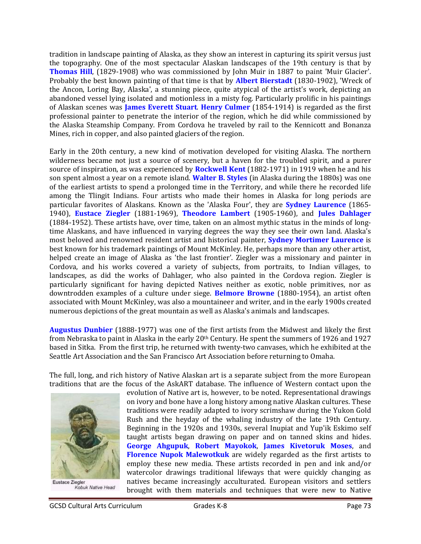tradition in landscape painting of Alaska, as they show an interest in capturing its spirit versus just the topography. One of the most spectacular Alaskan landscapes of the 19th century is that by **Thomas Hill**, (1829-1908) who was commissioned by John Muir in 1887 to paint 'Muir Glacier'. Probably the best known painting of that time is that by **Albert Bierstadt** (1830-1902), 'Wreck of the Ancon, Loring Bay, Alaska', a stunning piece, quite atypical of the artist's work, depicting an abandoned vessel lying isolated and motionless in a misty fog. Particularly prolific in his paintings of Alaskan scenes was **James Everett Stuart. Henry Culmer** (1854-1914) is regarded as the first professional painter to penetrate the interior of the region, which he did while commissioned by the Alaska Steamship Company. From Cordova he traveled by rail to the Kennicott and Bonanza Mines, rich in copper, and also painted glaciers of the region.

Early in the 20th century, a new kind of motivation developed for visiting Alaska. The northern wilderness became not just a source of scenery, but a haven for the troubled spirit, and a purer source of inspiration, as was experienced by **Rockwell Kent** (1882-1971) in 1919 when he and his son spent almost a year on a remote island. **Walter B. Styles** (in Alaska during the 1880s) was one of the earliest artists to spend a prolonged time in the Territory, and while there he recorded life among the Tlingit Indians. Four artists who made their homes in Alaska for long periods are particular favorites of Alaskans. Known as the 'Alaska Four', they are **Sydney Laurence** (1865-1940), **Eustace Ziegler** (1881‐1969), **Theodore Lambert** (1905‐1960), and **Jules Dahlager** (1884-1952). These artists have, over time, taken on an almost mythic status in the minds of longtime Alaskans, and have influenced in varying degrees the way they see their own land. Alaska's most beloved and renowned resident artist and historical painter, **Sydney Mortimer Laurence** is best known for his trademark paintings of Mount McKinley. He, perhaps more than any other artist, helped create an image of Alaska as 'the last frontier'. Ziegler was a missionary and painter in Cordova, and his works covered a variety of subjects, from portraits, to Indian villages, to landscapes, as did the works of Dahlager, who also painted in the Cordova region. Ziegler is particularly significant for having depicted Natives neither as exotic, noble primitives, nor as downtrodden examples of a culture under siege. **Belmore Browne** (1880-1954), an artist often associated with Mount McKinley, was also a mountaineer and writer, and in the early 1900s created numerous depictions of the great mountain as well as Alaska's animals and landscapes.

**Augustus Dunbier** (1888-1977) was one of the first artists from the Midwest and likely the first from Nebraska to paint in Alaska in the early  $20<sup>th</sup>$  Century. He spent the summers of 1926 and 1927 based in Sitka. From the first trip, he returned with twenty-two canvases, which he exhibited at the Seattle Art Association and the San Francisco Art Association before returning to Omaha.

The full, long, and rich history of Native Alaskan art is a separate subject from the more European traditions that are the focus of the AskART database. The influence of Western contact upon the



Eustace Ziegler Kobuk Native Head

evolution of Native art is, however, to be noted. Representational drawings on ivory and bone have a long history among native Alaskan cultures. These traditions were readily adapted to ivory scrimshaw during the Yukon Gold Rush and the heyday of the whaling industry of the late 19th Century. Beginning in the 1920s and 1930s, several Inupiat and Yup'ik Eskimo self taught artists began drawing on paper and on tanned skins and hides. **George Ahgupuk**, **Robert Mayokok**, **James Kivetoruk Moses**, and **Florence Nupok Malewotkuk** are widely regarded as the first artists to employ these new media. These artists recorded in pen and ink and/or watercolor drawings traditional lifeways that were quickly changing as natives became increasingly acculturated. European visitors and settlers brought with them materials and techniques that were new to Native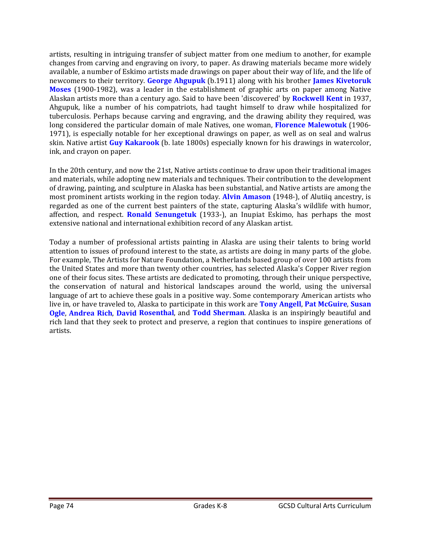artists, resulting in intriguing transfer of subject matter from one medium to another, for example changes from carving and engraving on ivory, to paper. As drawing materials became more widely available, a number of Eskimo artists made drawings on paper about their way of life, and the life of newcomers to their territory. George Ahgupuk (b.1911) along with his brother **James Kivetoruk Moses** (1900-1982), was a leader in the establishment of graphic arts on paper among Native Alaskan artists more than a century ago. Said to have been 'discovered' by **Rockwell Kent** in 1937, Ahgupuk, like a number of his compatriots, had taught himself to draw while hospitalized for tuberculosis. Perhaps because carving and engraving, and the drawing ability they required, was long considered the particular domain of male Natives, one woman, Florence Malewotuk (1906-1971), is especially notable for her exceptional drawings on paper, as well as on seal and walrus skin. Native artist **Guy Kakarook** (b. late 1800s) especially known for his drawings in watercolor, ink, and crayon on paper.

In the 20th century, and now the 21st, Native artists continue to draw upon their traditional images and materials, while adopting new materials and techniques. Their contribution to the development of drawing, painting, and sculpture in Alaska has been substantial, and Native artists are among the most prominent artists working in the region today. **Alvin Amason** (1948–), of Alutiiq ancestry, is regarded as one of the current best painters of the state, capturing Alaska's wildlife with humor, affection, and respect. **Ronald Senungetuk** (1933-), an Inupiat Eskimo, has perhaps the most extensive national and international exhibition record of any Alaskan artist.

Today a number of professional artists painting in Alaska are using their talents to bring world attention to issues of profound interest to the state, as artists are doing in many parts of the globe. For example, The Artists for Nature Foundation, a Netherlands based group of over 100 artists from the United States and more than twenty other countries, has selected Alaska's Copper River region one of their focus sites. These artists are dedicated to promoting, through their unique perspective, the conservation of natural and historical landscapes around the world, using the universal language of art to achieve these goals in a positive way. Some contemporary American artists who live in, or have traveled to, Alaska to participate in this work are **Tony Angell**, Pat McGuire, Susan **Ogle, Andrea Rich, David Rosenthal, and Todd Sherman.** Alaska is an inspiringly beautiful and rich land that they seek to protect and preserve, a region that continues to inspire generations of artists.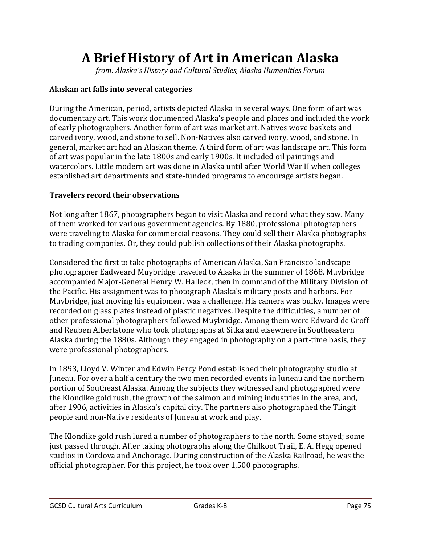# **A Brief History of Art in American Alaska**

*from: Alaska's History and Cultural Studies, Alaska Humanities Forum*

#### **Alaskan art falls into several categories**

During the American, period, artists depicted Alaska in several ways. One form of art was documentary art. This work documented Alaska's people and places and included the work of early photographers. Another form of art was market art. Natives wove baskets and carved ivory, wood, and stone to sell. Non-Natives also carved ivory, wood, and stone. In general, market art had an Alaskan theme. A third form of art was landscape art. This form of art was popular in the late 1800s and early 1900s. It included oil paintings and watercolors. Little modern art was done in Alaska until after World War II when colleges established art departments and state-funded programs to encourage artists began.

#### **Travelers record their observations**

Not long after 1867, photographers began to visit Alaska and record what they saw. Many of them worked for various government agencies. By 1880, professional photographers were traveling to Alaska for commercial reasons. They could sell their Alaska photographs to trading companies. Or, they could publish collections of their Alaska photographs.

Considered the first to take photographs of American Alaska, San Francisco landscape photographer Eadweard Muybridge traveled to Alaska in the summer of 1868. Muybridge accompanied Major-General Henry W. Halleck, then in command of the Military Division of the Pacific. His assignment was to photograph Alaska's military posts and harbors. For Muybridge, just moving his equipment was a challenge. His camera was bulky. Images were recorded on glass plates instead of plastic negatives. Despite the difficulties, a number of other professional photographers followed Muybridge. Among them were Edward de Groff and Reuben Albertstone who took photographs at Sitka and elsewhere in Southeastern Alaska during the 1880s. Although they engaged in photography on a part-time basis, they were professional photographers.

In 1893, Lloyd V. Winter and Edwin Percy Pond established their photography studio at Juneau. For over a half a century the two men recorded events in Juneau and the northern portion of Southeast Alaska. Among the subjects they witnessed and photographed were the Klondike gold rush, the growth of the salmon and mining industries in the area, and, after 1906, activities in Alaska's capital city. The partners also photographed the Tlingit people and non-Native residents of Juneau at work and play.

The Klondike gold rush lured a number of photographers to the north. Some stayed; some just passed through. After taking photographs along the Chilkoot Trail, E. A. Hegg opened studios in Cordova and Anchorage. During construction of the Alaska Railroad, he was the official photographer. For this project, he took over 1,500 photographs.

GCSD Cultural Arts Curriculum 
Grades K-8 
Grades C-8 
Grades C-8 
C-9 
Bage 75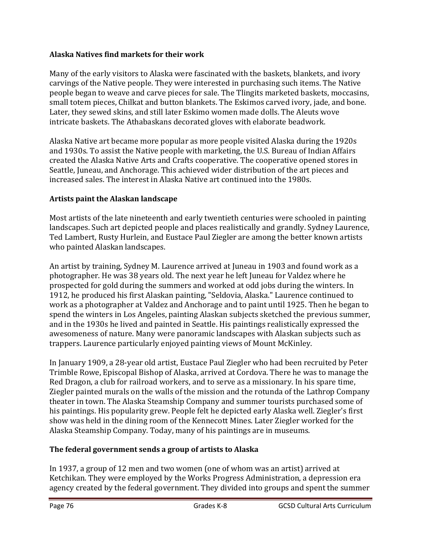#### **Alaska Natives find markets for their work**

Many of the early visitors to Alaska were fascinated with the baskets, blankets, and ivory carvings of the Native people. They were interested in purchasing such items. The Native people began to weave and carve pieces for sale. The Tlingits marketed baskets, moccasins, small totem pieces, Chilkat and button blankets. The Eskimos carved ivory, jade, and bone. Later, they sewed skins, and still later Eskimo women made dolls. The Aleuts wove intricate baskets. The Athabaskans decorated gloves with elaborate beadwork.

Alaska Native art became more popular as more people visited Alaska during the 1920s and 1930s. To assist the Native people with marketing, the U.S. Bureau of Indian Affairs created the Alaska Native Arts and Crafts cooperative. The cooperative opened stores in Seattle, Juneau, and Anchorage. This achieved wider distribution of the art pieces and increased sales. The interest in Alaska Native art continued into the 1980s.

## **Artists paint the Alaskan landscape**

Most artists of the late nineteenth and early twentieth centuries were schooled in painting landscapes. Such art depicted people and places realistically and grandly. Sydney Laurence, Ted Lambert, Rusty Hurlein, and Eustace Paul Ziegler are among the better known artists who painted Alaskan landscapes.

An artist by training, Sydney M. Laurence arrived at Juneau in 1903 and found work as a photographer. He was 38 years old. The next year he left Juneau for Valdez where he prospected for gold during the summers and worked at odd jobs during the winters. In 1912, he produced his first Alaskan painting, "Seldovia, Alaska." Laurence continued to work as a photographer at Valdez and Anchorage and to paint until 1925. Then he began to spend the winters in Los Angeles, painting Alaskan subjects sketched the previous summer, and in the 1930s he lived and painted in Seattle. His paintings realistically expressed the awesomeness of nature. Many were panoramic landscapes with Alaskan subjects such as trappers. Laurence particularly enjoyed painting views of Mount McKinley.

In January 1909, a 28-year old artist, Eustace Paul Ziegler who had been recruited by Peter Trimble Rowe, Episcopal Bishop of Alaska, arrived at Cordova. There he was to manage the Red Dragon, a club for railroad workers, and to serve as a missionary. In his spare time, Ziegler painted murals on the walls of the mission and the rotunda of the Lathrop Company theater in town. The Alaska Steamship Company and summer tourists purchased some of his paintings. His popularity grew. People felt he depicted early Alaska well. Ziegler's first show was held in the dining room of the Kennecott Mines. Later Ziegler worked for the Alaska Steamship Company. Today, many of his paintings are in museums.

## **The federal government sends a group of artists to Alaska**

In 1937, a group of 12 men and two women (one of whom was an artist) arrived at Ketchikan. They were employed by the Works Progress Administration, a depression era agency created by the federal government. They divided into groups and spent the summer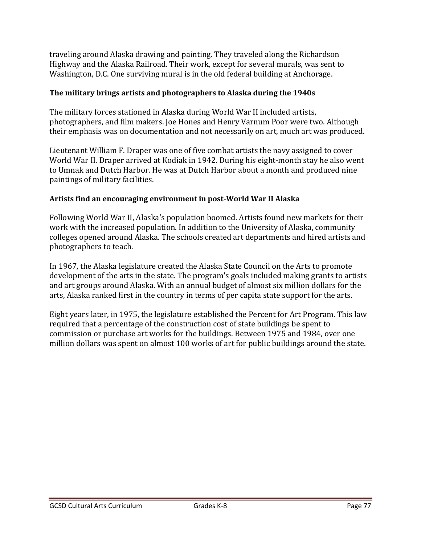traveling around Alaska drawing and painting. They traveled along the Richardson Highway and the Alaska Railroad. Their work, except for several murals, was sent to Washington, D.C. One surviving mural is in the old federal building at Anchorage.

#### **The military brings artists and photographers to Alaska during the 1940s**

The military forces stationed in Alaska during World War II included artists, photographers, and film makers. Joe Hones and Henry Varnum Poor were two. Although their emphasis was on documentation and not necessarily on art, much art was produced.

Lieutenant William F. Draper was one of five combat artists the navy assigned to cover World War II. Draper arrived at Kodiak in 1942. During his eight-month stay he also went to Umnak and Dutch Harbor. He was at Dutch Harbor about a month and produced nine paintings of military facilities.

#### **Artists find an encouraging environment in post‐World War II Alaska**

Following World War II, Alaska's population boomed. Artists found new markets for their work with the increased population. In addition to the University of Alaska, community colleges opened around Alaska. The schools created art departments and hired artists and photographers to teach.

In 1967, the Alaska legislature created the Alaska State Council on the Arts to promote development of the arts in the state. The program's goals included making grants to artists and art groups around Alaska. With an annual budget of almost six million dollars for the arts, Alaska ranked first in the country in terms of per capita state support for the arts.

Eight years later, in 1975, the legislature established the Percent for Art Program. This law required that a percentage of the construction cost of state buildings be spent to commission or purchase art works for the buildings. Between 1975 and 1984, over one million dollars was spent on almost 100 works of art for public buildings around the state.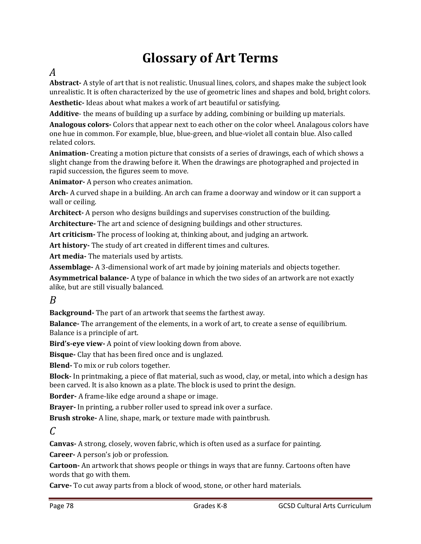# **Glossary of Art Terms**

# *A*

**Abstract** • A style of art that is not realistic. Unusual lines, colors, and shapes make the subject look unrealistic. It is often characterized by the use of geometric lines and shapes and bold, bright colors.

**Aesthetic** Ideas about what makes a work of art beautiful or satisfying.

**Additive**- the means of building up a surface by adding, combining or building up materials.

**Analogous colors** • Colors that appear next to each other on the color wheel. Analagous colors have one hue in common. For example, blue, blue-green, and blue-violet all contain blue. Also called related colors.

**Animation** Creating a motion picture that consists of a series of drawings, each of which shows a slight change from the drawing before it. When the drawings are photographed and projected in rapid succession, the figures seem to move.

**Animator-** A person who creates animation.

Arch - A curved shape in a building. An arch can frame a doorway and window or it can support a wall or ceiling.

**Architect** • A person who designs buildings and supervises construction of the building.

Architecture<sup>-</sup> The art and science of designing buildings and other structures.

Art criticism - The process of looking at, thinking about, and judging an artwork.

Art history- The study of art created in different times and cultures.

Art media- The materials used by artists.

**Assemblage** A 3-dimensional work of art made by joining materials and objects together.

**Asymmetrical balance** A type of balance in which the two sides of an artwork are not exactly alike, but are still visually balanced.

## *B*

**Background** The part of an artwork that seems the farthest away.

**Balance** The arrangement of the elements, in a work of art, to create a sense of equilibrium. Balance is a principle of art.

Bird's-eye view- A point of view looking down from above.

**Bisque** Clay that has been fired once and is unglazed.

**Blend** To mix or rub colors together.

**Block** In printmaking, a piece of flat material, such as wood, clay, or metal, into which a design has been carved. It is also known as a plate. The block is used to print the design.

**Border** • A frame-like edge around a shape or image.

**Brayer-** In printing, a rubber roller used to spread ink over a surface.

**Brush stroke** A line, shape, mark, or texture made with paintbrush.

## *C*

**Canvas** A strong, closely, woven fabric, which is often used as a surface for painting.

**Career** A person's job or profession.

**Cartoon** - An artwork that shows people or things in ways that are funny. Cartoons often have words that go with them.

**Carve** To cut away parts from a block of wood, stone, or other hard materials.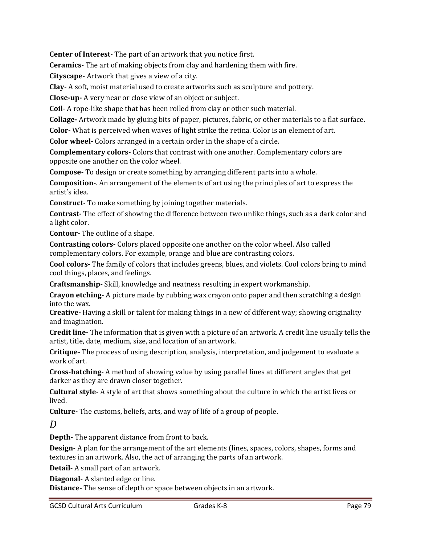**Center of Interest** The part of an artwork that you notice first.

**Ceramics** The art of making objects from clay and hardening them with fire.

**Cityscape** - Artwork that gives a view of a city.

**Clay** A soft, moist material used to create artworks such as sculpture and pottery.

**Close-up-** A very near or close view of an object or subject.

**Coil** A rope-like shape that has been rolled from clay or other such material.

**Collage** - Artwork made by gluing bits of paper, pictures, fabric, or other materials to a flat surface.

**Color** What is perceived when waves of light strike the retina. Color is an element of art.

**Color wheel** Colors arranged in a certain order in the shape of a circle.

**Complementary colors Colors** that contrast with one another. Complementary colors are opposite one another on the color wheel.

**Compose** To design or create something by arranging different parts into a whole.

**Composition** –. An arrangement of the elements of art using the principles of art to express the artist's idea.

**Construct** To make something by joining together materials.

**Contrast** The effect of showing the difference between two unlike things, such as a dark color and a light color.

**Contour**-The outline of a shape.

**Contrasting colors** • Colors placed opposite one another on the color wheel. Also called complementary colors. For example, orange and blue are contrasting colors.

**Cool colors** The family of colors that includes greens, blues, and violets. Cool colors bring to mind cool things, places, and feelings.

**Craftsmanship** · Skill, knowledge and neatness resulting in expert workmanship.

**Crayon etching** A picture made by rubbing wax crayon onto paper and then scratching a design into the wax.

**Creative** Having a skill or talent for making things in a new of different way; showing originality and imagination.

**Credit line** The information that is given with a picture of an artwork. A credit line usually tells the artist, title, date, medium, size, and location of an artwork.

**Critique** The process of using description, analysis, interpretation, and judgement to evaluate a work of art.

**Cross-hatching** A method of showing value by using parallel lines at different angles that get darker as they are drawn closer together.

**Cultural style** – A style of art that shows something about the culture in which the artist lives or lived. 

**Culture** The customs, beliefs, arts, and way of life of a group of people.

*D*

**Depth-** The apparent distance from front to back.

**Design** A plan for the arrangement of the art elements (lines, spaces, colors, shapes, forms and textures in an artwork. Also, the act of arranging the parts of an artwork.

**Detail-** A small part of an artwork.

**Diagonal** A slanted edge or line.

**Distance** The sense of depth or space between objects in an artwork.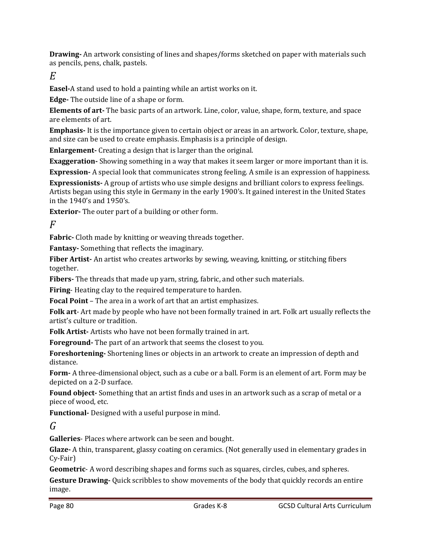**Drawing** An artwork consisting of lines and shapes/forms sketched on paper with materials such as pencils, pens, chalk, pastels.

*E*

**Easel-A** stand used to hold a painting while an artist works on it.

**Edge** The outside line of a shape or form.

**Elements of art** The basic parts of an artwork. Line, color, value, shape, form, texture, and space are elements of art.

**Emphasis** It is the importance given to certain object or areas in an artwork. Color, texture, shape, and size can be used to create emphasis. Emphasis is a principle of design.

**Enlargement** Creating a design that is larger than the original.

**Exaggeration** Showing something in a way that makes it seem larger or more important than it is.

**Expression** A special look that communicates strong feeling. A smile is an expression of happiness.

**Expressionists** A group of artists who use simple designs and brilliant colors to express feelings. Artists began using this style in Germany in the early 1900's. It gained interest in the United States in the 1940's and 1950's.

**Exterior**- The outer part of a building or other form.

*F*

**Fabric** Cloth made by knitting or weaving threads together.

**Fantasy** Something that reflects the imaginary.

**Fiber Artist** An artist who creates artworks by sewing, weaving, knitting, or stitching fibers together. 

**Fibers** The threads that made up yarn, string, fabric, and other such materials.

**Firing** Heating clay to the required temperature to harden.

**Focal Point** – The area in a work of art that an artist emphasizes.

**Folk art**- Art made by people who have not been formally trained in art. Folk art usually reflects the artist's culture or tradition.

**Folk Artist** Artists who have not been formally trained in art.

**Foreground** The part of an artwork that seems the closest to you.

**Foreshortening** Shortening lines or objects in an artwork to create an impression of depth and distance. 

**Form** A three-dimensional object, such as a cube or a ball. Form is an element of art. Form may be depicted on a 2-D surface.

Found object- Something that an artist finds and uses in an artwork such as a scrap of metal or a piece of wood, etc.

**Functional** Designed with a useful purpose in mind.

*G*

**Galleries** Places where artwork can be seen and bought.

**Glaze** • A thin, transparent, glassy coating on ceramics. (Not generally used in elementary grades in Cy‐Fair) 

**Geometric** A word describing shapes and forms such as squares, circles, cubes, and spheres.

**Gesture Drawing** Quick scribbles to show movements of the body that quickly records an entire image.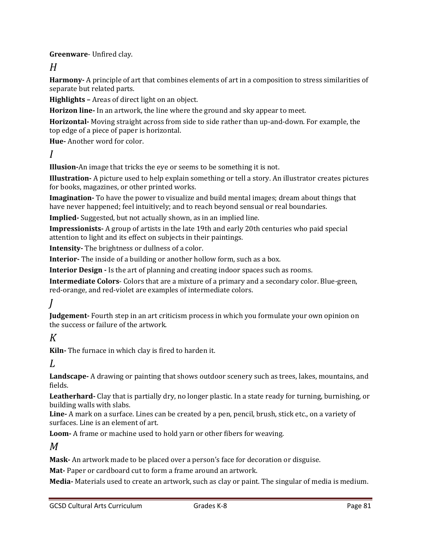**Greenware**- Unfired clay.

**Harmony** A principle of art that combines elements of art in a composition to stress similarities of separate but related parts.

**Highlights** – Areas of direct light on an object.

**Horizon line** In an artwork, the line where the ground and sky appear to meet.

**Horizontal** • Moving straight across from side to side rather than up-and-down. For example, the top edge of a piece of paper is horizontal.

**Hue**-Another word for color.

*I*

**Illusion**-An image that tricks the eye or seems to be something it is not.

**Illustration** – A picture used to help explain something or tell a story. An illustrator creates pictures for books, magazines, or other printed works.

**Imagination** To have the power to visualize and build mental images; dream about things that have never happened; feel intuitively; and to reach beyond sensual or real boundaries.

**Implied** Suggested, but not actually shown, as in an implied line.

**Impressionists** A group of artists in the late 19th and early 20th centuries who paid special attention to light and its effect on subjects in their paintings.

**Intensity** The brightness or dullness of a color.

**Interior** The inside of a building or another hollow form, such as a box.

**Interior Design -** Is the art of planning and creating indoor spaces such as rooms.

**Intermediate Colors** Colors that are a mixture of a primary and a secondary color. Blue-green, red-orange, and red-violet are examples of intermediate colors.

*J*

**Judgement** Fourth step in an art criticism process in which you formulate your own opinion on the success or failure of the artwork.

# *K*

**Kiln**- The furnace in which clay is fired to harden it.

*L*

**Landscape** A drawing or painting that shows outdoor scenery such as trees, lakes, mountains, and fields. 

Leatherhard- Clay that is partially dry, no longer plastic. In a state ready for turning, burnishing, or building walls with slabs.

**Line** • A mark on a surface. Lines can be created by a pen, pencil, brush, stick etc., on a variety of surfaces. Line is an element of art.

**Loom** A frame or machine used to hold yarn or other fibers for weaving.

*M*

**Mask** - An artwork made to be placed over a person's face for decoration or disguise.

**Mat** Paper or cardboard cut to form a frame around an artwork.

**Media** • Materials used to create an artwork, such as clay or paint. The singular of media is medium.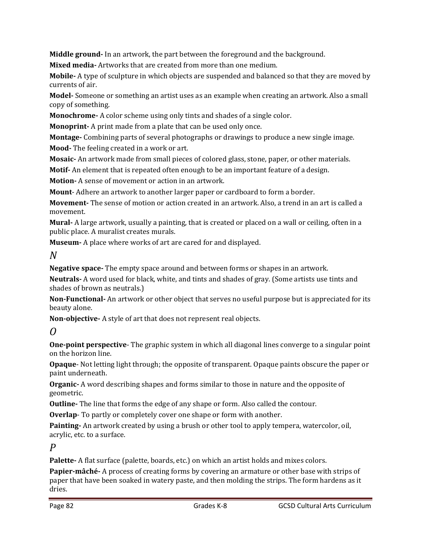**Middle ground** In an artwork, the part between the foreground and the background.

**Mixed media** - Artworks that are created from more than one medium.

**Mobile** • A type of sculpture in which objects are suspended and balanced so that they are moved by currents of air.

**Model** Someone or something an artist uses as an example when creating an artwork. Also a small copy of something.

**Monochrome** A color scheme using only tints and shades of a single color.

**Monoprint** A print made from a plate that can be used only once.

**Montage** Combining parts of several photographs or drawings to produce a new single image.

**Mood** - The feeling created in a work or art.

**Mosaic** An artwork made from small pieces of colored glass, stone, paper, or other materials.

**Motif** An element that is repeated often enough to be an important feature of a design.

**Motion** A sense of movement or action in an artwork.

**Mount**– Adhere an artwork to another larger paper or cardboard to form a border.

**Movement** The sense of motion or action created in an artwork. Also, a trend in an art is called a movement. 

**Mural** A large artwork, usually a painting, that is created or placed on a wall or ceiling, often in a public place. A muralist creates murals.

**Museum** - A place where works of art are cared for and displayed.

## *N*

**Negative space** The empty space around and between forms or shapes in an artwork.

**Neutrals** A word used for black, white, and tints and shades of gray. (Some artists use tints and shades of brown as neutrals.)

**Non-Functional-** An artwork or other object that serves no useful purpose but is appreciated for its beauty alone.

**Non-objective-** A style of art that does not represent real objects.

# *O*

**One-point perspective** The graphic system in which all diagonal lines converge to a singular point on the horizon line.

**Opaque** • Not letting light through; the opposite of transparent. Opaque paints obscure the paper or paint underneath.

**Organic** – A word describing shapes and forms similar to those in nature and the opposite of geometric. 

**Outline** The line that forms the edge of any shape or form. Also called the contour.

**Overlap** To partly or completely cover one shape or form with another.

**Painting** An artwork created by using a brush or other tool to apply tempera, watercolor, oil, acrylic, etc. to a surface.

## *P*

**Palette** A flat surface (palette, boards, etc.) on which an artist holds and mixes colors.

**Papier-mâché** • A process of creating forms by covering an armature or other base with strips of paper that have been soaked in watery paste, and then molding the strips. The form hardens as it dries.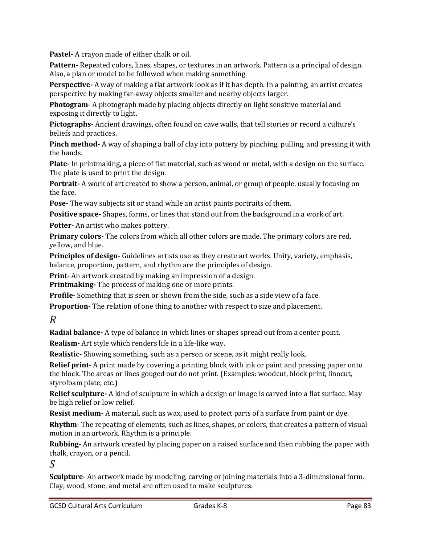**Pastel** - A crayon made of either chalk or oil.

Pattern-Repeated colors, lines, shapes, or textures in an artwork. Pattern is a principal of design. Also, a plan or model to be followed when making something.

**Perspective** • A way of making a flat artwork look as if it has depth. In a painting, an artist creates perspective by making far-away objects smaller and nearby objects larger.

**Photogram** - A photograph made by placing objects directly on light sensitive material and exposing it directly to light.

Pictographs- Ancient drawings, often found on cave walls, that tell stories or record a culture's beliefs and practices.

**Pinch method** • A way of shaping a ball of clay into pottery by pinching, pulling, and pressing it with the hands.

**Plate** In printmaking, a piece of flat material, such as wood or metal, with a design on the surface. The plate is used to print the design.

**Portrait** – A work of art created to show a person, animal, or group of people, usually focusing on the face.

**Pose** The way subjects sit or stand while an artist paints portraits of them.

**Positive space** Shapes, forms, or lines that stand out from the background in a work of art.

**Potter-** An artist who makes pottery.

**Primary colors** • The colors from which all other colors are made. The primary colors are red, yellow, and blue.

**Principles of design-** Guidelines artists use as they create art works. Unity, variety, emphasis, balance, proportion, pattern, and rhythm are the principles of design.

**Print** An artwork created by making an impression of a design.

**Printmaking** The process of making one or more prints.

**Profile** Something that is seen or shown from the side, such as a side view of a face.

**Proportion** The relation of one thing to another with respect to size and placement.

*R*

**Radial balance** • A type of balance in which lines or shapes spread out from a center point.

**Realism** - Art style which renders life in a life-like way.

**Realistic** Showing something, such as a person or scene, as it might really look.

**Relief print** – A print made by covering a printing block with ink or paint and pressing paper onto the block. The areas or lines gouged out do not print. (Examples: woodcut, block print, linocut, styrofoam plate, etc.)

**Relief sculpture** - A kind of sculpture in which a design or image is carved into a flat surface. May be high relief or low relief.

**Resist medium** A material, such as wax, used to protect parts of a surface from paint or dye.

**Rhythm** – The repeating of elements, such as lines, shapes, or colors, that creates a pattern of visual motion in an artwork. Rhythm is a principle.

**Rubbing** An artwork created by placing paper on a raised surface and then rubbing the paper with chalk, crayon, or a pencil.

*S*

**Sculpture** - An artwork made by modeling, carving or joining materials into a 3-dimensional form. Clay, wood, stone, and metal are often used to make sculptures.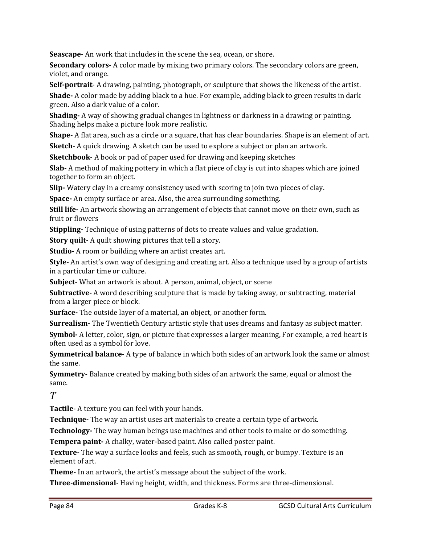**Seascape** - An work that includes in the scene the sea, ocean, or shore.

**Secondary colors** • A color made by mixing two primary colors. The secondary colors are green, violet, and orange.

**Self-portrait** – A drawing, painting, photograph, or sculpture that shows the likeness of the artist.

**Shade** A color made by adding black to a hue. For example, adding black to green results in dark green. Also a dark value of a color.

**Shading** – A way of showing gradual changes in lightness or darkness in a drawing or painting. Shading helps make a picture look more realistic.

**Shape** • A flat area, such as a circle or a square, that has clear boundaries. Shape is an element of art.

**Sketch** A quick drawing. A sketch can be used to explore a subject or plan an artwork.

**Sketchbook** - A book or pad of paper used for drawing and keeping sketches

**Slab** – A method of making pottery in which a flat piece of clay is cut into shapes which are joined together to form an object.

**Slip** • Watery clay in a creamy consistency used with scoring to join two pieces of clay.

**Space** An empty surface or area. Also, the area surrounding something.

**Still life** An artwork showing an arrangement of objects that cannot move on their own, such as fruit or flowers

**Stippling** Technique of using patterns of dots to create values and value gradation.

**Story quilt** A quilt showing pictures that tell a story.

**Studio** A room or building where an artist creates art.

**Style** An artist's own way of designing and creating art. Also a technique used by a group of artists in a particular time or culture.

**Subject** What an artwork is about. A person, animal, object, or scene

**Subtractive** A word describing sculpture that is made by taking away, or subtracting, material from a larger piece or block.

**Surface** The outside layer of a material, an object, or another form.

**Surrealism** The Twentieth Century artistic style that uses dreams and fantasy as subject matter.

**Symbol** • A letter, color, sign, or picture that expresses a larger meaning, For example, a red heart is often used as a symbol for love.

**Symmetrical balance** A type of balance in which both sides of an artwork look the same or almost the same.

**Symmetry** - Balance created by making both sides of an artwork the same, equal or almost the same. 

*T*

**Tactile** A texture you can feel with your hands.

**Technique** The way an artist uses art materials to create a certain type of artwork.

**Technology**<sup>-</sup> The way human beings use machines and other tools to make or do something.

**Tempera paint** A chalky, water-based paint. Also called poster paint.

**Texture** The way a surface looks and feels, such as smooth, rough, or bumpy. Texture is an element of art.

**Theme** In an artwork, the artist's message about the subject of the work.

**Three-dimensional** • Having height, width, and thickness. Forms are three-dimensional.